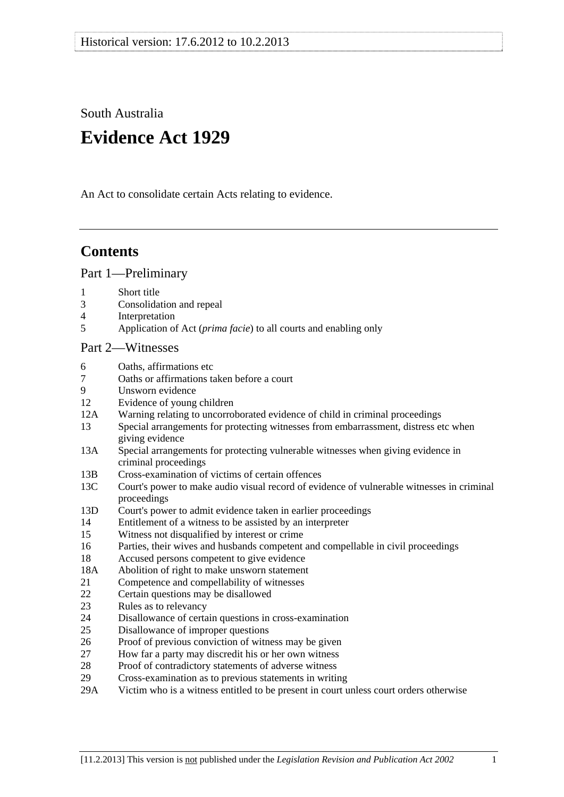South Australia

# **Evidence Act 1929**

An Act to consolidate certain Acts relating to evidence.

## **Contents**

[Part 1—Preliminary](#page-6-0)

- [1 Short title](#page-6-0)
- [3 Consolidation and repeal](#page-6-0)
- [4 Interpretation](#page-6-0)
- [5 Application of Act \(](#page-8-0)*prima facie*) to all courts and enabling only

## [Part 2—Witnesses](#page-10-0)

- [6 Oaths, affirmations etc](#page-10-0)
- [7 Oaths or affirmations taken before a court](#page-10-0)
- [9 Unsworn evidence](#page-10-0)
- [12 Evidence of young children](#page-11-0)
- [12A Warning relating to uncorroborated evidence of child in criminal proceedings](#page-11-0)
- [13 Special arrangements for protecting witnesses from embarrassment, distress etc when](#page-11-0)  [giving evidence](#page-11-0)
- [13A Special arrangements for protecting vulnerable witnesses when giving evidence in](#page-13-0)  [criminal proceedings](#page-13-0)
- [13B Cross-examination of victims of certain offences](#page-15-0)
- [13C Court's power to make audio visual record of evidence of vulnerable witnesses in criminal](#page-16-0)  [proceedings](#page-16-0)
- [13D Court's power to admit evidence taken in earlier proceedings](#page-17-0)
- [14 Entitlement of a witness to be assisted by an interpreter](#page-18-0)
- [15 Witness not disqualified by interest or crime](#page-18-0)
- [16 Parties, their wives and husbands competent and compellable in civil proceedings](#page-18-0)
- [18 Accused persons competent to give evidence](#page-18-0)
- [18A Abolition of right to make unsworn statement](#page-19-0)
- [21 Competence and compellability of witnesses](#page-20-0)
- [22 Certain questions may be disallowed](#page-21-0)
- [23 Rules as to relevancy](#page-21-0)
- [24 Disallowance of certain questions in cross-examination](#page-21-0)
- [25 Disallowance of improper questions](#page-21-0)
- [26 Proof of previous conviction of witness may be given](#page-22-0)
- [27 How far a party may discredit his or her own witness](#page-22-0)
- [28 Proof of contradictory statements of adverse witness](#page-23-0)
- [29 Cross-examination as to previous statements in writing](#page-23-0)
- [29A Victim who is a witness entitled to be present in court unless court orders otherwise](#page-23-0)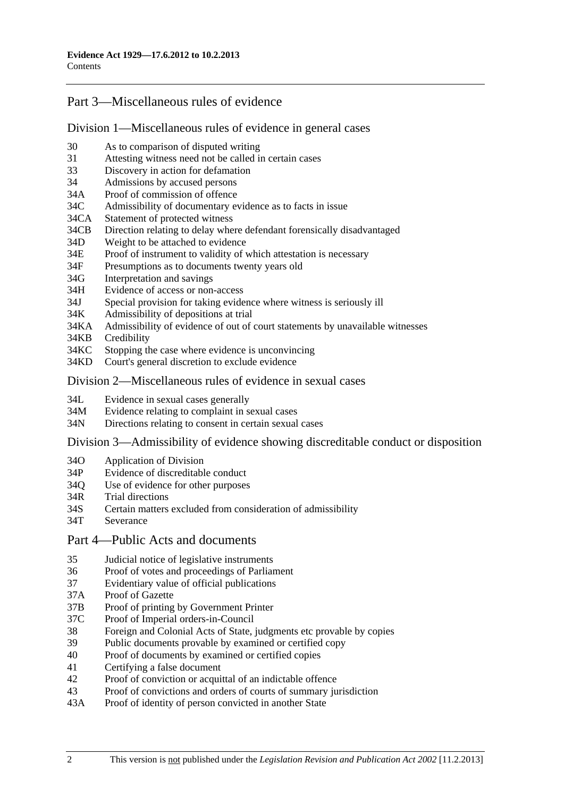## [Part 3—Miscellaneous rules of evidence](#page-24-0)

#### [Division 1—Miscellaneous rules of evidence in general cases](#page-24-0)

- [30 As to comparison of disputed writing](#page-24-0)
- [31 Attesting witness need not be called in certain cases](#page-24-0)
- [33 Discovery in action for defamation](#page-24-0)
- [34 Admissions by accused persons](#page-24-0)
- [34A Proof of commission of offence](#page-24-0)
- [34C Admissibility of documentary evidence as to facts in issue](#page-24-0)
- [34CA Statement of protected witness](#page-26-0)
- [34CB Direction relating to delay where defendant forensically disadvantaged](#page-26-0)
- [34D Weight to be attached to evidence](#page-27-0)
- [34E Proof of instrument to validity of which attestation is necessary](#page-27-0)
- [34F Presumptions as to documents twenty years old](#page-27-0)
- [34G Interpretation and savings](#page-27-0)
- [34H Evidence of access or non-access](#page-28-0)
- [34J Special provision for taking evidence where witness is seriously ill](#page-28-0)
- [34K Admissibility of depositions at trial](#page-28-0)
- [34KA Admissibility of evidence of out of court statements by unavailable witnesses](#page-28-0)
- [34KB Credibility](#page-30-0)
- [34KC Stopping the case where evidence is unconvincing](#page-30-0)
- [34KD Court's general discretion to exclude evidence](#page-31-0)

#### [Division 2—Miscellaneous rules of evidence in sexual cases](#page-31-0)

- [34L Evidence in sexual cases generally](#page-31-0)
- [34M Evidence relating to complaint in sexual cases](#page-32-0)
- [34N Directions relating to consent in certain sexual cases](#page-33-0)

#### [Division 3—Admissibility of evidence showing discreditable conduct or disposition](#page-34-0)

- [34O Application of Division](#page-34-0)
- [34P Evidence of discreditable conduct](#page-34-0)
- [34Q Use of evidence for other purposes](#page-35-0)
- [34R Trial directions](#page-35-0)
- [34S Certain matters excluded from consideration of admissibility](#page-35-0)
- [34T Severance](#page-35-0)
- [Part 4—Public Acts and documents](#page-36-0)
- [35 Judicial notice of legislative instruments](#page-36-0)
- [36 Proof of votes and proceedings of Parliament](#page-36-0)
- [37 Evidentiary value of official publications](#page-36-0)
- [37A Proof of Gazette](#page-36-0)
- [37B Proof of printing by Government Printer](#page-36-0)
- [37C Proof of Imperial orders-in-Council](#page-37-0)
- [38 Foreign and Colonial Acts of State, judgments etc provable by copies](#page-37-0)
- [39 Public documents provable by examined or certified copy](#page-37-0)
- [40 Proof of documents by examined or certified copies](#page-38-0)
- [41 Certifying a false document](#page-38-0)
- [42 Proof of conviction or acquittal of an indictable offence](#page-38-0)
- [43 Proof of convictions and orders of courts of summary jurisdiction](#page-38-0)
- [43A Proof of identity of person convicted in another State](#page-39-0)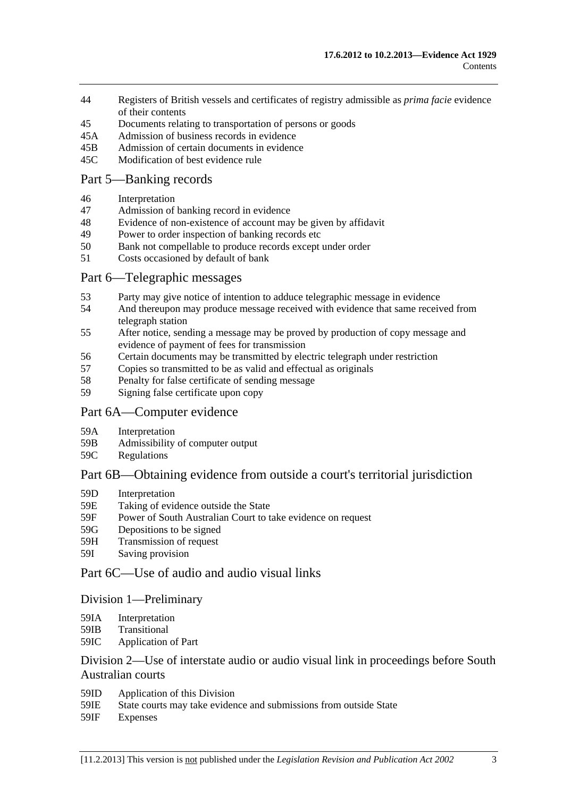- [44 Registers of British vessels and certificates of registry admissible as](#page-39-0) *prima facie* evidence of their contents
- [45 Documents relating to transportation of persons or goods](#page-39-0)
- [45A Admission of business records in evidence](#page-40-0)
- [45B Admission of certain documents in evidence](#page-41-0)
- [45C Modification of best evidence rule](#page-41-0)

### [Part 5—Banking records](#page-44-0)

- [46 Interpretation](#page-44-0)
- [47 Admission of banking record in evidence](#page-44-0)
- [48 Evidence of non-existence of account may be given by affidavit](#page-44-0)
- [49 Power to order inspection of banking records etc](#page-45-0)
- [50 Bank not compellable to produce records except under order](#page-46-0)
- [51 Costs occasioned by default of bank](#page-46-0)

### [Part 6—Telegraphic messages](#page-48-0)

- [53 Party may give notice of intention to adduce telegraphic message in evidence](#page-48-0)
- [54 And thereupon may produce message received with evidence that same received from](#page-48-0)  [telegraph station](#page-48-0)
- [55 After notice, sending a message may be proved by production of copy message and](#page-48-0)  [evidence of payment of fees for transmission](#page-48-0)
- [56 Certain documents may be transmitted by electric telegraph under restriction](#page-49-0)
- [57 Copies so transmitted to be as valid and effectual as originals](#page-50-0)
- [58 Penalty for false certificate of sending message](#page-50-0)
- [59 Signing false certificate upon copy](#page-50-0)

#### [Part 6A—Computer evidence](#page-52-0)

- [59A Interpretation](#page-52-0)
- [59B Admissibility of computer output](#page-52-0)
- [59C Regulations](#page-53-0)

## [Part 6B—Obtaining evidence from outside a court's territorial jurisdiction](#page-54-0)

- [59D Interpretation](#page-54-0)
- [59E Taking of evidence outside the State](#page-54-0)
- [59F Power of South Australian Court to take evidence on request](#page-55-0)
- [59G Depositions to be signed](#page-55-0)
- [59H Transmission of request](#page-55-0)
- [59I Saving provision](#page-56-0)

## [Part 6C—Use of audio and audio visual links](#page-58-0)

#### [Division 1—Preliminary](#page-58-0)

- [59IA Interpretation](#page-58-0)
- [59IB Transitional](#page-58-0)
- [59IC Application of Part](#page-58-0)

## [Division 2—Use of interstate audio or audio visual link in proceedings before South](#page-59-0)  [Australian courts](#page-59-0)

- [59ID Application of this Division](#page-59-0)
- [59IE State courts may take evidence and submissions from outside State](#page-59-0)
- [59IF Expenses](#page-59-0)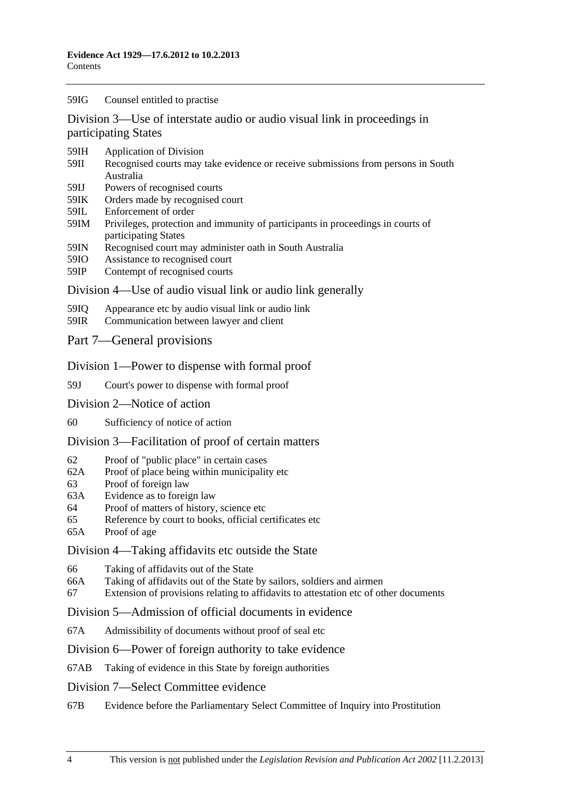#### [59IG Counsel entitled to practise](#page-59-0)

[Division 3—Use of interstate audio or audio visual link in proceedings in](#page-60-0)  [participating States](#page-60-0)

- [59IH Application of Division](#page-60-0)
- [59II Recognised courts may take evidence or receive submissions from persons in South](#page-60-0)  [Australia](#page-60-0)
- [59IJ Powers of recognised courts](#page-60-0)
- [59IK Orders made by recognised court](#page-60-0)
- [59IL Enforcement of order](#page-60-0)
- [59IM Privileges, protection and immunity of participants in proceedings in courts of](#page-61-0)  [participating States](#page-61-0)
- [59IN Recognised court may administer oath in South Australia](#page-61-0)
- [59IO Assistance to recognised court](#page-61-0)
- [59IP Contempt of recognised courts](#page-61-0)

#### [Division 4—Use of audio visual link or audio link generally](#page-62-0)

- [59IQ Appearance etc by audio visual link or audio link](#page-62-0)
- [59IR Communication between lawyer and client](#page-63-0)
- [Part 7—General provisions](#page-66-0)

#### [Division 1—Power to dispense with formal proof](#page-66-0)

- [59J Court's power to dispense with formal proof](#page-66-0)
- [Division 2—Notice of action](#page-66-0)
- [60 Sufficiency of notice of action](#page-66-0)

#### [Division 3—Facilitation of proof of certain matters](#page-66-0)

- [62 Proof of "public place" in certain cases](#page-66-0)
- [62A Proof of place being within municipality etc](#page-66-0)
- [63 Proof of foreign law](#page-67-0)
- [63A Evidence as to foreign law](#page-67-0)
- [64 Proof of matters of history, science etc](#page-67-0)
- [65 Reference by court to books, official certificates etc](#page-67-0)
- [65A Proof of age](#page-68-0)

#### [Division 4—Taking affidavits etc outside the State](#page-68-0)

- [66 Taking of affidavits out of the State](#page-68-0)
- [66A Taking of affidavits out of the State by sailors, soldiers and airmen](#page-69-0)
- [67 Extension of provisions relating to affidavits to attestation etc of other documents](#page-70-0)

#### [Division 5—Admission of official documents in evidence](#page-70-0)

[67A Admissibility of documents without proof of seal etc](#page-70-0)

#### [Division 6—Power of foreign authority to take evidence](#page-71-0)

[67AB Taking of evidence in this State by foreign authorities](#page-71-0) 

#### [Division 7—Select Committee evidence](#page-71-0)

[67B Evidence before the Parliamentary Select Committee of Inquiry into Prostitution](#page-71-0)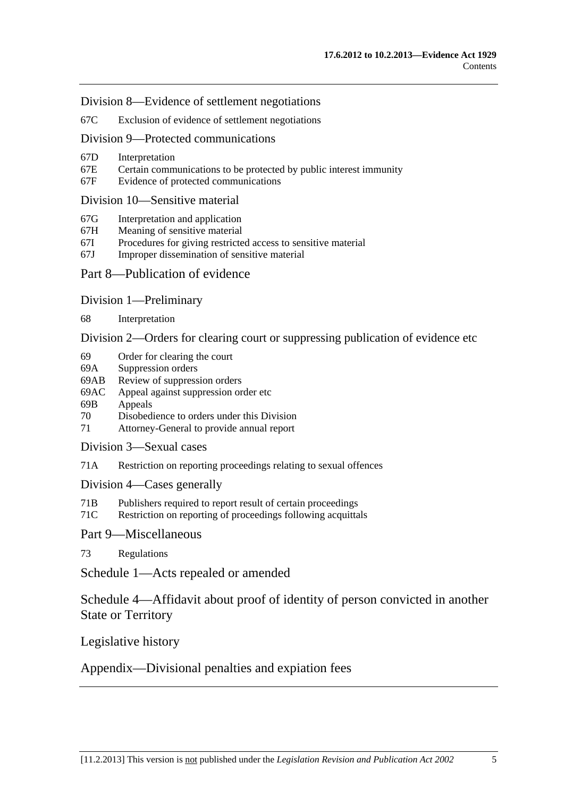[Division 8—Evidence of settlement negotiations](#page-72-0) 

[67C Exclusion of evidence of settlement negotiations](#page-72-0) 

[Division 9—Protected communications](#page-73-0) 

- [67D Interpretation](#page-73-0)
- [67E Certain communications to be protected by public interest immunity](#page-73-0)
- [67F Evidence of protected communications](#page-74-0)

#### [Division 10—Sensitive material](#page-75-0)

- [67G Interpretation and application](#page-75-0)
- [67H Meaning of sensitive material](#page-77-0)
- [67I Procedures for giving restricted access to sensitive material](#page-77-0)
- [67J Improper dissemination of sensitive material](#page-78-0)

## [Part 8—Publication of evidence](#page-80-0)

[Division 1—Preliminary](#page-80-0)

[68 Interpretation](#page-80-0) 

[Division 2—Orders for clearing court or suppressing publication of evidence etc](#page-80-0) 

- [69 Order for clearing the court](#page-80-0)
- [69A Suppression orders](#page-81-0)
- [69AB Review of suppression orders](#page-83-0)
- [69AC Appeal against suppression order etc](#page-84-0)
- [69B Appeals](#page-84-0)
- [70 Disobedience to orders under this Division](#page-85-0)
- [71 Attorney-General to provide annual report](#page-85-0)

[Division 3—Sexual cases](#page-86-0) 

[71A Restriction on reporting proceedings relating to sexual offences](#page-86-0)

[Division 4—Cases generally](#page-87-0) 

- [71B Publishers required to report result of certain proceedings](#page-87-0)
- [71C Restriction on reporting of proceedings following acquittals](#page-88-0)
- [Part 9—Miscellaneous](#page-90-0)

[73 Regulations](#page-90-0)

[Schedule 1—Acts repealed or amended](#page-92-0) 

[Schedule 4—Affidavit about proof of identity of person convicted in another](#page-93-0)  [State or Territory](#page-93-0)

[Legislative history](#page-94-0) 

[Appendix—Divisional penalties and expiation fees](#page-105-0)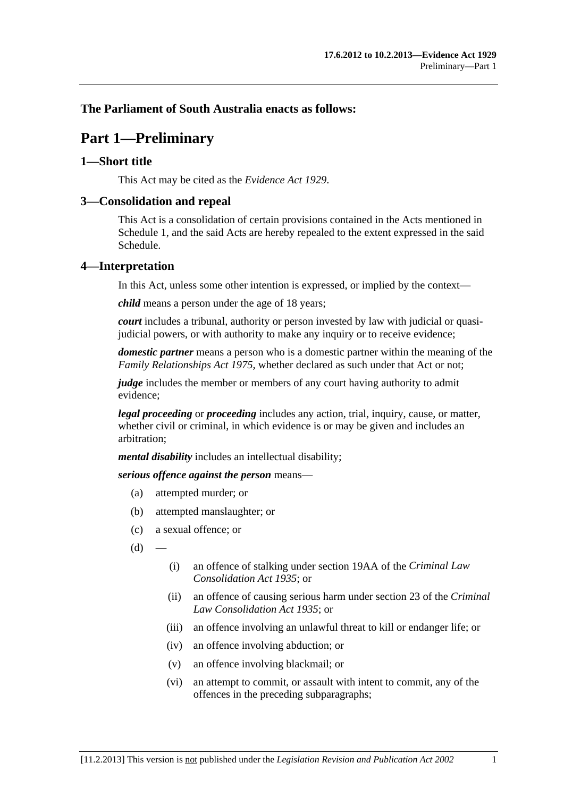## <span id="page-6-0"></span>**The Parliament of South Australia enacts as follows:**

# **Part 1—Preliminary**

## **1—Short title**

This Act may be cited as the *Evidence Act 1929*.

## **3—Consolidation and repeal**

This Act is a consolidation of certain provisions contained in the Acts mentioned in [Schedule 1,](#page-92-0) and the said Acts are hereby repealed to the extent expressed in the said Schedule.

### **4—Interpretation**

In this Act, unless some other intention is expressed, or implied by the context—

*child* means a person under the age of 18 years;

*court* includes a tribunal, authority or person invested by law with judicial or quasijudicial powers, or with authority to make any inquiry or to receive evidence;

*domestic partner* means a person who is a domestic partner within the meaning of the *[Family Relationships Act 1975](http://www.legislation.sa.gov.au/index.aspx?action=legref&type=act&legtitle=Family%20Relationships%20Act%201975)*, whether declared as such under that Act or not;

*judge* includes the member or members of any court having authority to admit evidence;

*legal proceeding* or *proceeding* includes any action, trial, inquiry, cause, or matter, whether civil or criminal, in which evidence is or may be given and includes an arbitration;

*mental disability* includes an intellectual disability;

*serious offence against the person* means—

- (a) attempted murder; or
- (b) attempted manslaughter; or
- (c) a sexual offence; or
- $(d)$
- (i) an offence of stalking under section 19AA of the *[Criminal Law](http://www.legislation.sa.gov.au/index.aspx?action=legref&type=act&legtitle=Criminal%20Law%20Consolidation%20Act%201935)  [Consolidation Act 1935](http://www.legislation.sa.gov.au/index.aspx?action=legref&type=act&legtitle=Criminal%20Law%20Consolidation%20Act%201935)*; or
- (ii) an offence of causing serious harm under section 23 of the *[Criminal](http://www.legislation.sa.gov.au/index.aspx?action=legref&type=act&legtitle=Criminal%20Law%20Consolidation%20Act%201935)  [Law Consolidation Act 1935](http://www.legislation.sa.gov.au/index.aspx?action=legref&type=act&legtitle=Criminal%20Law%20Consolidation%20Act%201935)*; or
- (iii) an offence involving an unlawful threat to kill or endanger life; or
- (iv) an offence involving abduction; or
- (v) an offence involving blackmail; or
- (vi) an attempt to commit, or assault with intent to commit, any of the offences in the preceding subparagraphs;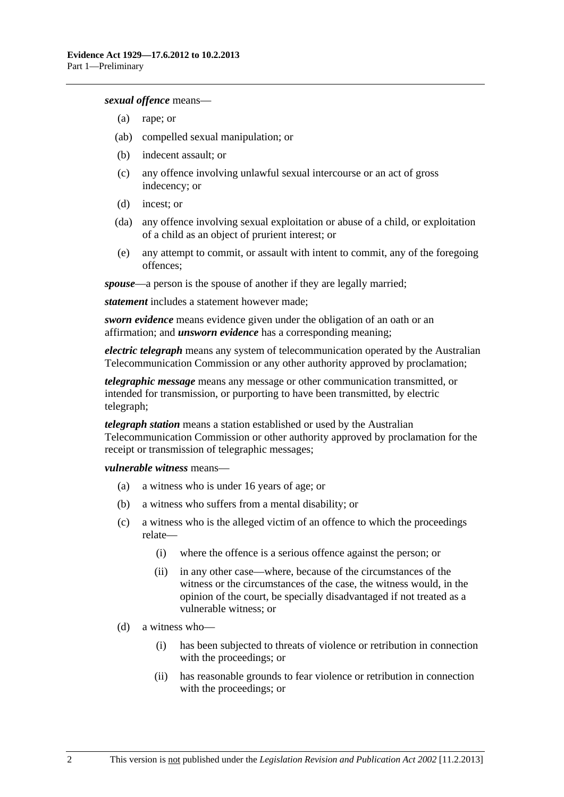#### *sexual offence* means—

- (a) rape; or
- (ab) compelled sexual manipulation; or
- (b) indecent assault; or
- (c) any offence involving unlawful sexual intercourse or an act of gross indecency; or
- (d) incest; or
- (da) any offence involving sexual exploitation or abuse of a child, or exploitation of a child as an object of prurient interest; or
- (e) any attempt to commit, or assault with intent to commit, any of the foregoing offences;

*spouse*—a person is the spouse of another if they are legally married;

*statement* includes a statement however made;

*sworn evidence* means evidence given under the obligation of an oath or an affirmation; and *unsworn evidence* has a corresponding meaning;

*electric telegraph* means any system of telecommunication operated by the Australian Telecommunication Commission or any other authority approved by proclamation;

*telegraphic message* means any message or other communication transmitted, or intended for transmission, or purporting to have been transmitted, by electric telegraph;

*telegraph station* means a station established or used by the Australian Telecommunication Commission or other authority approved by proclamation for the receipt or transmission of telegraphic messages;

*vulnerable witness* means—

- (a) a witness who is under 16 years of age; or
- (b) a witness who suffers from a mental disability; or
- (c) a witness who is the alleged victim of an offence to which the proceedings relate—
	- (i) where the offence is a serious offence against the person; or
	- (ii) in any other case—where, because of the circumstances of the witness or the circumstances of the case, the witness would, in the opinion of the court, be specially disadvantaged if not treated as a vulnerable witness; or
- (d) a witness who—
	- (i) has been subjected to threats of violence or retribution in connection with the proceedings; or
	- (ii) has reasonable grounds to fear violence or retribution in connection with the proceedings; or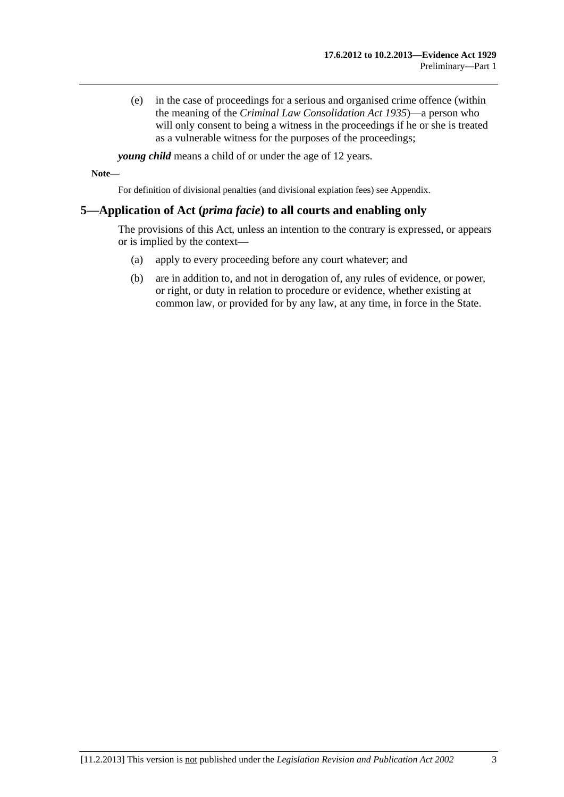<span id="page-8-0"></span> (e) in the case of proceedings for a serious and organised crime offence (within the meaning of the *[Criminal Law Consolidation Act 1935](http://www.legislation.sa.gov.au/index.aspx?action=legref&type=act&legtitle=Criminal%20Law%20Consolidation%20Act%201935)*)—a person who will only consent to being a witness in the proceedings if he or she is treated as a vulnerable witness for the purposes of the proceedings;

*young child* means a child of or under the age of 12 years.

**Note—** 

For definition of divisional penalties (and divisional expiation fees) see Appendix.

#### **5—Application of Act (***prima facie***) to all courts and enabling only**

The provisions of this Act, unless an intention to the contrary is expressed, or appears or is implied by the context—

- (a) apply to every proceeding before any court whatever; and
- (b) are in addition to, and not in derogation of, any rules of evidence, or power, or right, or duty in relation to procedure or evidence, whether existing at common law, or provided for by any law, at any time, in force in the State.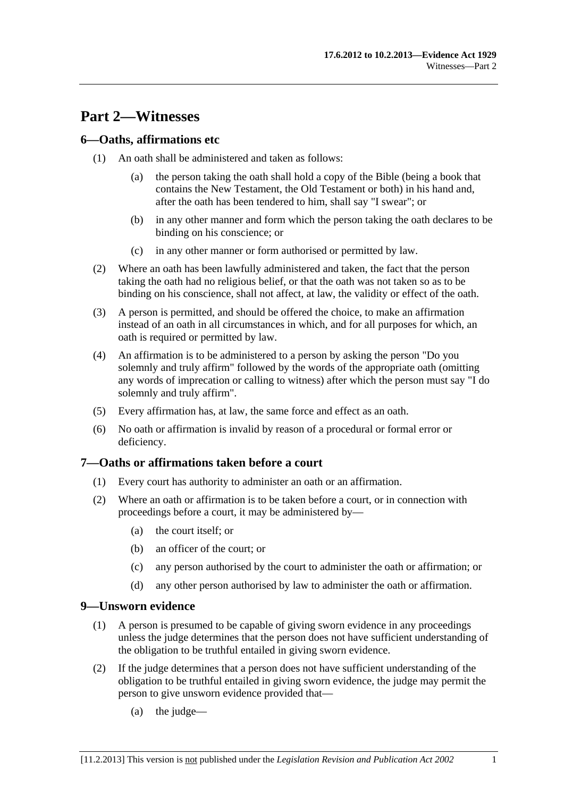# <span id="page-10-0"></span>**Part 2—Witnesses**

## **6—Oaths, affirmations etc**

- (1) An oath shall be administered and taken as follows:
	- (a) the person taking the oath shall hold a copy of the Bible (being a book that contains the New Testament, the Old Testament or both) in his hand and, after the oath has been tendered to him, shall say "I swear"; or
	- (b) in any other manner and form which the person taking the oath declares to be binding on his conscience; or
	- (c) in any other manner or form authorised or permitted by law.
- (2) Where an oath has been lawfully administered and taken, the fact that the person taking the oath had no religious belief, or that the oath was not taken so as to be binding on his conscience, shall not affect, at law, the validity or effect of the oath.
- (3) A person is permitted, and should be offered the choice, to make an affirmation instead of an oath in all circumstances in which, and for all purposes for which, an oath is required or permitted by law.
- (4) An affirmation is to be administered to a person by asking the person "Do you solemnly and truly affirm" followed by the words of the appropriate oath (omitting any words of imprecation or calling to witness) after which the person must say "I do solemnly and truly affirm".
- (5) Every affirmation has, at law, the same force and effect as an oath.
- (6) No oath or affirmation is invalid by reason of a procedural or formal error or deficiency.

#### **7—Oaths or affirmations taken before a court**

- (1) Every court has authority to administer an oath or an affirmation.
- (2) Where an oath or affirmation is to be taken before a court, or in connection with proceedings before a court, it may be administered by—
	- (a) the court itself; or
	- (b) an officer of the court; or
	- (c) any person authorised by the court to administer the oath or affirmation; or
	- (d) any other person authorised by law to administer the oath or affirmation.

#### **9—Unsworn evidence**

- (1) A person is presumed to be capable of giving sworn evidence in any proceedings unless the judge determines that the person does not have sufficient understanding of the obligation to be truthful entailed in giving sworn evidence.
- (2) If the judge determines that a person does not have sufficient understanding of the obligation to be truthful entailed in giving sworn evidence, the judge may permit the person to give unsworn evidence provided that—
	- (a) the judge—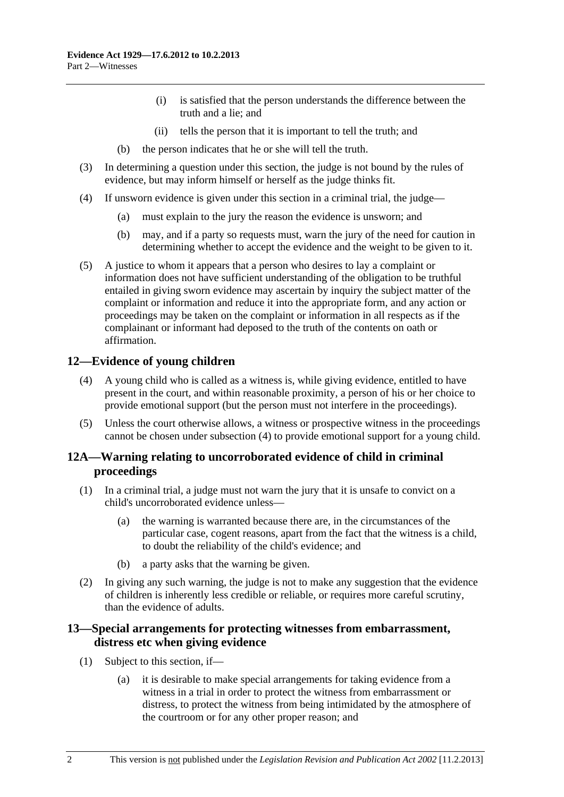- (i) is satisfied that the person understands the difference between the truth and a lie; and
- (ii) tells the person that it is important to tell the truth; and
- (b) the person indicates that he or she will tell the truth.
- <span id="page-11-0"></span> (3) In determining a question under this section, the judge is not bound by the rules of evidence, but may inform himself or herself as the judge thinks fit.
- (4) If unsworn evidence is given under this section in a criminal trial, the judge—
	- (a) must explain to the jury the reason the evidence is unsworn; and
	- (b) may, and if a party so requests must, warn the jury of the need for caution in determining whether to accept the evidence and the weight to be given to it.
- (5) A justice to whom it appears that a person who desires to lay a complaint or information does not have sufficient understanding of the obligation to be truthful entailed in giving sworn evidence may ascertain by inquiry the subject matter of the complaint or information and reduce it into the appropriate form, and any action or proceedings may be taken on the complaint or information in all respects as if the complainant or informant had deposed to the truth of the contents on oath or affirmation.

## **12—Evidence of young children**

- (4) A young child who is called as a witness is, while giving evidence, entitled to have present in the court, and within reasonable proximity, a person of his or her choice to provide emotional support (but the person must not interfere in the proceedings).
- (5) Unless the court otherwise allows, a witness or prospective witness in the proceedings cannot be chosen under [subsection \(4\)](#page-11-0) to provide emotional support for a young child.

## **12A—Warning relating to uncorroborated evidence of child in criminal proceedings**

- (1) In a criminal trial, a judge must not warn the jury that it is unsafe to convict on a child's uncorroborated evidence unless—
	- (a) the warning is warranted because there are, in the circumstances of the particular case, cogent reasons, apart from the fact that the witness is a child, to doubt the reliability of the child's evidence; and
	- (b) a party asks that the warning be given.
- (2) In giving any such warning, the judge is not to make any suggestion that the evidence of children is inherently less credible or reliable, or requires more careful scrutiny, than the evidence of adults.

## **13—Special arrangements for protecting witnesses from embarrassment, distress etc when giving evidence**

- (1) Subject to this section, if—
	- (a) it is desirable to make special arrangements for taking evidence from a witness in a trial in order to protect the witness from embarrassment or distress, to protect the witness from being intimidated by the atmosphere of the courtroom or for any other proper reason; and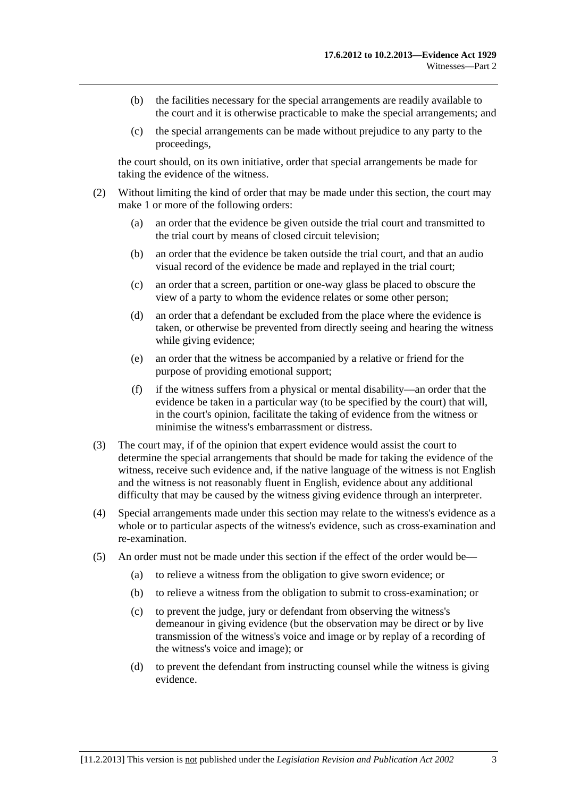- (b) the facilities necessary for the special arrangements are readily available to the court and it is otherwise practicable to make the special arrangements; and
- (c) the special arrangements can be made without prejudice to any party to the proceedings,

the court should, on its own initiative, order that special arrangements be made for taking the evidence of the witness.

- (2) Without limiting the kind of order that may be made under this section, the court may make 1 or more of the following orders:
	- (a) an order that the evidence be given outside the trial court and transmitted to the trial court by means of closed circuit television;
	- (b) an order that the evidence be taken outside the trial court, and that an audio visual record of the evidence be made and replayed in the trial court;
	- (c) an order that a screen, partition or one-way glass be placed to obscure the view of a party to whom the evidence relates or some other person;
	- (d) an order that a defendant be excluded from the place where the evidence is taken, or otherwise be prevented from directly seeing and hearing the witness while giving evidence;
	- (e) an order that the witness be accompanied by a relative or friend for the purpose of providing emotional support;
	- (f) if the witness suffers from a physical or mental disability—an order that the evidence be taken in a particular way (to be specified by the court) that will, in the court's opinion, facilitate the taking of evidence from the witness or minimise the witness's embarrassment or distress.
- (3) The court may, if of the opinion that expert evidence would assist the court to determine the special arrangements that should be made for taking the evidence of the witness, receive such evidence and, if the native language of the witness is not English and the witness is not reasonably fluent in English, evidence about any additional difficulty that may be caused by the witness giving evidence through an interpreter.
- (4) Special arrangements made under this section may relate to the witness's evidence as a whole or to particular aspects of the witness's evidence, such as cross-examination and re-examination.
- (5) An order must not be made under this section if the effect of the order would be—
	- (a) to relieve a witness from the obligation to give sworn evidence; or
	- (b) to relieve a witness from the obligation to submit to cross-examination; or
	- (c) to prevent the judge, jury or defendant from observing the witness's demeanour in giving evidence (but the observation may be direct or by live transmission of the witness's voice and image or by replay of a recording of the witness's voice and image); or
	- (d) to prevent the defendant from instructing counsel while the witness is giving evidence.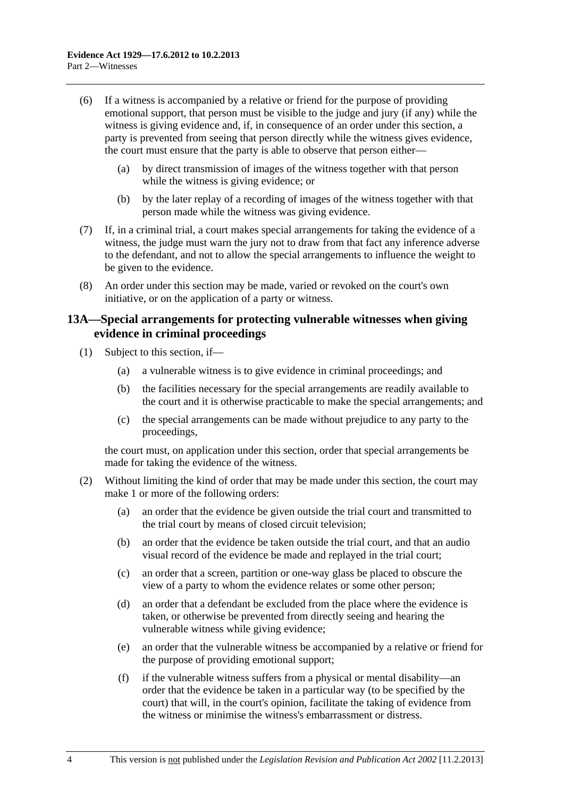- <span id="page-13-0"></span> (6) If a witness is accompanied by a relative or friend for the purpose of providing emotional support, that person must be visible to the judge and jury (if any) while the witness is giving evidence and, if, in consequence of an order under this section, a party is prevented from seeing that person directly while the witness gives evidence, the court must ensure that the party is able to observe that person either—
	- (a) by direct transmission of images of the witness together with that person while the witness is giving evidence; or
	- (b) by the later replay of a recording of images of the witness together with that person made while the witness was giving evidence.
- (7) If, in a criminal trial, a court makes special arrangements for taking the evidence of a witness, the judge must warn the jury not to draw from that fact any inference adverse to the defendant, and not to allow the special arrangements to influence the weight to be given to the evidence.
- (8) An order under this section may be made, varied or revoked on the court's own initiative, or on the application of a party or witness.

## **13A—Special arrangements for protecting vulnerable witnesses when giving evidence in criminal proceedings**

- (1) Subject to this section, if—
	- (a) a vulnerable witness is to give evidence in criminal proceedings; and
	- (b) the facilities necessary for the special arrangements are readily available to the court and it is otherwise practicable to make the special arrangements; and
	- (c) the special arrangements can be made without prejudice to any party to the proceedings,

the court must, on application under this section, order that special arrangements be made for taking the evidence of the witness.

- (2) Without limiting the kind of order that may be made under this section, the court may make 1 or more of the following orders:
	- (a) an order that the evidence be given outside the trial court and transmitted to the trial court by means of closed circuit television;
	- (b) an order that the evidence be taken outside the trial court, and that an audio visual record of the evidence be made and replayed in the trial court;
	- (c) an order that a screen, partition or one-way glass be placed to obscure the view of a party to whom the evidence relates or some other person;
	- (d) an order that a defendant be excluded from the place where the evidence is taken, or otherwise be prevented from directly seeing and hearing the vulnerable witness while giving evidence;
	- (e) an order that the vulnerable witness be accompanied by a relative or friend for the purpose of providing emotional support;
	- (f) if the vulnerable witness suffers from a physical or mental disability—an order that the evidence be taken in a particular way (to be specified by the court) that will, in the court's opinion, facilitate the taking of evidence from the witness or minimise the witness's embarrassment or distress.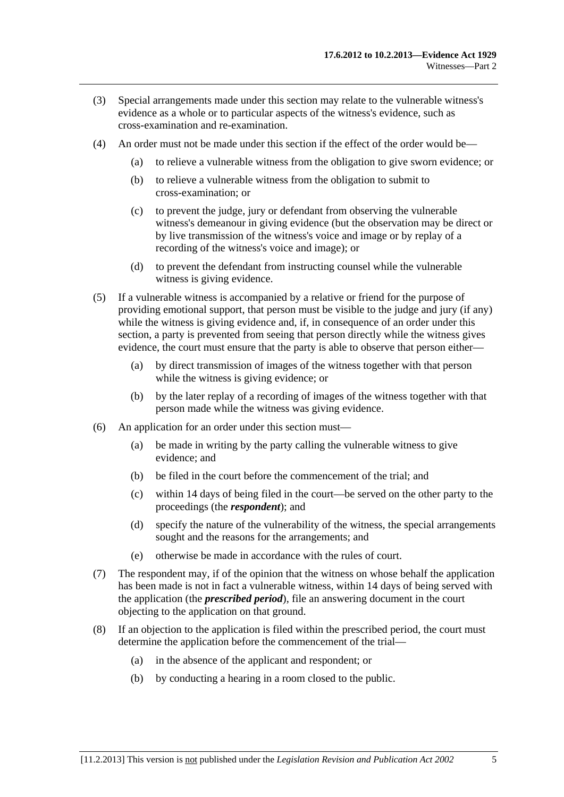- (3) Special arrangements made under this section may relate to the vulnerable witness's evidence as a whole or to particular aspects of the witness's evidence, such as cross-examination and re-examination.
- (4) An order must not be made under this section if the effect of the order would be—
	- (a) to relieve a vulnerable witness from the obligation to give sworn evidence; or
	- (b) to relieve a vulnerable witness from the obligation to submit to cross-examination; or
	- (c) to prevent the judge, jury or defendant from observing the vulnerable witness's demeanour in giving evidence (but the observation may be direct or by live transmission of the witness's voice and image or by replay of a recording of the witness's voice and image); or
	- (d) to prevent the defendant from instructing counsel while the vulnerable witness is giving evidence.
- (5) If a vulnerable witness is accompanied by a relative or friend for the purpose of providing emotional support, that person must be visible to the judge and jury (if any) while the witness is giving evidence and, if, in consequence of an order under this section, a party is prevented from seeing that person directly while the witness gives evidence, the court must ensure that the party is able to observe that person either—
	- (a) by direct transmission of images of the witness together with that person while the witness is giving evidence; or
	- (b) by the later replay of a recording of images of the witness together with that person made while the witness was giving evidence.
- (6) An application for an order under this section must—
	- (a) be made in writing by the party calling the vulnerable witness to give evidence; and
	- $(b)$  be filed in the court before the commencement of the trial; and
	- (c) within 14 days of being filed in the court—be served on the other party to the proceedings (the *respondent*); and
	- (d) specify the nature of the vulnerability of the witness, the special arrangements sought and the reasons for the arrangements; and
	- (e) otherwise be made in accordance with the rules of court.
- (7) The respondent may, if of the opinion that the witness on whose behalf the application has been made is not in fact a vulnerable witness, within 14 days of being served with the application (the *prescribed period*), file an answering document in the court objecting to the application on that ground.
- (8) If an objection to the application is filed within the prescribed period, the court must determine the application before the commencement of the trial—
	- (a) in the absence of the applicant and respondent; or
	- (b) by conducting a hearing in a room closed to the public.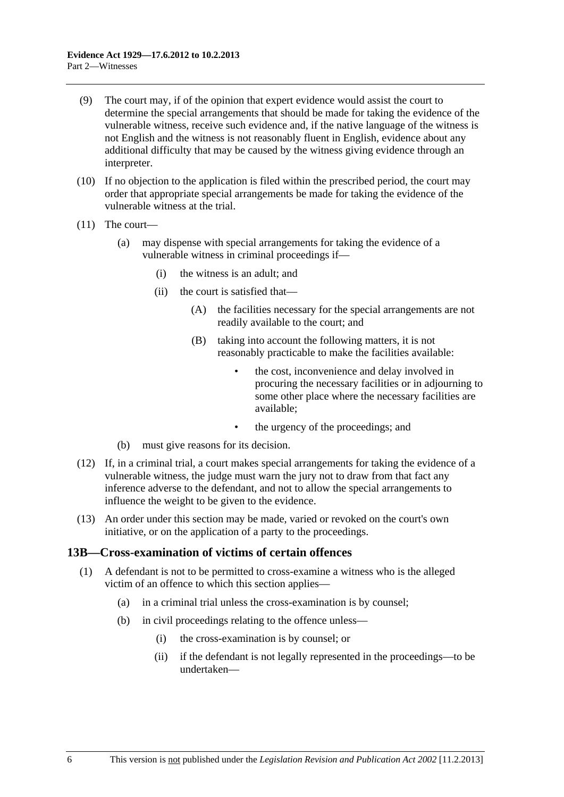- <span id="page-15-0"></span> (9) The court may, if of the opinion that expert evidence would assist the court to determine the special arrangements that should be made for taking the evidence of the vulnerable witness, receive such evidence and, if the native language of the witness is not English and the witness is not reasonably fluent in English, evidence about any additional difficulty that may be caused by the witness giving evidence through an interpreter.
- (10) If no objection to the application is filed within the prescribed period, the court may order that appropriate special arrangements be made for taking the evidence of the vulnerable witness at the trial.
- (11) The court—
	- (a) may dispense with special arrangements for taking the evidence of a vulnerable witness in criminal proceedings if—
		- (i) the witness is an adult; and
		- (ii) the court is satisfied that—
			- (A) the facilities necessary for the special arrangements are not readily available to the court; and
			- (B) taking into account the following matters, it is not reasonably practicable to make the facilities available:
				- the cost, inconvenience and delay involved in procuring the necessary facilities or in adjourning to some other place where the necessary facilities are available;
				- the urgency of the proceedings; and
	- (b) must give reasons for its decision.
- (12) If, in a criminal trial, a court makes special arrangements for taking the evidence of a vulnerable witness, the judge must warn the jury not to draw from that fact any inference adverse to the defendant, and not to allow the special arrangements to influence the weight to be given to the evidence.
- (13) An order under this section may be made, varied or revoked on the court's own initiative, or on the application of a party to the proceedings.

#### **13B—Cross-examination of victims of certain offences**

- (1) A defendant is not to be permitted to cross-examine a witness who is the alleged victim of an offence to which this section applies—
	- (a) in a criminal trial unless the cross-examination is by counsel;
	- (b) in civil proceedings relating to the offence unless—
		- (i) the cross-examination is by counsel; or
		- (ii) if the defendant is not legally represented in the proceedings—to be undertaken—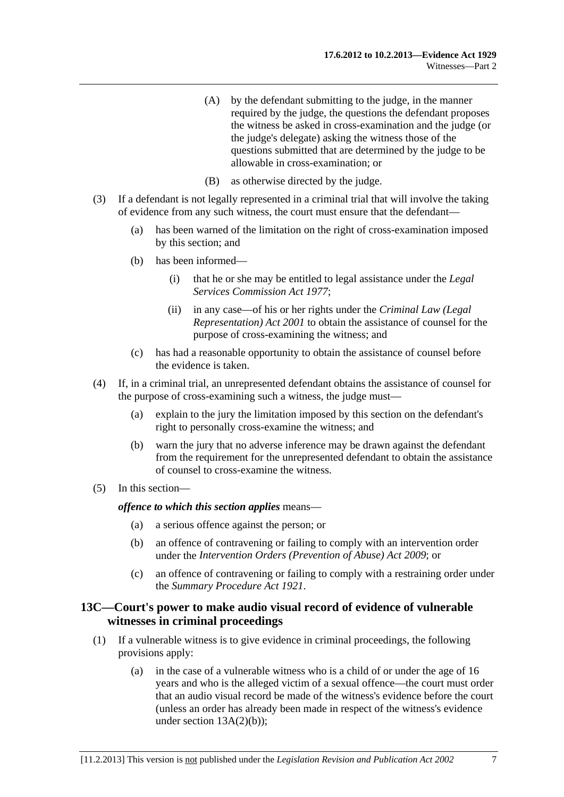- (A) by the defendant submitting to the judge, in the manner required by the judge, the questions the defendant proposes the witness be asked in cross-examination and the judge (or the judge's delegate) asking the witness those of the questions submitted that are determined by the judge to be allowable in cross-examination; or
- (B) as otherwise directed by the judge.
- <span id="page-16-0"></span> (3) If a defendant is not legally represented in a criminal trial that will involve the taking of evidence from any such witness, the court must ensure that the defendant—
	- (a) has been warned of the limitation on the right of cross-examination imposed by this section; and
	- (b) has been informed—
		- (i) that he or she may be entitled to legal assistance under the *[Legal](http://www.legislation.sa.gov.au/index.aspx?action=legref&type=act&legtitle=Legal%20Services%20Commission%20Act%201977)  [Services Commission Act 1977](http://www.legislation.sa.gov.au/index.aspx?action=legref&type=act&legtitle=Legal%20Services%20Commission%20Act%201977)*;
		- (ii) in any case—of his or her rights under the *[Criminal Law \(Legal](http://www.legislation.sa.gov.au/index.aspx?action=legref&type=act&legtitle=Criminal%20Law%20(Legal%20Representation)%20Act%202001)  [Representation\) Act 2001](http://www.legislation.sa.gov.au/index.aspx?action=legref&type=act&legtitle=Criminal%20Law%20(Legal%20Representation)%20Act%202001)* to obtain the assistance of counsel for the purpose of cross-examining the witness; and
	- (c) has had a reasonable opportunity to obtain the assistance of counsel before the evidence is taken.
- (4) If, in a criminal trial, an unrepresented defendant obtains the assistance of counsel for the purpose of cross-examining such a witness, the judge must—
	- (a) explain to the jury the limitation imposed by this section on the defendant's right to personally cross-examine the witness; and
	- (b) warn the jury that no adverse inference may be drawn against the defendant from the requirement for the unrepresented defendant to obtain the assistance of counsel to cross-examine the witness.
- (5) In this section—

*offence to which this section applies* means—

- (a) a serious offence against the person; or
- (b) an offence of contravening or failing to comply with an intervention order under the *[Intervention Orders \(Prevention of Abuse\) Act 2009](http://www.legislation.sa.gov.au/index.aspx?action=legref&type=act&legtitle=Intervention%20Orders%20(Prevention%20of%20Abuse)%20Act%202009)*; or
- (c) an offence of contravening or failing to comply with a restraining order under the *[Summary Procedure Act 1921](http://www.legislation.sa.gov.au/index.aspx?action=legref&type=act&legtitle=Summary%20Procedure%20Act%201921)*.

## **13C—Court's power to make audio visual record of evidence of vulnerable witnesses in criminal proceedings**

- (1) If a vulnerable witness is to give evidence in criminal proceedings, the following provisions apply:
	- (a) in the case of a vulnerable witness who is a child of or under the age of 16 years and who is the alleged victim of a sexual offence—the court must order that an audio visual record be made of the witness's evidence before the court (unless an order has already been made in respect of the witness's evidence under section  $13A(2)(b)$ ;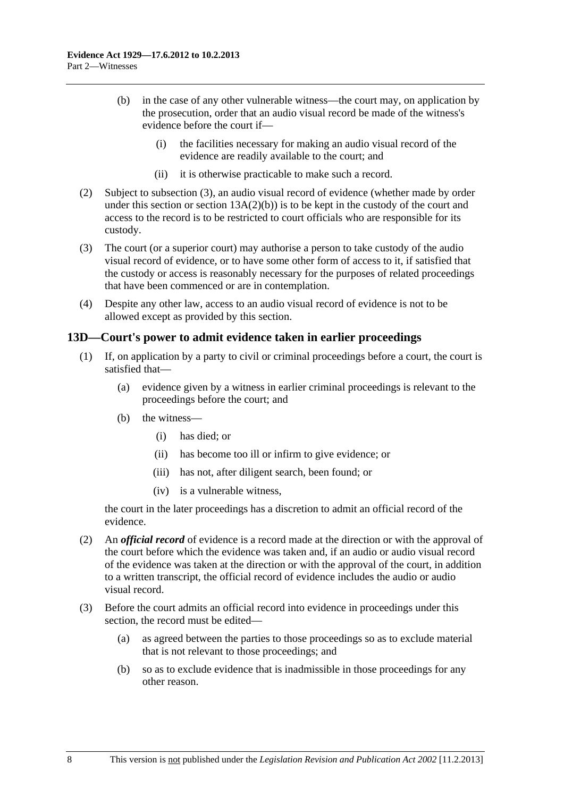- <span id="page-17-0"></span> (b) in the case of any other vulnerable witness—the court may, on application by the prosecution, order that an audio visual record be made of the witness's evidence before the court if—
	- (i) the facilities necessary for making an audio visual record of the evidence are readily available to the court; and
	- (ii) it is otherwise practicable to make such a record.
- (2) Subject to [subsection \(3\),](#page-17-0) an audio visual record of evidence (whether made by order under this section or section  $13A(2)(b)$  is to be kept in the custody of the court and access to the record is to be restricted to court officials who are responsible for its custody.
- (3) The court (or a superior court) may authorise a person to take custody of the audio visual record of evidence, or to have some other form of access to it, if satisfied that the custody or access is reasonably necessary for the purposes of related proceedings that have been commenced or are in contemplation.
- (4) Despite any other law, access to an audio visual record of evidence is not to be allowed except as provided by this section.

## **13D—Court's power to admit evidence taken in earlier proceedings**

- (1) If, on application by a party to civil or criminal proceedings before a court, the court is satisfied that—
	- (a) evidence given by a witness in earlier criminal proceedings is relevant to the proceedings before the court; and
	- (b) the witness—
		- (i) has died; or
		- (ii) has become too ill or infirm to give evidence; or
		- (iii) has not, after diligent search, been found; or
		- (iv) is a vulnerable witness,

the court in the later proceedings has a discretion to admit an official record of the evidence.

- (2) An *official record* of evidence is a record made at the direction or with the approval of the court before which the evidence was taken and, if an audio or audio visual record of the evidence was taken at the direction or with the approval of the court, in addition to a written transcript, the official record of evidence includes the audio or audio visual record.
- (3) Before the court admits an official record into evidence in proceedings under this section, the record must be edited—
	- (a) as agreed between the parties to those proceedings so as to exclude material that is not relevant to those proceedings; and
	- (b) so as to exclude evidence that is inadmissible in those proceedings for any other reason.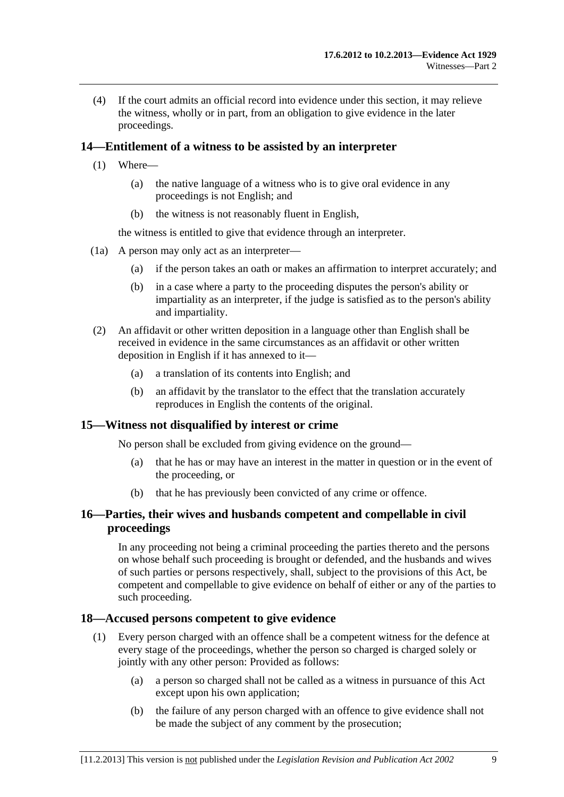<span id="page-18-0"></span> (4) If the court admits an official record into evidence under this section, it may relieve the witness, wholly or in part, from an obligation to give evidence in the later proceedings.

## **14—Entitlement of a witness to be assisted by an interpreter**

- (1) Where—
	- (a) the native language of a witness who is to give oral evidence in any proceedings is not English; and
	- (b) the witness is not reasonably fluent in English,

the witness is entitled to give that evidence through an interpreter.

- (1a) A person may only act as an interpreter—
	- (a) if the person takes an oath or makes an affirmation to interpret accurately; and
	- (b) in a case where a party to the proceeding disputes the person's ability or impartiality as an interpreter, if the judge is satisfied as to the person's ability and impartiality.
- (2) An affidavit or other written deposition in a language other than English shall be received in evidence in the same circumstances as an affidavit or other written deposition in English if it has annexed to it—
	- (a) a translation of its contents into English; and
	- (b) an affidavit by the translator to the effect that the translation accurately reproduces in English the contents of the original.

## **15—Witness not disqualified by interest or crime**

No person shall be excluded from giving evidence on the ground—

- (a) that he has or may have an interest in the matter in question or in the event of the proceeding, or
- (b) that he has previously been convicted of any crime or offence.

## **16—Parties, their wives and husbands competent and compellable in civil proceedings**

In any proceeding not being a criminal proceeding the parties thereto and the persons on whose behalf such proceeding is brought or defended, and the husbands and wives of such parties or persons respectively, shall, subject to the provisions of this Act, be competent and compellable to give evidence on behalf of either or any of the parties to such proceeding.

## **18—Accused persons competent to give evidence**

- (1) Every person charged with an offence shall be a competent witness for the defence at every stage of the proceedings, whether the person so charged is charged solely or jointly with any other person: Provided as follows:
	- (a) a person so charged shall not be called as a witness in pursuance of this Act except upon his own application;
	- (b) the failure of any person charged with an offence to give evidence shall not be made the subject of any comment by the prosecution;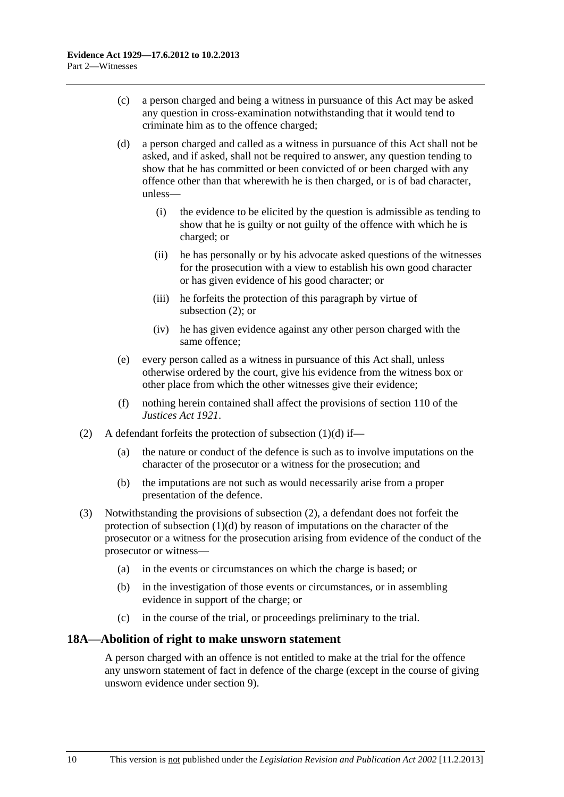- <span id="page-19-0"></span> (c) a person charged and being a witness in pursuance of this Act may be asked any question in cross-examination notwithstanding that it would tend to criminate him as to the offence charged;
- (d) a person charged and called as a witness in pursuance of this Act shall not be asked, and if asked, shall not be required to answer, any question tending to show that he has committed or been convicted of or been charged with any offence other than that wherewith he is then charged, or is of bad character, unless—
	- (i) the evidence to be elicited by the question is admissible as tending to show that he is guilty or not guilty of the offence with which he is charged; or
	- (ii) he has personally or by his advocate asked questions of the witnesses for the prosecution with a view to establish his own good character or has given evidence of his good character; or
	- (iii) he forfeits the protection of this paragraph by virtue of [subsection \(2\);](#page-19-0) or
	- (iv) he has given evidence against any other person charged with the same offence;
- (e) every person called as a witness in pursuance of this Act shall, unless otherwise ordered by the court, give his evidence from the witness box or other place from which the other witnesses give their evidence;
- (f) nothing herein contained shall affect the provisions of section 110 of the *[Justices Act 1921](http://www.legislation.sa.gov.au/index.aspx?action=legref&type=act&legtitle=Justices%20Act%201921)*.
- (2) A defendant forfeits the protection of subsection  $(1)(d)$  if—
	- (a) the nature or conduct of the defence is such as to involve imputations on the character of the prosecutor or a witness for the prosecution; and
	- (b) the imputations are not such as would necessarily arise from a proper presentation of the defence.
- (3) Notwithstanding the provisions of [subsection \(2\)](#page-19-0), a defendant does not forfeit the protection of [subsection \(1\)\(d\)](#page-19-0) by reason of imputations on the character of the prosecutor or a witness for the prosecution arising from evidence of the conduct of the prosecutor or witness—
	- (a) in the events or circumstances on which the charge is based; or
	- (b) in the investigation of those events or circumstances, or in assembling evidence in support of the charge; or
	- (c) in the course of the trial, or proceedings preliminary to the trial.

## **18A—Abolition of right to make unsworn statement**

A person charged with an offence is not entitled to make at the trial for the offence any unsworn statement of fact in defence of the charge (except in the course of giving unsworn evidence under [section 9](#page-10-0)).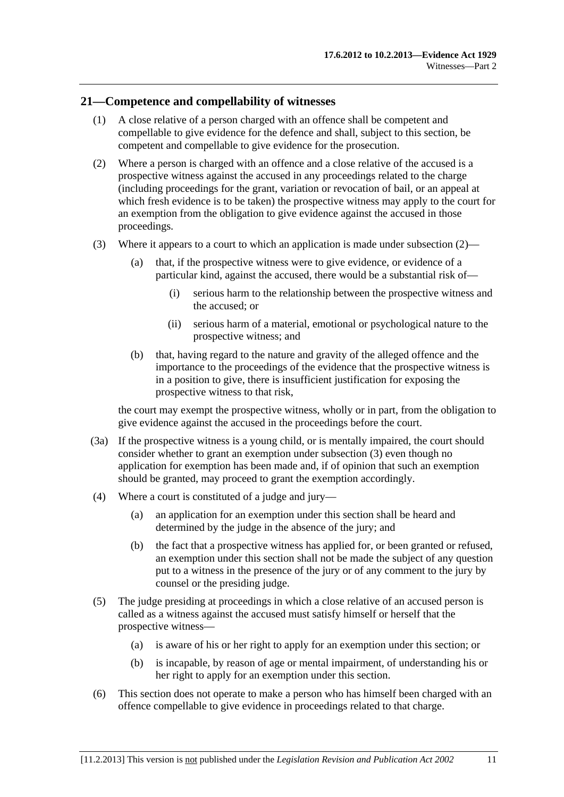#### <span id="page-20-0"></span>**21—Competence and compellability of witnesses**

- (1) A close relative of a person charged with an offence shall be competent and compellable to give evidence for the defence and shall, subject to this section, be competent and compellable to give evidence for the prosecution.
- (2) Where a person is charged with an offence and a close relative of the accused is a prospective witness against the accused in any proceedings related to the charge (including proceedings for the grant, variation or revocation of bail, or an appeal at which fresh evidence is to be taken) the prospective witness may apply to the court for an exemption from the obligation to give evidence against the accused in those proceedings.
- (3) Where it appears to a court to which an application is made under subsection  $(2)$ 
	- (a) that, if the prospective witness were to give evidence, or evidence of a particular kind, against the accused, there would be a substantial risk of—
		- (i) serious harm to the relationship between the prospective witness and the accused; or
		- (ii) serious harm of a material, emotional or psychological nature to the prospective witness; and
	- (b) that, having regard to the nature and gravity of the alleged offence and the importance to the proceedings of the evidence that the prospective witness is in a position to give, there is insufficient justification for exposing the prospective witness to that risk,

the court may exempt the prospective witness, wholly or in part, from the obligation to give evidence against the accused in the proceedings before the court.

- (3a) If the prospective witness is a young child, or is mentally impaired, the court should consider whether to grant an exemption under [subsection \(3\)](#page-20-0) even though no application for exemption has been made and, if of opinion that such an exemption should be granted, may proceed to grant the exemption accordingly.
- (4) Where a court is constituted of a judge and jury—
	- (a) an application for an exemption under this section shall be heard and determined by the judge in the absence of the jury; and
	- (b) the fact that a prospective witness has applied for, or been granted or refused, an exemption under this section shall not be made the subject of any question put to a witness in the presence of the jury or of any comment to the jury by counsel or the presiding judge.
- (5) The judge presiding at proceedings in which a close relative of an accused person is called as a witness against the accused must satisfy himself or herself that the prospective witness—
	- (a) is aware of his or her right to apply for an exemption under this section; or
	- (b) is incapable, by reason of age or mental impairment, of understanding his or her right to apply for an exemption under this section.
- (6) This section does not operate to make a person who has himself been charged with an offence compellable to give evidence in proceedings related to that charge.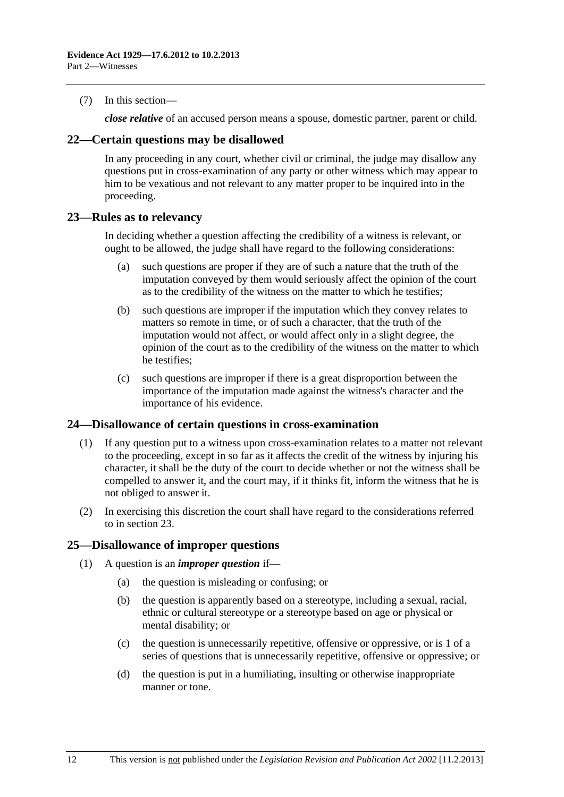<span id="page-21-0"></span>(7) In this section—

*close relative* of an accused person means a spouse, domestic partner, parent or child.

### **22—Certain questions may be disallowed**

In any proceeding in any court, whether civil or criminal, the judge may disallow any questions put in cross-examination of any party or other witness which may appear to him to be vexatious and not relevant to any matter proper to be inquired into in the proceeding.

### **23—Rules as to relevancy**

In deciding whether a question affecting the credibility of a witness is relevant, or ought to be allowed, the judge shall have regard to the following considerations:

- (a) such questions are proper if they are of such a nature that the truth of the imputation conveyed by them would seriously affect the opinion of the court as to the credibility of the witness on the matter to which he testifies;
- (b) such questions are improper if the imputation which they convey relates to matters so remote in time, or of such a character, that the truth of the imputation would not affect, or would affect only in a slight degree, the opinion of the court as to the credibility of the witness on the matter to which he testifies;
- (c) such questions are improper if there is a great disproportion between the importance of the imputation made against the witness's character and the importance of his evidence.

#### **24—Disallowance of certain questions in cross-examination**

- (1) If any question put to a witness upon cross-examination relates to a matter not relevant to the proceeding, except in so far as it affects the credit of the witness by injuring his character, it shall be the duty of the court to decide whether or not the witness shall be compelled to answer it, and the court may, if it thinks fit, inform the witness that he is not obliged to answer it.
- (2) In exercising this discretion the court shall have regard to the considerations referred to in [section 23](#page-21-0).

## **25—Disallowance of improper questions**

- (1) A question is an *improper question* if—
	- (a) the question is misleading or confusing; or
	- (b) the question is apparently based on a stereotype, including a sexual, racial, ethnic or cultural stereotype or a stereotype based on age or physical or mental disability; or
	- (c) the question is unnecessarily repetitive, offensive or oppressive, or is 1 of a series of questions that is unnecessarily repetitive, offensive or oppressive; or
	- (d) the question is put in a humiliating, insulting or otherwise inappropriate manner or tone.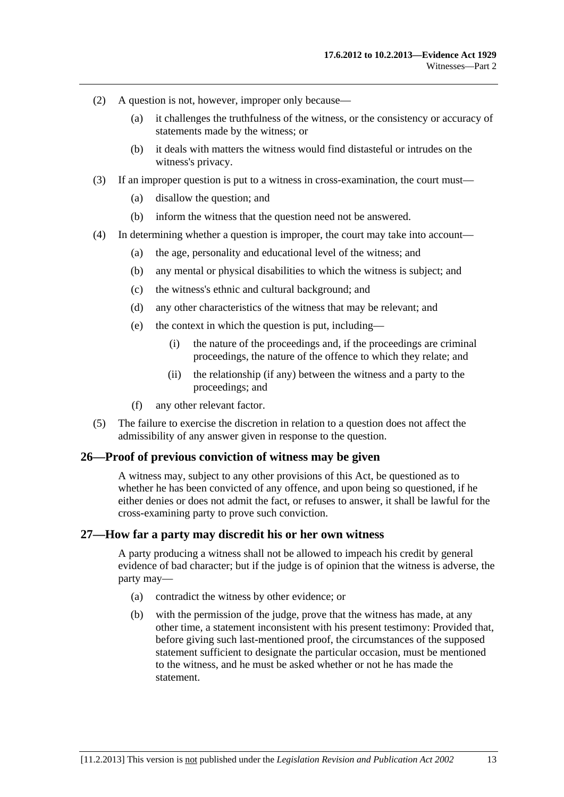- <span id="page-22-0"></span> (2) A question is not, however, improper only because—
	- (a) it challenges the truthfulness of the witness, or the consistency or accuracy of statements made by the witness; or
	- (b) it deals with matters the witness would find distasteful or intrudes on the witness's privacy.
- (3) If an improper question is put to a witness in cross-examination, the court must—
	- (a) disallow the question; and
	- (b) inform the witness that the question need not be answered.
- (4) In determining whether a question is improper, the court may take into account—
	- (a) the age, personality and educational level of the witness; and
	- (b) any mental or physical disabilities to which the witness is subject; and
	- (c) the witness's ethnic and cultural background; and
	- (d) any other characteristics of the witness that may be relevant; and
	- (e) the context in which the question is put, including—
		- (i) the nature of the proceedings and, if the proceedings are criminal proceedings, the nature of the offence to which they relate; and
		- (ii) the relationship (if any) between the witness and a party to the proceedings; and
	- (f) any other relevant factor.
- (5) The failure to exercise the discretion in relation to a question does not affect the admissibility of any answer given in response to the question.

#### **26—Proof of previous conviction of witness may be given**

A witness may, subject to any other provisions of this Act, be questioned as to whether he has been convicted of any offence, and upon being so questioned, if he either denies or does not admit the fact, or refuses to answer, it shall be lawful for the cross-examining party to prove such conviction.

#### **27—How far a party may discredit his or her own witness**

A party producing a witness shall not be allowed to impeach his credit by general evidence of bad character; but if the judge is of opinion that the witness is adverse, the party may—

- (a) contradict the witness by other evidence; or
- (b) with the permission of the judge, prove that the witness has made, at any other time, a statement inconsistent with his present testimony: Provided that, before giving such last-mentioned proof, the circumstances of the supposed statement sufficient to designate the particular occasion, must be mentioned to the witness, and he must be asked whether or not he has made the statement.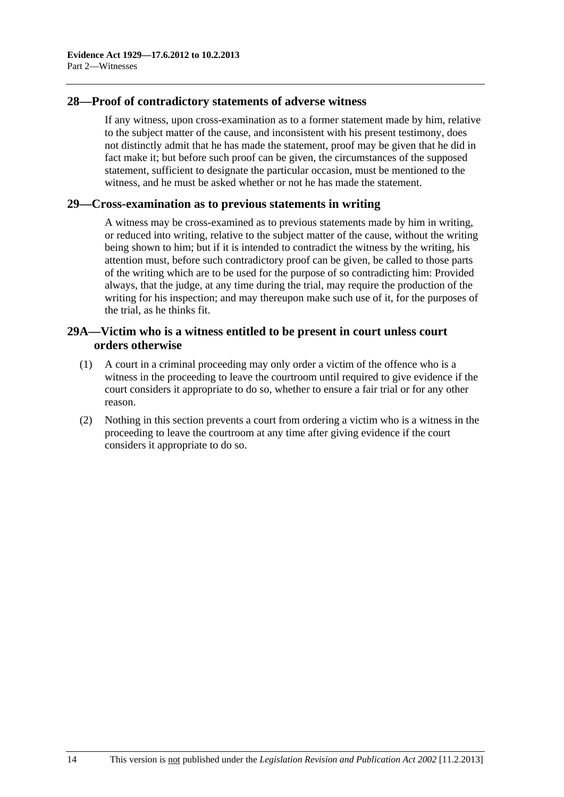## <span id="page-23-0"></span>**28—Proof of contradictory statements of adverse witness**

If any witness, upon cross-examination as to a former statement made by him, relative to the subject matter of the cause, and inconsistent with his present testimony, does not distinctly admit that he has made the statement, proof may be given that he did in fact make it; but before such proof can be given, the circumstances of the supposed statement, sufficient to designate the particular occasion, must be mentioned to the witness, and he must be asked whether or not he has made the statement.

#### **29—Cross-examination as to previous statements in writing**

A witness may be cross-examined as to previous statements made by him in writing, or reduced into writing, relative to the subject matter of the cause, without the writing being shown to him; but if it is intended to contradict the witness by the writing, his attention must, before such contradictory proof can be given, be called to those parts of the writing which are to be used for the purpose of so contradicting him: Provided always, that the judge, at any time during the trial, may require the production of the writing for his inspection; and may thereupon make such use of it, for the purposes of the trial, as he thinks fit.

## **29A—Victim who is a witness entitled to be present in court unless court orders otherwise**

- (1) A court in a criminal proceeding may only order a victim of the offence who is a witness in the proceeding to leave the courtroom until required to give evidence if the court considers it appropriate to do so, whether to ensure a fair trial or for any other reason.
- (2) Nothing in this section prevents a court from ordering a victim who is a witness in the proceeding to leave the courtroom at any time after giving evidence if the court considers it appropriate to do so.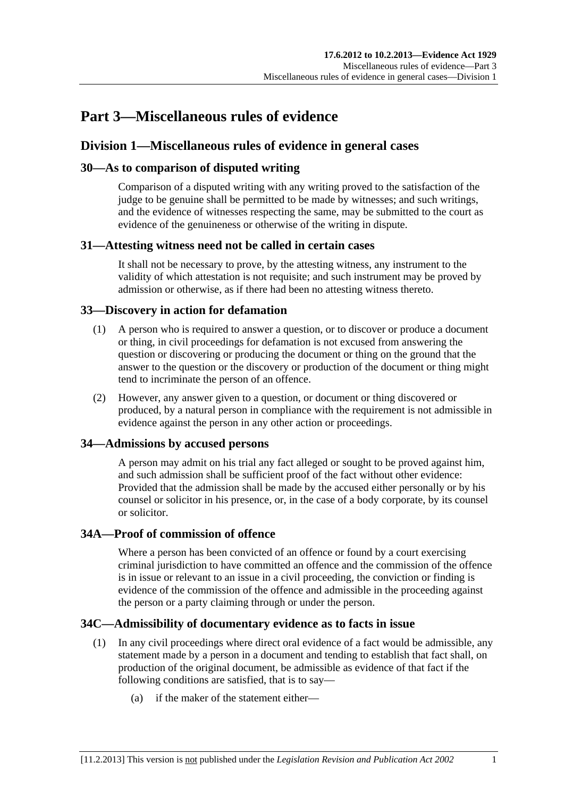# <span id="page-24-0"></span>**Part 3—Miscellaneous rules of evidence**

## **Division 1—Miscellaneous rules of evidence in general cases**

## **30—As to comparison of disputed writing**

Comparison of a disputed writing with any writing proved to the satisfaction of the judge to be genuine shall be permitted to be made by witnesses; and such writings, and the evidence of witnesses respecting the same, may be submitted to the court as evidence of the genuineness or otherwise of the writing in dispute.

## **31—Attesting witness need not be called in certain cases**

It shall not be necessary to prove, by the attesting witness, any instrument to the validity of which attestation is not requisite; and such instrument may be proved by admission or otherwise, as if there had been no attesting witness thereto.

## **33—Discovery in action for defamation**

- (1) A person who is required to answer a question, or to discover or produce a document or thing, in civil proceedings for defamation is not excused from answering the question or discovering or producing the document or thing on the ground that the answer to the question or the discovery or production of the document or thing might tend to incriminate the person of an offence.
- (2) However, any answer given to a question, or document or thing discovered or produced, by a natural person in compliance with the requirement is not admissible in evidence against the person in any other action or proceedings.

## **34—Admissions by accused persons**

A person may admit on his trial any fact alleged or sought to be proved against him, and such admission shall be sufficient proof of the fact without other evidence: Provided that the admission shall be made by the accused either personally or by his counsel or solicitor in his presence, or, in the case of a body corporate, by its counsel or solicitor.

## **34A—Proof of commission of offence**

Where a person has been convicted of an offence or found by a court exercising criminal jurisdiction to have committed an offence and the commission of the offence is in issue or relevant to an issue in a civil proceeding, the conviction or finding is evidence of the commission of the offence and admissible in the proceeding against the person or a party claiming through or under the person.

## **34C—Admissibility of documentary evidence as to facts in issue**

- (1) In any civil proceedings where direct oral evidence of a fact would be admissible, any statement made by a person in a document and tending to establish that fact shall, on production of the original document, be admissible as evidence of that fact if the following conditions are satisfied, that is to say—
	- (a) if the maker of the statement either—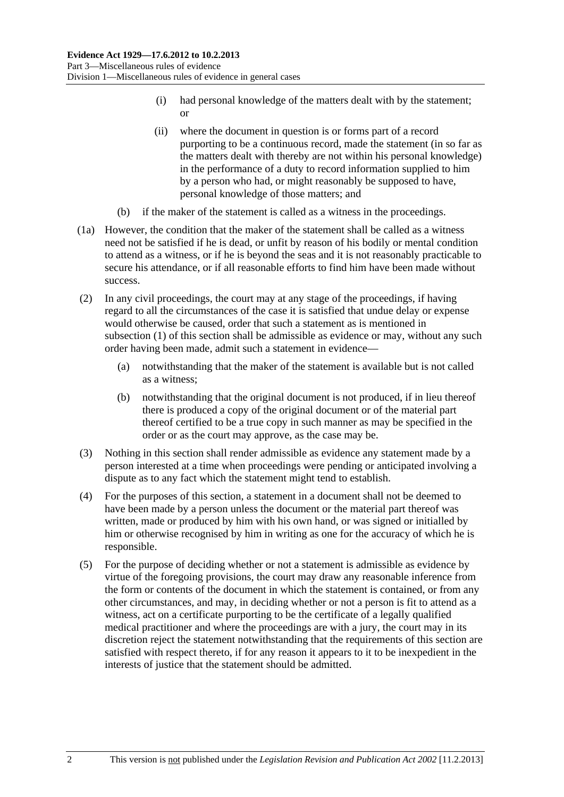- (i) had personal knowledge of the matters dealt with by the statement; or
- (ii) where the document in question is or forms part of a record purporting to be a continuous record, made the statement (in so far as the matters dealt with thereby are not within his personal knowledge) in the performance of a duty to record information supplied to him by a person who had, or might reasonably be supposed to have, personal knowledge of those matters; and
- (b) if the maker of the statement is called as a witness in the proceedings.
- (1a) However, the condition that the maker of the statement shall be called as a witness need not be satisfied if he is dead, or unfit by reason of his bodily or mental condition to attend as a witness, or if he is beyond the seas and it is not reasonably practicable to secure his attendance, or if all reasonable efforts to find him have been made without success.
- (2) In any civil proceedings, the court may at any stage of the proceedings, if having regard to all the circumstances of the case it is satisfied that undue delay or expense would otherwise be caused, order that such a statement as is mentioned in [subsection \(1\)](#page-24-0) of this section shall be admissible as evidence or may, without any such order having been made, admit such a statement in evidence—
	- (a) notwithstanding that the maker of the statement is available but is not called as a witness;
	- (b) notwithstanding that the original document is not produced, if in lieu thereof there is produced a copy of the original document or of the material part thereof certified to be a true copy in such manner as may be specified in the order or as the court may approve, as the case may be.
- (3) Nothing in this section shall render admissible as evidence any statement made by a person interested at a time when proceedings were pending or anticipated involving a dispute as to any fact which the statement might tend to establish.
- (4) For the purposes of this section, a statement in a document shall not be deemed to have been made by a person unless the document or the material part thereof was written, made or produced by him with his own hand, or was signed or initialled by him or otherwise recognised by him in writing as one for the accuracy of which he is responsible.
- (5) For the purpose of deciding whether or not a statement is admissible as evidence by virtue of the foregoing provisions, the court may draw any reasonable inference from the form or contents of the document in which the statement is contained, or from any other circumstances, and may, in deciding whether or not a person is fit to attend as a witness, act on a certificate purporting to be the certificate of a legally qualified medical practitioner and where the proceedings are with a jury, the court may in its discretion reject the statement notwithstanding that the requirements of this section are satisfied with respect thereto, if for any reason it appears to it to be inexpedient in the interests of justice that the statement should be admitted.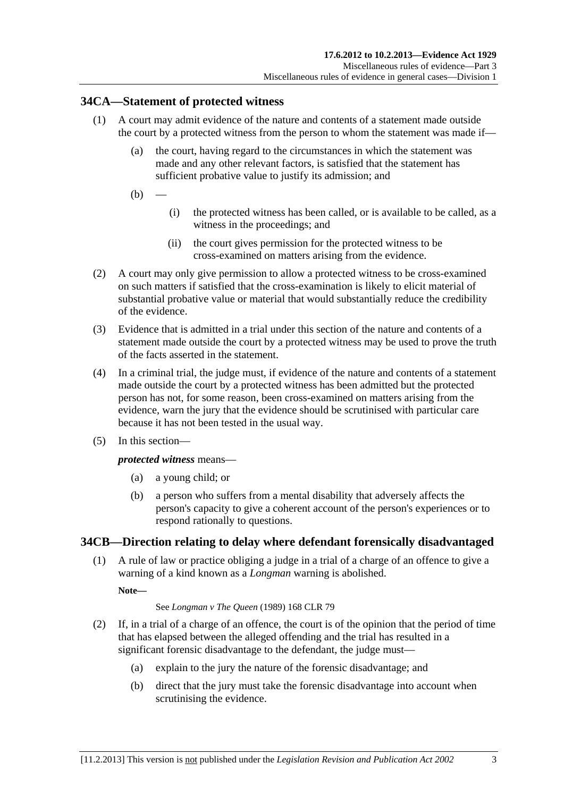## <span id="page-26-0"></span>**34CA—Statement of protected witness**

- (1) A court may admit evidence of the nature and contents of a statement made outside the court by a protected witness from the person to whom the statement was made if—
	- (a) the court, having regard to the circumstances in which the statement was made and any other relevant factors, is satisfied that the statement has sufficient probative value to justify its admission; and
	- $(b)$
- (i) the protected witness has been called, or is available to be called, as a witness in the proceedings; and
- (ii) the court gives permission for the protected witness to be cross-examined on matters arising from the evidence.
- (2) A court may only give permission to allow a protected witness to be cross-examined on such matters if satisfied that the cross-examination is likely to elicit material of substantial probative value or material that would substantially reduce the credibility of the evidence.
- (3) Evidence that is admitted in a trial under this section of the nature and contents of a statement made outside the court by a protected witness may be used to prove the truth of the facts asserted in the statement.
- (4) In a criminal trial, the judge must, if evidence of the nature and contents of a statement made outside the court by a protected witness has been admitted but the protected person has not, for some reason, been cross-examined on matters arising from the evidence, warn the jury that the evidence should be scrutinised with particular care because it has not been tested in the usual way.
- (5) In this section—

#### *protected witness* means—

- (a) a young child; or
- (b) a person who suffers from a mental disability that adversely affects the person's capacity to give a coherent account of the person's experiences or to respond rationally to questions.

## **34CB—Direction relating to delay where defendant forensically disadvantaged**

 (1) A rule of law or practice obliging a judge in a trial of a charge of an offence to give a warning of a kind known as a *Longman* warning is abolished.

**Note—** 

See *Longman v The Queen* (1989) 168 CLR 79

- (2) If, in a trial of a charge of an offence, the court is of the opinion that the period of time that has elapsed between the alleged offending and the trial has resulted in a significant forensic disadvantage to the defendant, the judge must—
	- (a) explain to the jury the nature of the forensic disadvantage; and
	- (b) direct that the jury must take the forensic disadvantage into account when scrutinising the evidence.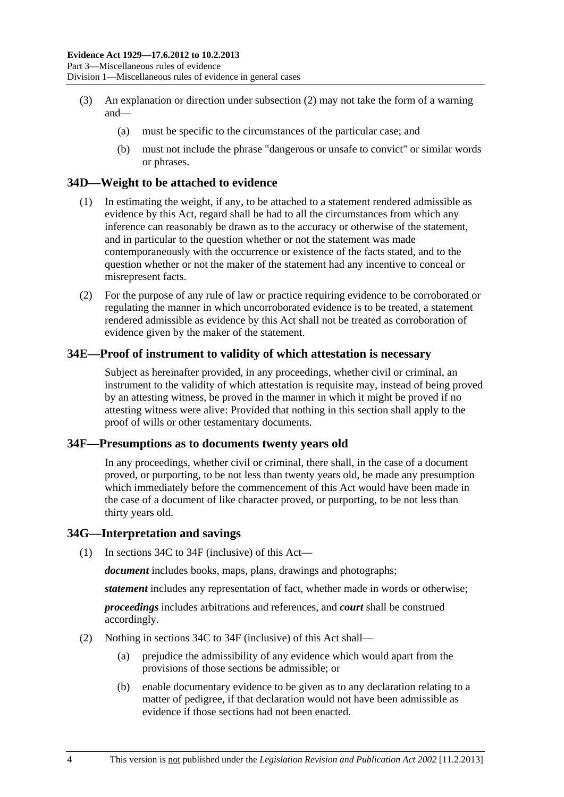- <span id="page-27-0"></span> (3) An explanation or direction under [subsection \(2\)](#page-26-0) may not take the form of a warning and—
	- (a) must be specific to the circumstances of the particular case; and
	- (b) must not include the phrase "dangerous or unsafe to convict" or similar words or phrases.

## **34D—Weight to be attached to evidence**

- (1) In estimating the weight, if any, to be attached to a statement rendered admissible as evidence by this Act, regard shall be had to all the circumstances from which any inference can reasonably be drawn as to the accuracy or otherwise of the statement, and in particular to the question whether or not the statement was made contemporaneously with the occurrence or existence of the facts stated, and to the question whether or not the maker of the statement had any incentive to conceal or misrepresent facts.
- (2) For the purpose of any rule of law or practice requiring evidence to be corroborated or regulating the manner in which uncorroborated evidence is to be treated, a statement rendered admissible as evidence by this Act shall not be treated as corroboration of evidence given by the maker of the statement.

### **34E—Proof of instrument to validity of which attestation is necessary**

Subject as hereinafter provided, in any proceedings, whether civil or criminal, an instrument to the validity of which attestation is requisite may, instead of being proved by an attesting witness, be proved in the manner in which it might be proved if no attesting witness were alive: Provided that nothing in this section shall apply to the proof of wills or other testamentary documents.

#### **34F—Presumptions as to documents twenty years old**

In any proceedings, whether civil or criminal, there shall, in the case of a document proved, or purporting, to be not less than twenty years old, be made any presumption which immediately before the commencement of this Act would have been made in the case of a document of like character proved, or purporting, to be not less than thirty years old.

#### **34G—Interpretation and savings**

(1) In [sections 34C](#page-24-0) to [34F](#page-27-0) (inclusive) of this Act—

*document* includes books, maps, plans, drawings and photographs;

*statement* includes any representation of fact, whether made in words or otherwise;

*proceedings* includes arbitrations and references, and *court* shall be construed accordingly.

- (2) Nothing in [sections 34C](#page-24-0) to [34F](#page-27-0) (inclusive) of this Act shall—
	- (a) prejudice the admissibility of any evidence which would apart from the provisions of those sections be admissible; or
	- (b) enable documentary evidence to be given as to any declaration relating to a matter of pedigree, if that declaration would not have been admissible as evidence if those sections had not been enacted.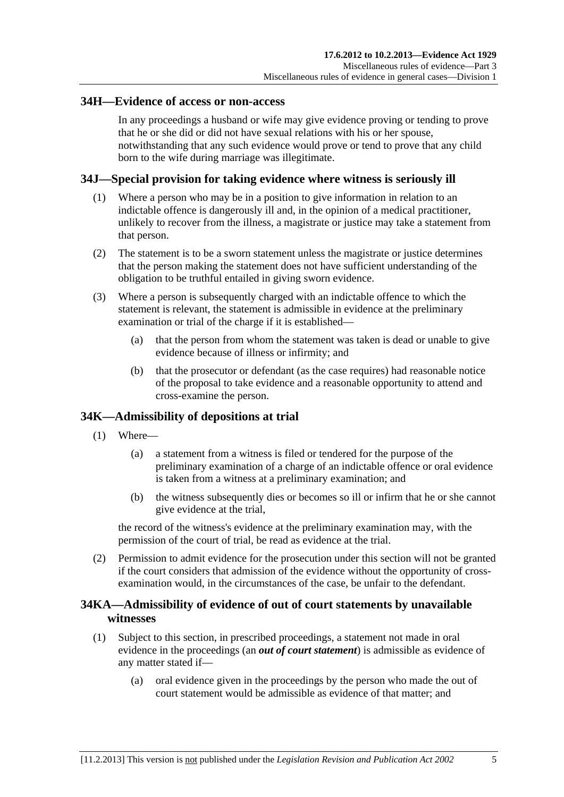#### <span id="page-28-0"></span>**34H—Evidence of access or non-access**

In any proceedings a husband or wife may give evidence proving or tending to prove that he or she did or did not have sexual relations with his or her spouse, notwithstanding that any such evidence would prove or tend to prove that any child born to the wife during marriage was illegitimate.

## **34J—Special provision for taking evidence where witness is seriously ill**

- (1) Where a person who may be in a position to give information in relation to an indictable offence is dangerously ill and, in the opinion of a medical practitioner, unlikely to recover from the illness, a magistrate or justice may take a statement from that person.
- (2) The statement is to be a sworn statement unless the magistrate or justice determines that the person making the statement does not have sufficient understanding of the obligation to be truthful entailed in giving sworn evidence.
- (3) Where a person is subsequently charged with an indictable offence to which the statement is relevant, the statement is admissible in evidence at the preliminary examination or trial of the charge if it is established—
	- (a) that the person from whom the statement was taken is dead or unable to give evidence because of illness or infirmity; and
	- (b) that the prosecutor or defendant (as the case requires) had reasonable notice of the proposal to take evidence and a reasonable opportunity to attend and cross-examine the person.

## **34K—Admissibility of depositions at trial**

- (1) Where—
	- (a) a statement from a witness is filed or tendered for the purpose of the preliminary examination of a charge of an indictable offence or oral evidence is taken from a witness at a preliminary examination; and
	- (b) the witness subsequently dies or becomes so ill or infirm that he or she cannot give evidence at the trial,

the record of the witness's evidence at the preliminary examination may, with the permission of the court of trial, be read as evidence at the trial.

 (2) Permission to admit evidence for the prosecution under this section will not be granted if the court considers that admission of the evidence without the opportunity of crossexamination would, in the circumstances of the case, be unfair to the defendant.

## **34KA—Admissibility of evidence of out of court statements by unavailable witnesses**

- (1) Subject to this section, in prescribed proceedings, a statement not made in oral evidence in the proceedings (an *out of court statement*) is admissible as evidence of any matter stated if—
	- (a) oral evidence given in the proceedings by the person who made the out of court statement would be admissible as evidence of that matter; and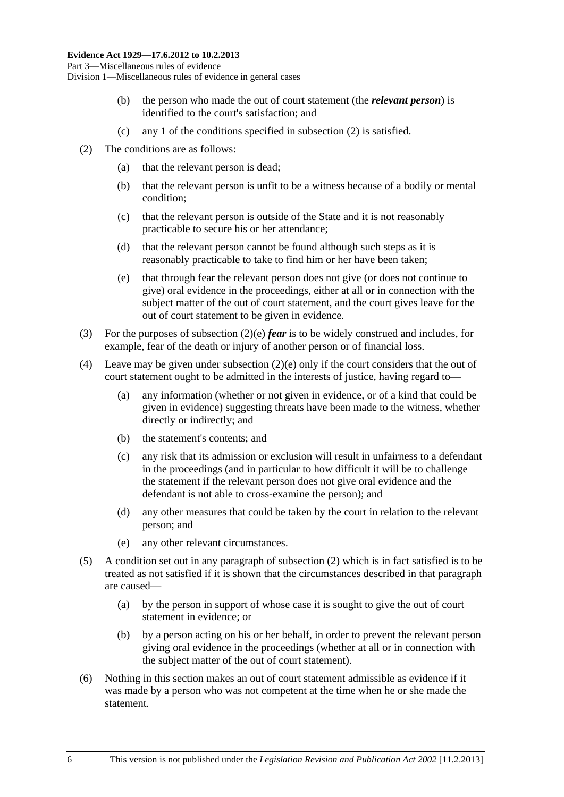- <span id="page-29-0"></span> (b) the person who made the out of court statement (the *relevant person*) is identified to the court's satisfaction; and
- (c) any 1 of the conditions specified in [subsection \(2\)](#page-29-0) is satisfied.
- (2) The conditions are as follows:
	- (a) that the relevant person is dead;
	- (b) that the relevant person is unfit to be a witness because of a bodily or mental condition;
	- (c) that the relevant person is outside of the State and it is not reasonably practicable to secure his or her attendance;
	- (d) that the relevant person cannot be found although such steps as it is reasonably practicable to take to find him or her have been taken;
	- (e) that through fear the relevant person does not give (or does not continue to give) oral evidence in the proceedings, either at all or in connection with the subject matter of the out of court statement, and the court gives leave for the out of court statement to be given in evidence.
- (3) For the purposes of [subsection \(2\)\(e\)](#page-29-0) *fear* is to be widely construed and includes, for example, fear of the death or injury of another person or of financial loss.
- (4) Leave may be given under [subsection \(2\)\(e\)](#page-29-0) only if the court considers that the out of court statement ought to be admitted in the interests of justice, having regard to—
	- (a) any information (whether or not given in evidence, or of a kind that could be given in evidence) suggesting threats have been made to the witness, whether directly or indirectly; and
	- (b) the statement's contents; and
	- (c) any risk that its admission or exclusion will result in unfairness to a defendant in the proceedings (and in particular to how difficult it will be to challenge the statement if the relevant person does not give oral evidence and the defendant is not able to cross-examine the person); and
	- (d) any other measures that could be taken by the court in relation to the relevant person; and
	- (e) any other relevant circumstances.
- (5) A condition set out in any paragraph of [subsection \(2\)](#page-29-0) which is in fact satisfied is to be treated as not satisfied if it is shown that the circumstances described in that paragraph are caused—
	- (a) by the person in support of whose case it is sought to give the out of court statement in evidence; or
	- (b) by a person acting on his or her behalf, in order to prevent the relevant person giving oral evidence in the proceedings (whether at all or in connection with the subject matter of the out of court statement).
- (6) Nothing in this section makes an out of court statement admissible as evidence if it was made by a person who was not competent at the time when he or she made the statement.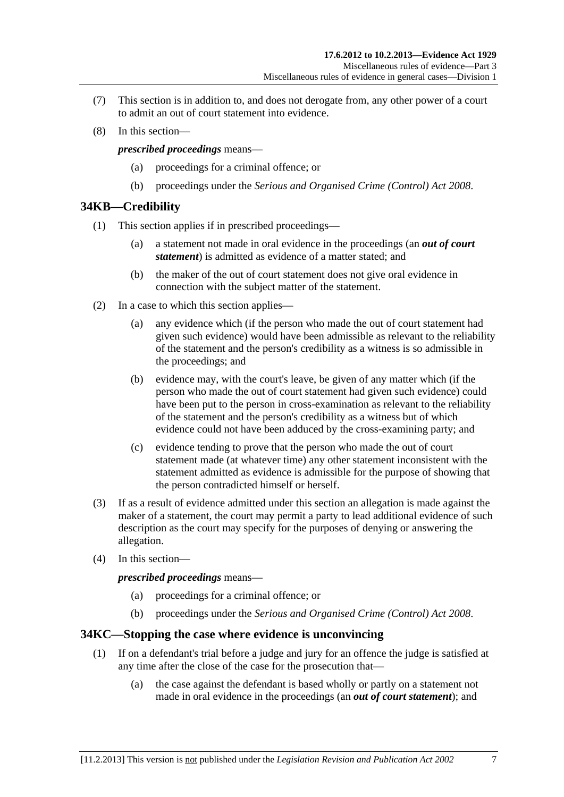- <span id="page-30-0"></span> (7) This section is in addition to, and does not derogate from, any other power of a court to admit an out of court statement into evidence.
- (8) In this section—

*prescribed proceedings* means—

- (a) proceedings for a criminal offence; or
- (b) proceedings under the *[Serious and Organised Crime \(Control\) Act 2008](http://www.legislation.sa.gov.au/index.aspx?action=legref&type=act&legtitle=Serious%20and%20Organised%20Crime%20(Control)%20Act%202008)*.

### **34KB—Credibility**

- (1) This section applies if in prescribed proceedings—
	- (a) a statement not made in oral evidence in the proceedings (an *out of court statement*) is admitted as evidence of a matter stated; and
	- (b) the maker of the out of court statement does not give oral evidence in connection with the subject matter of the statement.
- (2) In a case to which this section applies—
	- (a) any evidence which (if the person who made the out of court statement had given such evidence) would have been admissible as relevant to the reliability of the statement and the person's credibility as a witness is so admissible in the proceedings; and
	- (b) evidence may, with the court's leave, be given of any matter which (if the person who made the out of court statement had given such evidence) could have been put to the person in cross-examination as relevant to the reliability of the statement and the person's credibility as a witness but of which evidence could not have been adduced by the cross-examining party; and
	- (c) evidence tending to prove that the person who made the out of court statement made (at whatever time) any other statement inconsistent with the statement admitted as evidence is admissible for the purpose of showing that the person contradicted himself or herself.
- (3) If as a result of evidence admitted under this section an allegation is made against the maker of a statement, the court may permit a party to lead additional evidence of such description as the court may specify for the purposes of denying or answering the allegation.
- (4) In this section—

*prescribed proceedings* means—

- (a) proceedings for a criminal offence; or
- (b) proceedings under the *[Serious and Organised Crime \(Control\) Act 2008](http://www.legislation.sa.gov.au/index.aspx?action=legref&type=act&legtitle=Serious%20and%20Organised%20Crime%20(Control)%20Act%202008)*.

#### **34KC—Stopping the case where evidence is unconvincing**

- (1) If on a defendant's trial before a judge and jury for an offence the judge is satisfied at any time after the close of the case for the prosecution that—
	- (a) the case against the defendant is based wholly or partly on a statement not made in oral evidence in the proceedings (an *out of court statement*); and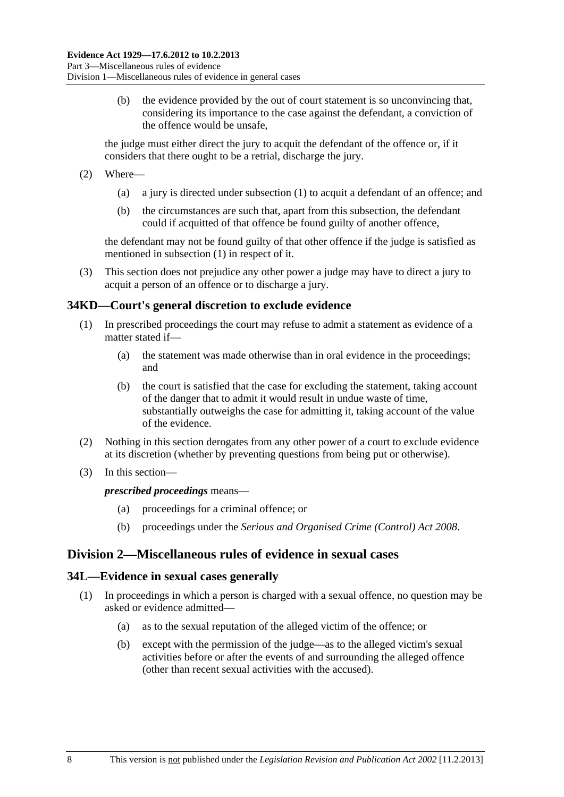<span id="page-31-0"></span> (b) the evidence provided by the out of court statement is so unconvincing that, considering its importance to the case against the defendant, a conviction of the offence would be unsafe,

the judge must either direct the jury to acquit the defendant of the offence or, if it considers that there ought to be a retrial, discharge the jury.

- (2) Where—
	- (a) a jury is directed under [subsection \(1\)](#page-30-0) to acquit a defendant of an offence; and
	- (b) the circumstances are such that, apart from this subsection, the defendant could if acquitted of that offence be found guilty of another offence,

the defendant may not be found guilty of that other offence if the judge is satisfied as mentioned in [subsection \(1\)](#page-30-0) in respect of it.

 (3) This section does not prejudice any other power a judge may have to direct a jury to acquit a person of an offence or to discharge a jury.

### **34KD—Court's general discretion to exclude evidence**

- (1) In prescribed proceedings the court may refuse to admit a statement as evidence of a matter stated if—
	- (a) the statement was made otherwise than in oral evidence in the proceedings; and
	- (b) the court is satisfied that the case for excluding the statement, taking account of the danger that to admit it would result in undue waste of time, substantially outweighs the case for admitting it, taking account of the value of the evidence.
- (2) Nothing in this section derogates from any other power of a court to exclude evidence at its discretion (whether by preventing questions from being put or otherwise).
- (3) In this section—

#### *prescribed proceedings* means—

- (a) proceedings for a criminal offence; or
- (b) proceedings under the *[Serious and Organised Crime \(Control\) Act 2008](http://www.legislation.sa.gov.au/index.aspx?action=legref&type=act&legtitle=Serious%20and%20Organised%20Crime%20(Control)%20Act%202008)*.

## **Division 2—Miscellaneous rules of evidence in sexual cases**

#### **34L—Evidence in sexual cases generally**

- (1) In proceedings in which a person is charged with a sexual offence, no question may be asked or evidence admitted—
	- (a) as to the sexual reputation of the alleged victim of the offence; or
	- (b) except with the permission of the judge—as to the alleged victim's sexual activities before or after the events of and surrounding the alleged offence (other than recent sexual activities with the accused).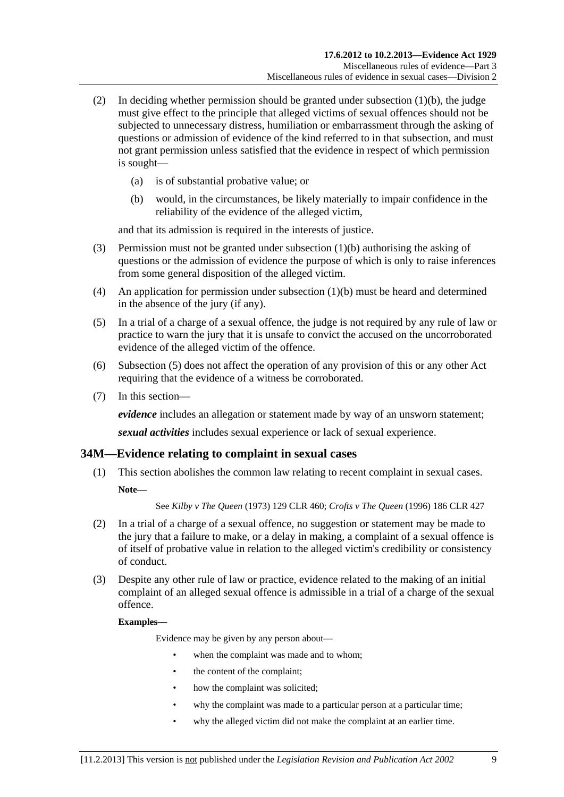- <span id="page-32-0"></span>(2) In deciding whether permission should be granted under subsection  $(1)(b)$ , the judge must give effect to the principle that alleged victims of sexual offences should not be subjected to unnecessary distress, humiliation or embarrassment through the asking of questions or admission of evidence of the kind referred to in that subsection, and must not grant permission unless satisfied that the evidence in respect of which permission is sought—
	- (a) is of substantial probative value; or
	- (b) would, in the circumstances, be likely materially to impair confidence in the reliability of the evidence of the alleged victim,

and that its admission is required in the interests of justice.

- (3) Permission must not be granted under [subsection \(1\)\(b\)](#page-31-0) authorising the asking of questions or the admission of evidence the purpose of which is only to raise inferences from some general disposition of the alleged victim.
- (4) An application for permission under subsection  $(1)(b)$  must be heard and determined in the absence of the jury (if any).
- (5) In a trial of a charge of a sexual offence, the judge is not required by any rule of law or practice to warn the jury that it is unsafe to convict the accused on the uncorroborated evidence of the alleged victim of the offence.
- (6) [Subsection \(5\)](#page-32-0) does not affect the operation of any provision of this or any other Act requiring that the evidence of a witness be corroborated.
- (7) In this section—

*evidence* includes an allegation or statement made by way of an unsworn statement;

*sexual activities* includes sexual experience or lack of sexual experience.

#### **34M—Evidence relating to complaint in sexual cases**

 (1) This section abolishes the common law relating to recent complaint in sexual cases. **Note—** 

See *Kilby v The Queen* (1973) 129 CLR 460; *Crofts v The Queen* (1996) 186 CLR 427

- (2) In a trial of a charge of a sexual offence, no suggestion or statement may be made to the jury that a failure to make, or a delay in making, a complaint of a sexual offence is of itself of probative value in relation to the alleged victim's credibility or consistency of conduct.
- (3) Despite any other rule of law or practice, evidence related to the making of an initial complaint of an alleged sexual offence is admissible in a trial of a charge of the sexual offence.

#### **Examples—**

Evidence may be given by any person about—

- when the complaint was made and to whom;
- the content of the complaint;
- how the complaint was solicited;
- why the complaint was made to a particular person at a particular time;
- why the alleged victim did not make the complaint at an earlier time.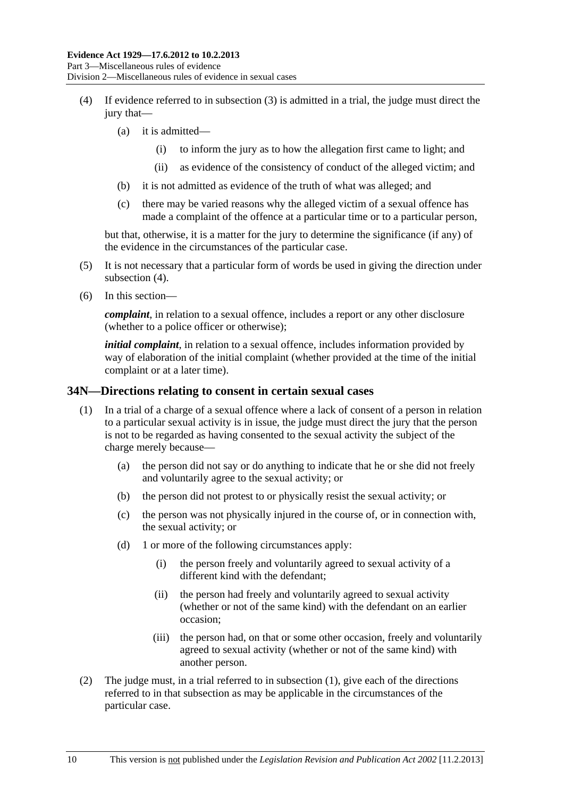- <span id="page-33-0"></span> (4) If evidence referred to in [subsection \(3\)](#page-32-0) is admitted in a trial, the judge must direct the jury that—
	- (a) it is admitted—
		- (i) to inform the jury as to how the allegation first came to light; and
		- (ii) as evidence of the consistency of conduct of the alleged victim; and
	- (b) it is not admitted as evidence of the truth of what was alleged; and
	- (c) there may be varied reasons why the alleged victim of a sexual offence has made a complaint of the offence at a particular time or to a particular person,

but that, otherwise, it is a matter for the jury to determine the significance (if any) of the evidence in the circumstances of the particular case.

- (5) It is not necessary that a particular form of words be used in giving the direction under subsection  $(4)$ .
- (6) In this section—

*complaint*, in relation to a sexual offence, includes a report or any other disclosure (whether to a police officer or otherwise);

*initial complaint*, in relation to a sexual offence, includes information provided by way of elaboration of the initial complaint (whether provided at the time of the initial complaint or at a later time).

#### **34N—Directions relating to consent in certain sexual cases**

- (1) In a trial of a charge of a sexual offence where a lack of consent of a person in relation to a particular sexual activity is in issue, the judge must direct the jury that the person is not to be regarded as having consented to the sexual activity the subject of the charge merely because—
	- (a) the person did not say or do anything to indicate that he or she did not freely and voluntarily agree to the sexual activity; or
	- (b) the person did not protest to or physically resist the sexual activity; or
	- (c) the person was not physically injured in the course of, or in connection with, the sexual activity; or
	- (d) 1 or more of the following circumstances apply:
		- (i) the person freely and voluntarily agreed to sexual activity of a different kind with the defendant;
		- (ii) the person had freely and voluntarily agreed to sexual activity (whether or not of the same kind) with the defendant on an earlier occasion;
		- (iii) the person had, on that or some other occasion, freely and voluntarily agreed to sexual activity (whether or not of the same kind) with another person.
- (2) The judge must, in a trial referred to in [subsection \(1\),](#page-33-0) give each of the directions referred to in that subsection as may be applicable in the circumstances of the particular case.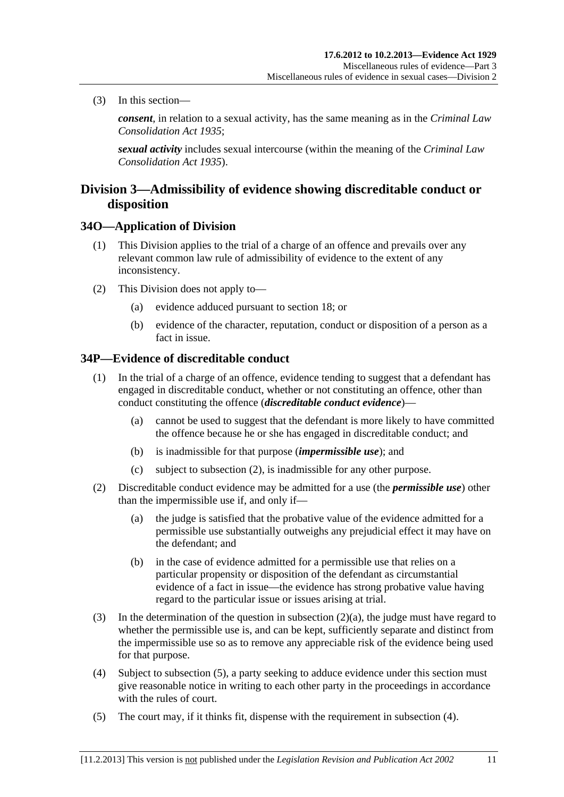<span id="page-34-0"></span>(3) In this section—

*consent*, in relation to a sexual activity, has the same meaning as in the *[Criminal Law](http://www.legislation.sa.gov.au/index.aspx?action=legref&type=act&legtitle=Criminal%20Law%20Consolidation%20Act%201935)  [Consolidation Act 1935](http://www.legislation.sa.gov.au/index.aspx?action=legref&type=act&legtitle=Criminal%20Law%20Consolidation%20Act%201935)*;

*sexual activity* includes sexual intercourse (within the meaning of the *[Criminal Law](http://www.legislation.sa.gov.au/index.aspx?action=legref&type=act&legtitle=Criminal%20Law%20Consolidation%20Act%201935)  [Consolidation Act 1935](http://www.legislation.sa.gov.au/index.aspx?action=legref&type=act&legtitle=Criminal%20Law%20Consolidation%20Act%201935)*).

## **Division 3—Admissibility of evidence showing discreditable conduct or disposition**

### **34O—Application of Division**

- (1) This Division applies to the trial of a charge of an offence and prevails over any relevant common law rule of admissibility of evidence to the extent of any inconsistency.
- (2) This Division does not apply to—
	- (a) evidence adduced pursuant to [section 18;](#page-18-0) or
	- (b) evidence of the character, reputation, conduct or disposition of a person as a fact in issue.

### **34P—Evidence of discreditable conduct**

- (1) In the trial of a charge of an offence, evidence tending to suggest that a defendant has engaged in discreditable conduct, whether or not constituting an offence, other than conduct constituting the offence (*discreditable conduct evidence*)—
	- (a) cannot be used to suggest that the defendant is more likely to have committed the offence because he or she has engaged in discreditable conduct; and
	- (b) is inadmissible for that purpose (*impermissible use*); and
	- (c) subject to [subsection \(2\),](#page-34-0) is inadmissible for any other purpose.
- (2) Discreditable conduct evidence may be admitted for a use (the *permissible use*) other than the impermissible use if, and only if—
	- (a) the judge is satisfied that the probative value of the evidence admitted for a permissible use substantially outweighs any prejudicial effect it may have on the defendant; and
	- (b) in the case of evidence admitted for a permissible use that relies on a particular propensity or disposition of the defendant as circumstantial evidence of a fact in issue—the evidence has strong probative value having regard to the particular issue or issues arising at trial.
- (3) In the determination of the question in [subsection \(2\)\(a\),](#page-34-0) the judge must have regard to whether the permissible use is, and can be kept, sufficiently separate and distinct from the impermissible use so as to remove any appreciable risk of the evidence being used for that purpose.
- (4) Subject to [subsection \(5\),](#page-34-0) a party seeking to adduce evidence under this section must give reasonable notice in writing to each other party in the proceedings in accordance with the rules of court.
- (5) The court may, if it thinks fit, dispense with the requirement in [subsection \(4\).](#page-34-0)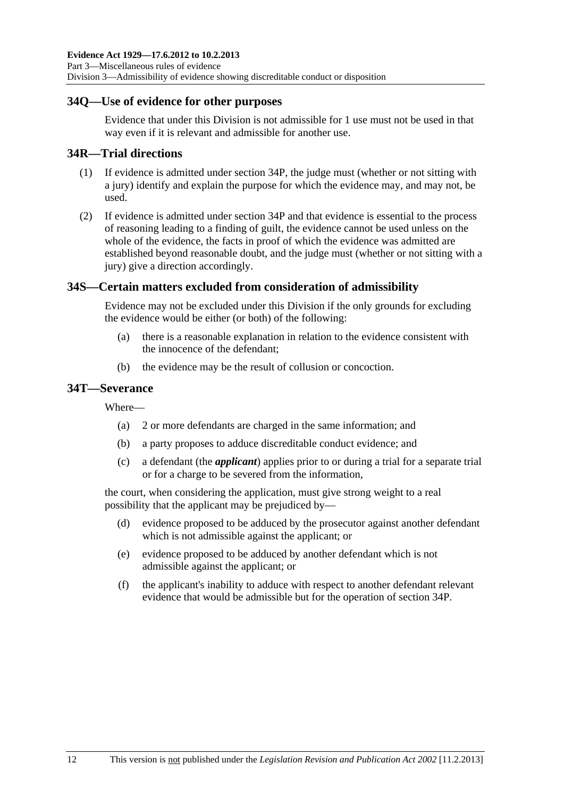## <span id="page-35-0"></span>**34Q—Use of evidence for other purposes**

Evidence that under this Division is not admissible for 1 use must not be used in that way even if it is relevant and admissible for another use.

## **34R—Trial directions**

- (1) If evidence is admitted under [section 34P](#page-34-0), the judge must (whether or not sitting with a jury) identify and explain the purpose for which the evidence may, and may not, be used.
- (2) If evidence is admitted under [section 34P](#page-34-0) and that evidence is essential to the process of reasoning leading to a finding of guilt, the evidence cannot be used unless on the whole of the evidence, the facts in proof of which the evidence was admitted are established beyond reasonable doubt, and the judge must (whether or not sitting with a jury) give a direction accordingly.

## **34S—Certain matters excluded from consideration of admissibility**

Evidence may not be excluded under this Division if the only grounds for excluding the evidence would be either (or both) of the following:

- (a) there is a reasonable explanation in relation to the evidence consistent with the innocence of the defendant;
- (b) the evidence may be the result of collusion or concoction.

#### **34T—Severance**

Where—

- (a) 2 or more defendants are charged in the same information; and
- (b) a party proposes to adduce discreditable conduct evidence; and
- (c) a defendant (the *applicant*) applies prior to or during a trial for a separate trial or for a charge to be severed from the information,

the court, when considering the application, must give strong weight to a real possibility that the applicant may be prejudiced by—

- (d) evidence proposed to be adduced by the prosecutor against another defendant which is not admissible against the applicant; or
- (e) evidence proposed to be adduced by another defendant which is not admissible against the applicant; or
- (f) the applicant's inability to adduce with respect to another defendant relevant evidence that would be admissible but for the operation of [section 34P.](#page-34-0)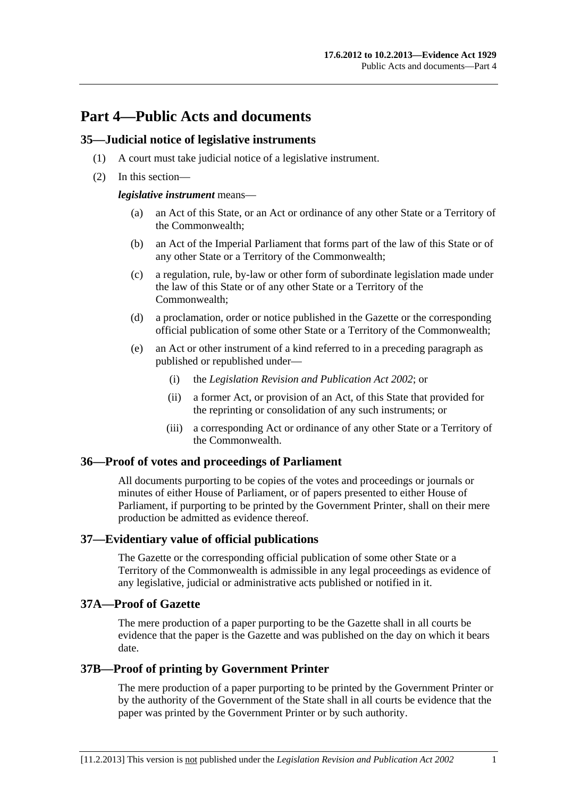# **Part 4—Public Acts and documents**

### **35—Judicial notice of legislative instruments**

- (1) A court must take judicial notice of a legislative instrument.
- (2) In this section—

*legislative instrument* means—

- (a) an Act of this State, or an Act or ordinance of any other State or a Territory of the Commonwealth;
- (b) an Act of the Imperial Parliament that forms part of the law of this State or of any other State or a Territory of the Commonwealth;
- (c) a regulation, rule, by-law or other form of subordinate legislation made under the law of this State or of any other State or a Territory of the Commonwealth;
- (d) a proclamation, order or notice published in the Gazette or the corresponding official publication of some other State or a Territory of the Commonwealth;
- (e) an Act or other instrument of a kind referred to in a preceding paragraph as published or republished under—
	- (i) the *[Legislation Revision and Publication Act 2002](http://www.legislation.sa.gov.au/index.aspx?action=legref&type=act&legtitle=Legislation%20Revision%20and%20Publication%20Act%202002)*; or
	- (ii) a former Act, or provision of an Act, of this State that provided for the reprinting or consolidation of any such instruments; or
	- (iii) a corresponding Act or ordinance of any other State or a Territory of the Commonwealth.

### **36—Proof of votes and proceedings of Parliament**

All documents purporting to be copies of the votes and proceedings or journals or minutes of either House of Parliament, or of papers presented to either House of Parliament, if purporting to be printed by the Government Printer, shall on their mere production be admitted as evidence thereof.

### **37—Evidentiary value of official publications**

The Gazette or the corresponding official publication of some other State or a Territory of the Commonwealth is admissible in any legal proceedings as evidence of any legislative, judicial or administrative acts published or notified in it.

### **37A—Proof of Gazette**

The mere production of a paper purporting to be the Gazette shall in all courts be evidence that the paper is the Gazette and was published on the day on which it bears date.

### **37B—Proof of printing by Government Printer**

The mere production of a paper purporting to be printed by the Government Printer or by the authority of the Government of the State shall in all courts be evidence that the paper was printed by the Government Printer or by such authority.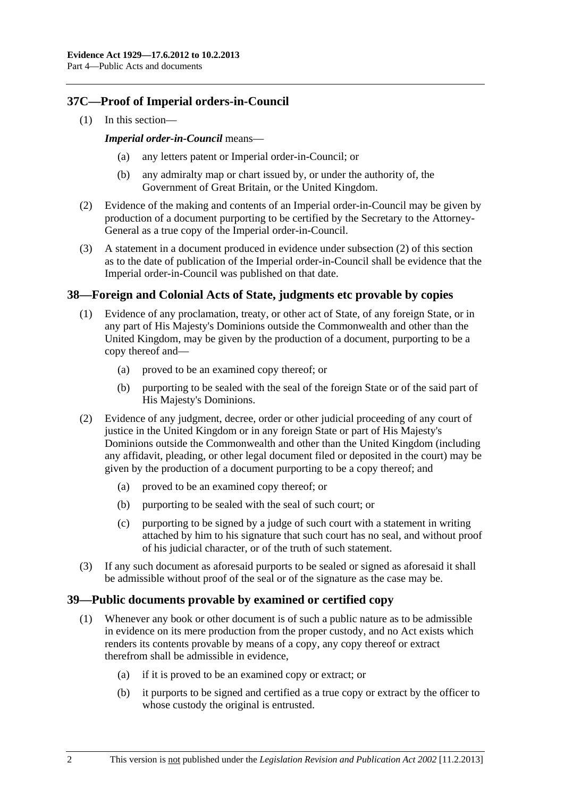### <span id="page-37-0"></span>**37C—Proof of Imperial orders-in-Council**

(1) In this section—

#### *Imperial order-in-Council* means—

- any letters patent or Imperial order-in-Council; or
- (b) any admiralty map or chart issued by, or under the authority of, the Government of Great Britain, or the United Kingdom.
- (2) Evidence of the making and contents of an Imperial order-in-Council may be given by production of a document purporting to be certified by the Secretary to the Attorney-General as a true copy of the Imperial order-in-Council.
- (3) A statement in a document produced in evidence under [subsection \(2\)](#page-37-0) of this section as to the date of publication of the Imperial order-in-Council shall be evidence that the Imperial order-in-Council was published on that date.

### **38—Foreign and Colonial Acts of State, judgments etc provable by copies**

- (1) Evidence of any proclamation, treaty, or other act of State, of any foreign State, or in any part of His Majesty's Dominions outside the Commonwealth and other than the United Kingdom, may be given by the production of a document, purporting to be a copy thereof and—
	- (a) proved to be an examined copy thereof; or
	- (b) purporting to be sealed with the seal of the foreign State or of the said part of His Majesty's Dominions.
- (2) Evidence of any judgment, decree, order or other judicial proceeding of any court of justice in the United Kingdom or in any foreign State or part of His Majesty's Dominions outside the Commonwealth and other than the United Kingdom (including any affidavit, pleading, or other legal document filed or deposited in the court) may be given by the production of a document purporting to be a copy thereof; and
	- (a) proved to be an examined copy thereof; or
	- (b) purporting to be sealed with the seal of such court; or
	- (c) purporting to be signed by a judge of such court with a statement in writing attached by him to his signature that such court has no seal, and without proof of his judicial character, or of the truth of such statement.
- (3) If any such document as aforesaid purports to be sealed or signed as aforesaid it shall be admissible without proof of the seal or of the signature as the case may be.

### **39—Public documents provable by examined or certified copy**

- (1) Whenever any book or other document is of such a public nature as to be admissible in evidence on its mere production from the proper custody, and no Act exists which renders its contents provable by means of a copy, any copy thereof or extract therefrom shall be admissible in evidence,
	- (a) if it is proved to be an examined copy or extract; or
	- (b) it purports to be signed and certified as a true copy or extract by the officer to whose custody the original is entrusted.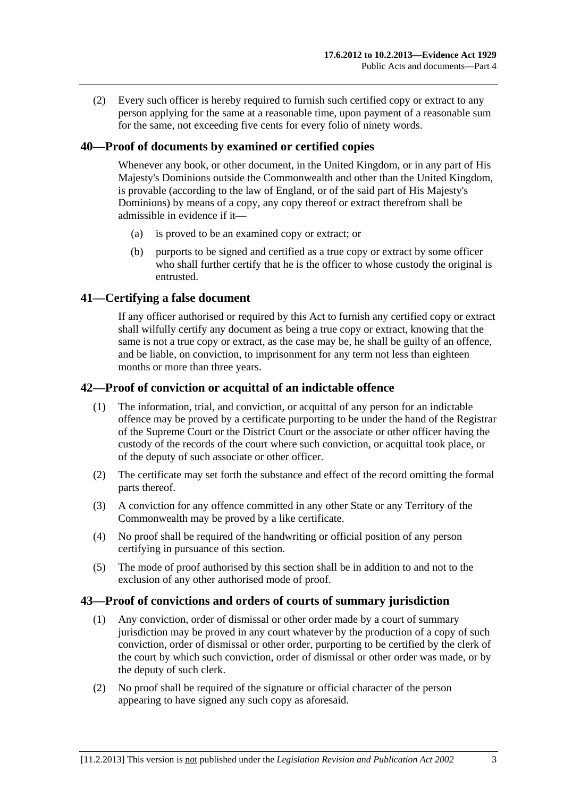(2) Every such officer is hereby required to furnish such certified copy or extract to any person applying for the same at a reasonable time, upon payment of a reasonable sum for the same, not exceeding five cents for every folio of ninety words.

### **40—Proof of documents by examined or certified copies**

Whenever any book, or other document, in the United Kingdom, or in any part of His Majesty's Dominions outside the Commonwealth and other than the United Kingdom, is provable (according to the law of England, or of the said part of His Majesty's Dominions) by means of a copy, any copy thereof or extract therefrom shall be admissible in evidence if it—

- (a) is proved to be an examined copy or extract; or
- (b) purports to be signed and certified as a true copy or extract by some officer who shall further certify that he is the officer to whose custody the original is entrusted.

#### **41—Certifying a false document**

If any officer authorised or required by this Act to furnish any certified copy or extract shall wilfully certify any document as being a true copy or extract, knowing that the same is not a true copy or extract, as the case may be, he shall be guilty of an offence, and be liable, on conviction, to imprisonment for any term not less than eighteen months or more than three years.

#### **42—Proof of conviction or acquittal of an indictable offence**

- (1) The information, trial, and conviction, or acquittal of any person for an indictable offence may be proved by a certificate purporting to be under the hand of the Registrar of the Supreme Court or the District Court or the associate or other officer having the custody of the records of the court where such conviction, or acquittal took place, or of the deputy of such associate or other officer.
- (2) The certificate may set forth the substance and effect of the record omitting the formal parts thereof.
- (3) A conviction for any offence committed in any other State or any Territory of the Commonwealth may be proved by a like certificate.
- (4) No proof shall be required of the handwriting or official position of any person certifying in pursuance of this section.
- (5) The mode of proof authorised by this section shall be in addition to and not to the exclusion of any other authorised mode of proof.

#### **43—Proof of convictions and orders of courts of summary jurisdiction**

- (1) Any conviction, order of dismissal or other order made by a court of summary jurisdiction may be proved in any court whatever by the production of a copy of such conviction, order of dismissal or other order, purporting to be certified by the clerk of the court by which such conviction, order of dismissal or other order was made, or by the deputy of such clerk.
- (2) No proof shall be required of the signature or official character of the person appearing to have signed any such copy as aforesaid.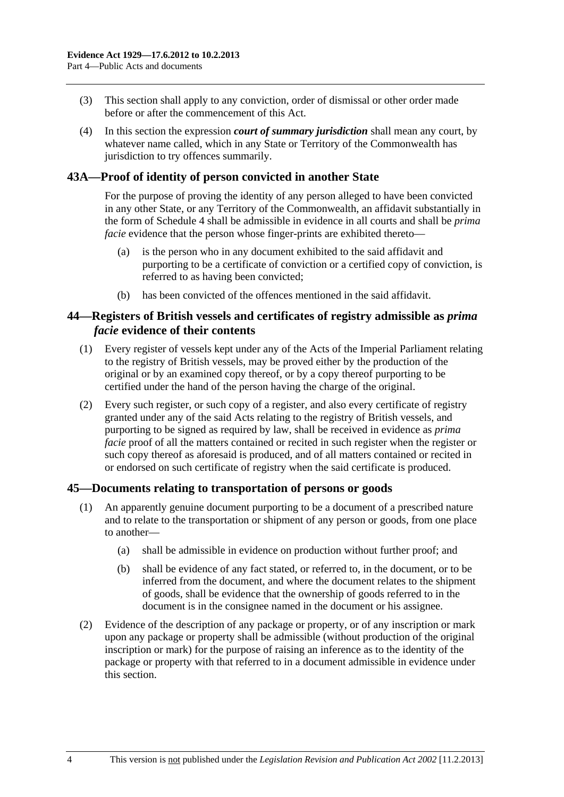- (3) This section shall apply to any conviction, order of dismissal or other order made before or after the commencement of this Act.
- (4) In this section the expression *court of summary jurisdiction* shall mean any court, by whatever name called, which in any State or Territory of the Commonwealth has jurisdiction to try offences summarily.

### **43A—Proof of identity of person convicted in another State**

For the purpose of proving the identity of any person alleged to have been convicted in any other State, or any Territory of the Commonwealth, an affidavit substantially in the form of [Schedule 4](#page-93-0) shall be admissible in evidence in all courts and shall be *prima facie* evidence that the person whose finger-prints are exhibited thereto—

- (a) is the person who in any document exhibited to the said affidavit and purporting to be a certificate of conviction or a certified copy of conviction, is referred to as having been convicted;
- (b) has been convicted of the offences mentioned in the said affidavit.

### **44—Registers of British vessels and certificates of registry admissible as** *prima facie* **evidence of their contents**

- (1) Every register of vessels kept under any of the Acts of the Imperial Parliament relating to the registry of British vessels, may be proved either by the production of the original or by an examined copy thereof, or by a copy thereof purporting to be certified under the hand of the person having the charge of the original.
- (2) Every such register, or such copy of a register, and also every certificate of registry granted under any of the said Acts relating to the registry of British vessels, and purporting to be signed as required by law, shall be received in evidence as *prima facie* proof of all the matters contained or recited in such register when the register or such copy thereof as aforesaid is produced, and of all matters contained or recited in or endorsed on such certificate of registry when the said certificate is produced.

### **45—Documents relating to transportation of persons or goods**

- (1) An apparently genuine document purporting to be a document of a prescribed nature and to relate to the transportation or shipment of any person or goods, from one place to another—
	- (a) shall be admissible in evidence on production without further proof; and
	- (b) shall be evidence of any fact stated, or referred to, in the document, or to be inferred from the document, and where the document relates to the shipment of goods, shall be evidence that the ownership of goods referred to in the document is in the consignee named in the document or his assignee.
- (2) Evidence of the description of any package or property, or of any inscription or mark upon any package or property shall be admissible (without production of the original inscription or mark) for the purpose of raising an inference as to the identity of the package or property with that referred to in a document admissible in evidence under this section.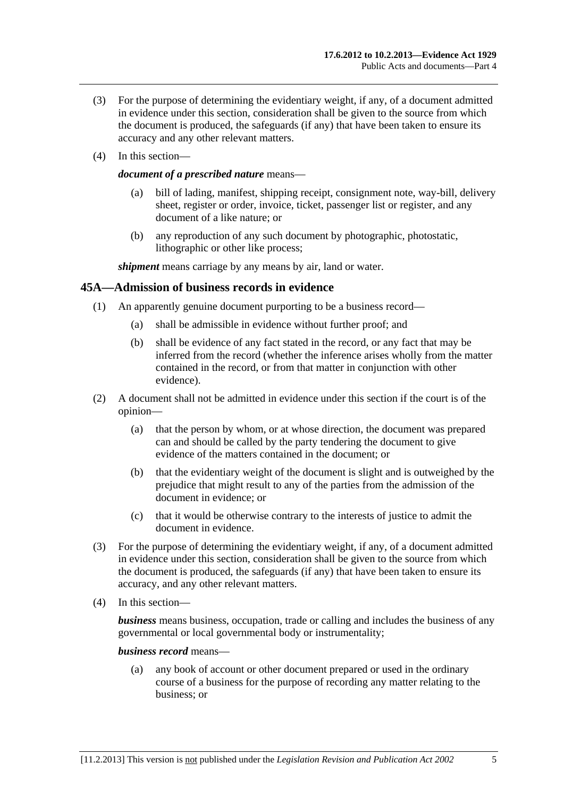- (3) For the purpose of determining the evidentiary weight, if any, of a document admitted in evidence under this section, consideration shall be given to the source from which the document is produced, the safeguards (if any) that have been taken to ensure its accuracy and any other relevant matters.
- (4) In this section—

#### *document of a prescribed nature* means—

- (a) bill of lading, manifest, shipping receipt, consignment note, way-bill, delivery sheet, register or order, invoice, ticket, passenger list or register, and any document of a like nature; or
- (b) any reproduction of any such document by photographic, photostatic, lithographic or other like process;

*shipment* means carriage by any means by air, land or water.

#### **45A—Admission of business records in evidence**

- (1) An apparently genuine document purporting to be a business record—
	- (a) shall be admissible in evidence without further proof; and
	- (b) shall be evidence of any fact stated in the record, or any fact that may be inferred from the record (whether the inference arises wholly from the matter contained in the record, or from that matter in conjunction with other evidence).
- (2) A document shall not be admitted in evidence under this section if the court is of the opinion—
	- (a) that the person by whom, or at whose direction, the document was prepared can and should be called by the party tendering the document to give evidence of the matters contained in the document; or
	- (b) that the evidentiary weight of the document is slight and is outweighed by the prejudice that might result to any of the parties from the admission of the document in evidence; or
	- (c) that it would be otherwise contrary to the interests of justice to admit the document in evidence.
- (3) For the purpose of determining the evidentiary weight, if any, of a document admitted in evidence under this section, consideration shall be given to the source from which the document is produced, the safeguards (if any) that have been taken to ensure its accuracy, and any other relevant matters.
- (4) In this section—

*business* means business, occupation, trade or calling and includes the business of any governmental or local governmental body or instrumentality;

*business record* means—

 (a) any book of account or other document prepared or used in the ordinary course of a business for the purpose of recording any matter relating to the business; or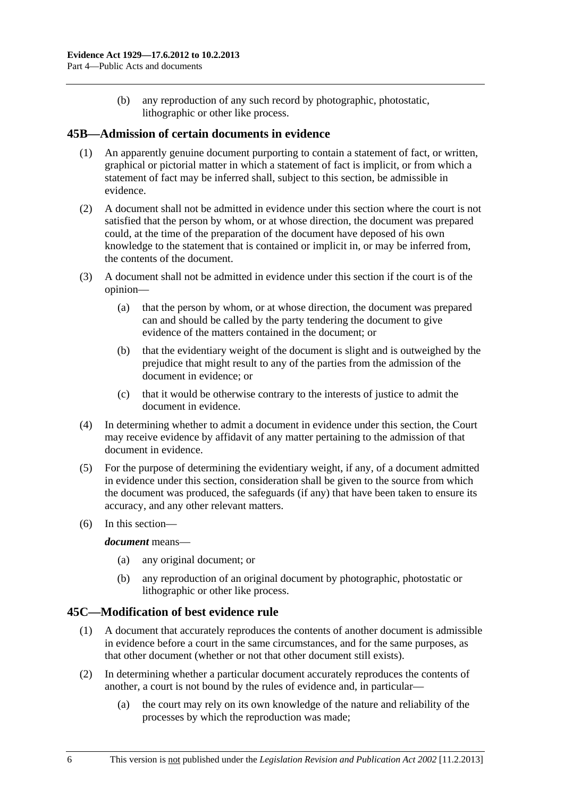(b) any reproduction of any such record by photographic, photostatic, lithographic or other like process.

### **45B—Admission of certain documents in evidence**

- (1) An apparently genuine document purporting to contain a statement of fact, or written, graphical or pictorial matter in which a statement of fact is implicit, or from which a statement of fact may be inferred shall, subject to this section, be admissible in evidence.
- (2) A document shall not be admitted in evidence under this section where the court is not satisfied that the person by whom, or at whose direction, the document was prepared could, at the time of the preparation of the document have deposed of his own knowledge to the statement that is contained or implicit in, or may be inferred from, the contents of the document.
- (3) A document shall not be admitted in evidence under this section if the court is of the opinion—
	- (a) that the person by whom, or at whose direction, the document was prepared can and should be called by the party tendering the document to give evidence of the matters contained in the document; or
	- (b) that the evidentiary weight of the document is slight and is outweighed by the prejudice that might result to any of the parties from the admission of the document in evidence; or
	- (c) that it would be otherwise contrary to the interests of justice to admit the document in evidence.
- (4) In determining whether to admit a document in evidence under this section, the Court may receive evidence by affidavit of any matter pertaining to the admission of that document in evidence.
- (5) For the purpose of determining the evidentiary weight, if any, of a document admitted in evidence under this section, consideration shall be given to the source from which the document was produced, the safeguards (if any) that have been taken to ensure its accuracy, and any other relevant matters.
- (6) In this section—

#### *document* means—

- (a) any original document; or
- (b) any reproduction of an original document by photographic, photostatic or lithographic or other like process.

### **45C—Modification of best evidence rule**

- (1) A document that accurately reproduces the contents of another document is admissible in evidence before a court in the same circumstances, and for the same purposes, as that other document (whether or not that other document still exists).
- (2) In determining whether a particular document accurately reproduces the contents of another, a court is not bound by the rules of evidence and, in particular—
	- (a) the court may rely on its own knowledge of the nature and reliability of the processes by which the reproduction was made;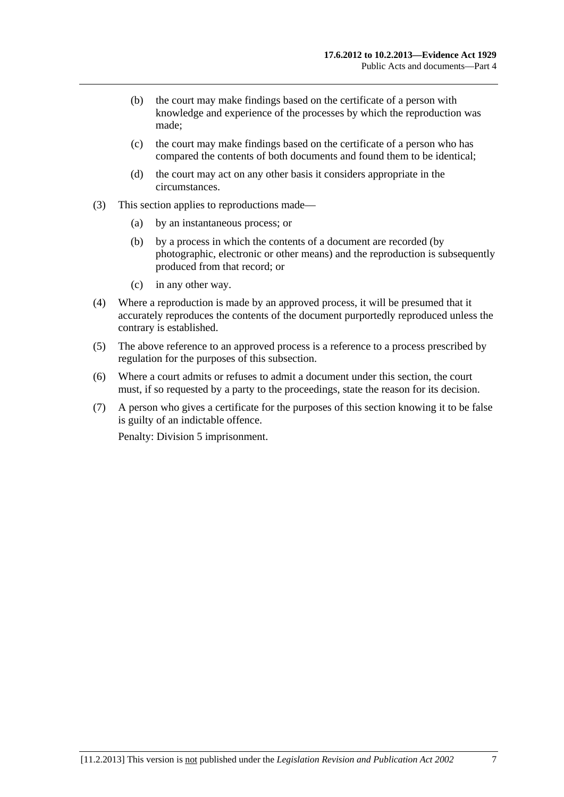- (b) the court may make findings based on the certificate of a person with knowledge and experience of the processes by which the reproduction was made;
- (c) the court may make findings based on the certificate of a person who has compared the contents of both documents and found them to be identical;
- (d) the court may act on any other basis it considers appropriate in the circumstances.
- (3) This section applies to reproductions made—
	- (a) by an instantaneous process; or
	- (b) by a process in which the contents of a document are recorded (by photographic, electronic or other means) and the reproduction is subsequently produced from that record; or
	- (c) in any other way.
- (4) Where a reproduction is made by an approved process, it will be presumed that it accurately reproduces the contents of the document purportedly reproduced unless the contrary is established.
- (5) The above reference to an approved process is a reference to a process prescribed by regulation for the purposes of this subsection.
- (6) Where a court admits or refuses to admit a document under this section, the court must, if so requested by a party to the proceedings, state the reason for its decision.
- (7) A person who gives a certificate for the purposes of this section knowing it to be false is guilty of an indictable offence.

Penalty: Division 5 imprisonment.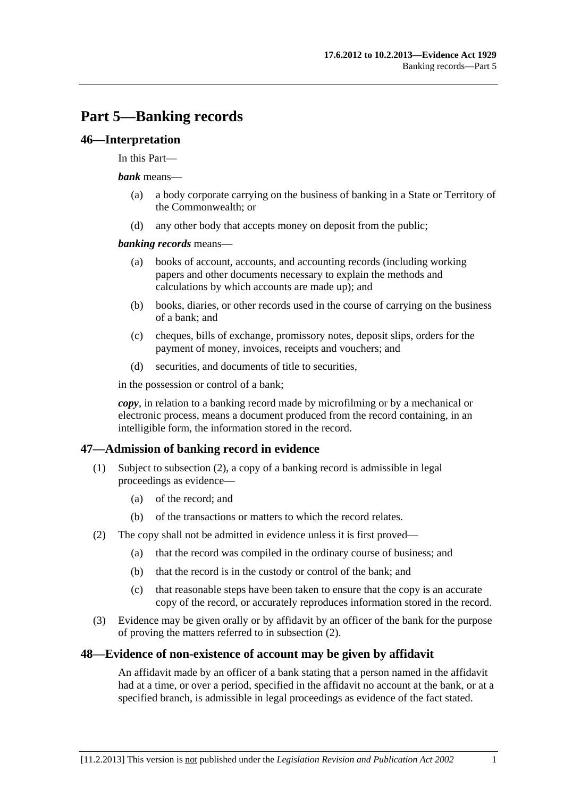# <span id="page-44-0"></span>**Part 5—Banking records**

### **46—Interpretation**

#### In this Part—

#### *bank* means—

- (a) a body corporate carrying on the business of banking in a State or Territory of the Commonwealth; or
- (d) any other body that accepts money on deposit from the public;

#### *banking records* means—

- (a) books of account, accounts, and accounting records (including working papers and other documents necessary to explain the methods and calculations by which accounts are made up); and
- (b) books, diaries, or other records used in the course of carrying on the business of a bank; and
- (c) cheques, bills of exchange, promissory notes, deposit slips, orders for the payment of money, invoices, receipts and vouchers; and
- (d) securities, and documents of title to securities,

in the possession or control of a bank;

*copy*, in relation to a banking record made by microfilming or by a mechanical or electronic process, means a document produced from the record containing, in an intelligible form, the information stored in the record.

### **47—Admission of banking record in evidence**

- (1) Subject to [subsection \(2\),](#page-44-0) a copy of a banking record is admissible in legal proceedings as evidence—
	- (a) of the record; and
	- (b) of the transactions or matters to which the record relates.
- (2) The copy shall not be admitted in evidence unless it is first proved—
	- (a) that the record was compiled in the ordinary course of business; and
	- (b) that the record is in the custody or control of the bank; and
	- (c) that reasonable steps have been taken to ensure that the copy is an accurate copy of the record, or accurately reproduces information stored in the record.
- (3) Evidence may be given orally or by affidavit by an officer of the bank for the purpose of proving the matters referred to in [subsection \(2\)](#page-44-0).

### **48—Evidence of non-existence of account may be given by affidavit**

An affidavit made by an officer of a bank stating that a person named in the affidavit had at a time, or over a period, specified in the affidavit no account at the bank, or at a specified branch, is admissible in legal proceedings as evidence of the fact stated.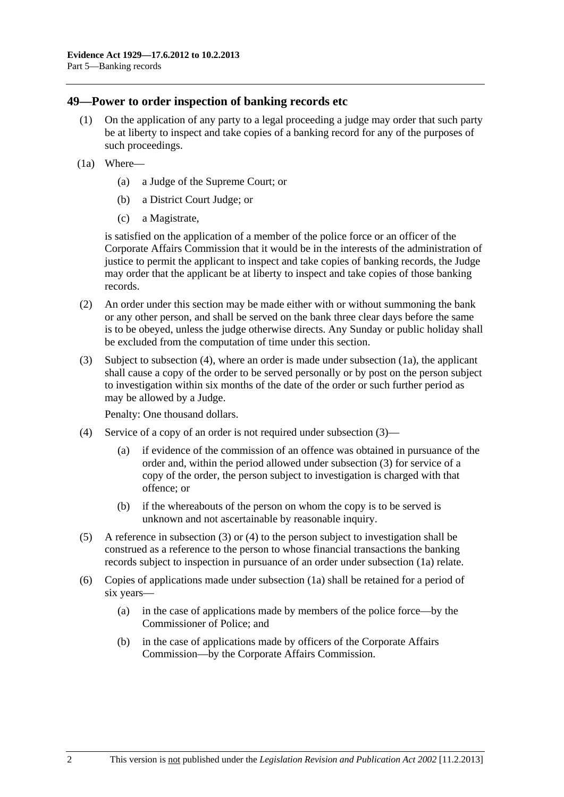#### <span id="page-45-0"></span>**49—Power to order inspection of banking records etc**

- (1) On the application of any party to a legal proceeding a judge may order that such party be at liberty to inspect and take copies of a banking record for any of the purposes of such proceedings.
- (1a) Where—
	- (a) a Judge of the Supreme Court; or
	- (b) a District Court Judge; or
	- (c) a Magistrate,

is satisfied on the application of a member of the police force or an officer of the Corporate Affairs Commission that it would be in the interests of the administration of justice to permit the applicant to inspect and take copies of banking records, the Judge may order that the applicant be at liberty to inspect and take copies of those banking records.

- (2) An order under this section may be made either with or without summoning the bank or any other person, and shall be served on the bank three clear days before the same is to be obeyed, unless the judge otherwise directs. Any Sunday or public holiday shall be excluded from the computation of time under this section.
- (3) Subject to [subsection \(4\),](#page-45-0) where an order is made under [subsection \(1a\),](#page-45-0) the applicant shall cause a copy of the order to be served personally or by post on the person subject to investigation within six months of the date of the order or such further period as may be allowed by a Judge.

Penalty: One thousand dollars.

- (4) Service of a copy of an order is not required under [subsection \(3\)](#page-45-0)
	- (a) if evidence of the commission of an offence was obtained in pursuance of the order and, within the period allowed under [subsection \(3\)](#page-45-0) for service of a copy of the order, the person subject to investigation is charged with that offence; or
	- (b) if the whereabouts of the person on whom the copy is to be served is unknown and not ascertainable by reasonable inquiry.
- (5) A reference in [subsection \(3\)](#page-45-0) or [\(4\)](#page-45-0) to the person subject to investigation shall be construed as a reference to the person to whose financial transactions the banking records subject to inspection in pursuance of an order under [subsection \(1a\)](#page-45-0) relate.
- (6) Copies of applications made under [subsection \(1a\)](#page-45-0) shall be retained for a period of six years—
	- (a) in the case of applications made by members of the police force—by the Commissioner of Police; and
	- (b) in the case of applications made by officers of the Corporate Affairs Commission—by the Corporate Affairs Commission.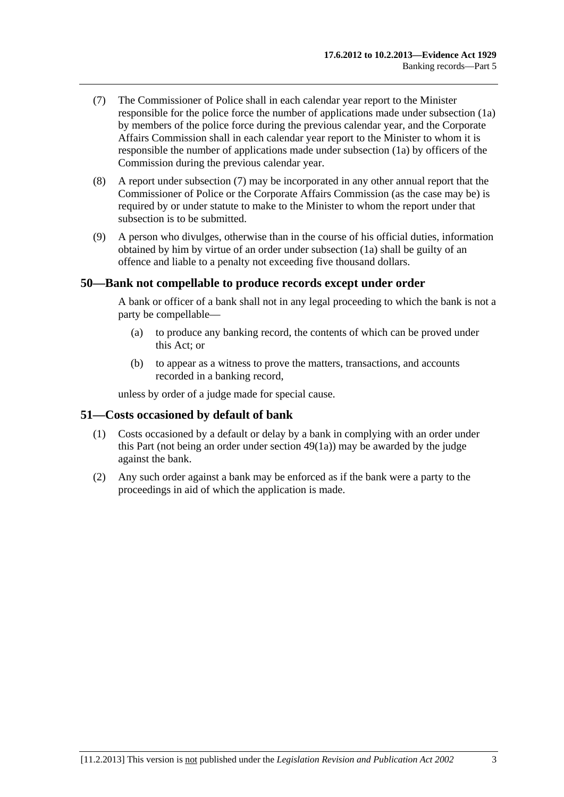- <span id="page-46-0"></span> (7) The Commissioner of Police shall in each calendar year report to the Minister responsible for the police force the number of applications made under [subsection \(1a\)](#page-45-0) by members of the police force during the previous calendar year, and the Corporate Affairs Commission shall in each calendar year report to the Minister to whom it is responsible the number of applications made under [subsection \(1a\)](#page-45-0) by officers of the Commission during the previous calendar year.
- (8) A report under [subsection \(7\)](#page-46-0) may be incorporated in any other annual report that the Commissioner of Police or the Corporate Affairs Commission (as the case may be) is required by or under statute to make to the Minister to whom the report under that subsection is to be submitted.
- (9) A person who divulges, otherwise than in the course of his official duties, information obtained by him by virtue of an order under [subsection \(1a\)](#page-45-0) shall be guilty of an offence and liable to a penalty not exceeding five thousand dollars.

#### **50—Bank not compellable to produce records except under order**

A bank or officer of a bank shall not in any legal proceeding to which the bank is not a party be compellable—

- (a) to produce any banking record, the contents of which can be proved under this Act; or
- (b) to appear as a witness to prove the matters, transactions, and accounts recorded in a banking record,

unless by order of a judge made for special cause.

#### **51—Costs occasioned by default of bank**

- (1) Costs occasioned by a default or delay by a bank in complying with an order under this Part (not being an order under [section 49\(1a\)\)](#page-45-0) may be awarded by the judge against the bank.
- (2) Any such order against a bank may be enforced as if the bank were a party to the proceedings in aid of which the application is made.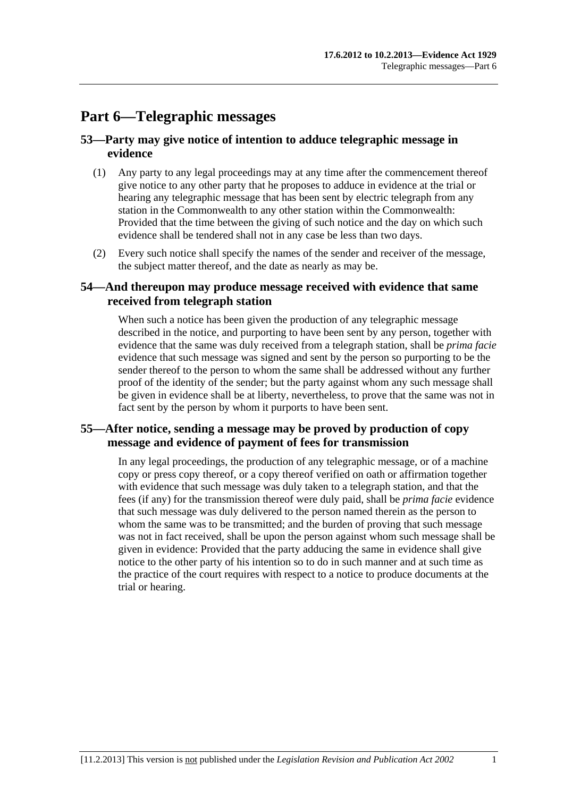# **Part 6—Telegraphic messages**

### **53—Party may give notice of intention to adduce telegraphic message in evidence**

- (1) Any party to any legal proceedings may at any time after the commencement thereof give notice to any other party that he proposes to adduce in evidence at the trial or hearing any telegraphic message that has been sent by electric telegraph from any station in the Commonwealth to any other station within the Commonwealth: Provided that the time between the giving of such notice and the day on which such evidence shall be tendered shall not in any case be less than two days.
- (2) Every such notice shall specify the names of the sender and receiver of the message, the subject matter thereof, and the date as nearly as may be.

### **54—And thereupon may produce message received with evidence that same received from telegraph station**

When such a notice has been given the production of any telegraphic message described in the notice, and purporting to have been sent by any person, together with evidence that the same was duly received from a telegraph station, shall be *prima facie* evidence that such message was signed and sent by the person so purporting to be the sender thereof to the person to whom the same shall be addressed without any further proof of the identity of the sender; but the party against whom any such message shall be given in evidence shall be at liberty, nevertheless, to prove that the same was not in fact sent by the person by whom it purports to have been sent.

### **55—After notice, sending a message may be proved by production of copy message and evidence of payment of fees for transmission**

In any legal proceedings, the production of any telegraphic message, or of a machine copy or press copy thereof, or a copy thereof verified on oath or affirmation together with evidence that such message was duly taken to a telegraph station, and that the fees (if any) for the transmission thereof were duly paid, shall be *prima facie* evidence that such message was duly delivered to the person named therein as the person to whom the same was to be transmitted; and the burden of proving that such message was not in fact received, shall be upon the person against whom such message shall be given in evidence: Provided that the party adducing the same in evidence shall give notice to the other party of his intention so to do in such manner and at such time as the practice of the court requires with respect to a notice to produce documents at the trial or hearing.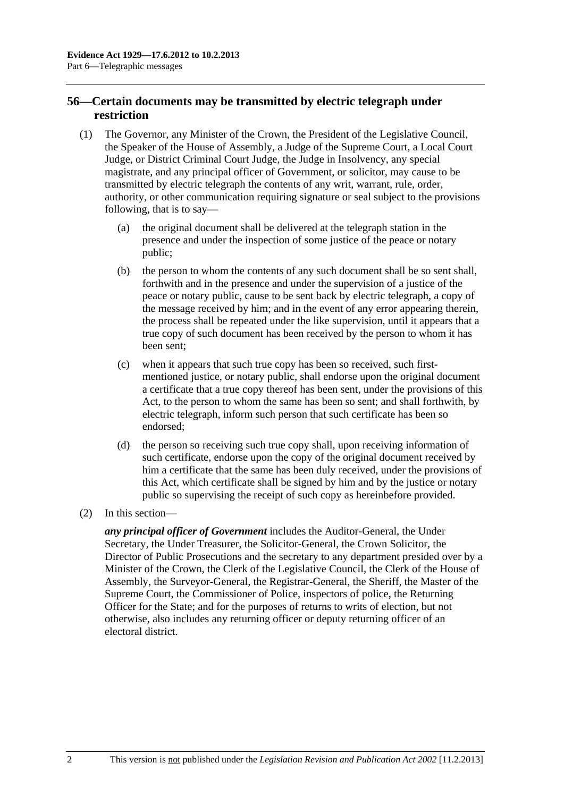### **56—Certain documents may be transmitted by electric telegraph under restriction**

- (1) The Governor, any Minister of the Crown, the President of the Legislative Council, the Speaker of the House of Assembly, a Judge of the Supreme Court, a Local Court Judge, or District Criminal Court Judge, the Judge in Insolvency, any special magistrate, and any principal officer of Government, or solicitor, may cause to be transmitted by electric telegraph the contents of any writ, warrant, rule, order, authority, or other communication requiring signature or seal subject to the provisions following, that is to say—
	- (a) the original document shall be delivered at the telegraph station in the presence and under the inspection of some justice of the peace or notary public;
	- (b) the person to whom the contents of any such document shall be so sent shall, forthwith and in the presence and under the supervision of a justice of the peace or notary public, cause to be sent back by electric telegraph, a copy of the message received by him; and in the event of any error appearing therein, the process shall be repeated under the like supervision, until it appears that a true copy of such document has been received by the person to whom it has been sent;
	- (c) when it appears that such true copy has been so received, such firstmentioned justice, or notary public, shall endorse upon the original document a certificate that a true copy thereof has been sent, under the provisions of this Act, to the person to whom the same has been so sent; and shall forthwith, by electric telegraph, inform such person that such certificate has been so endorsed;
	- (d) the person so receiving such true copy shall, upon receiving information of such certificate, endorse upon the copy of the original document received by him a certificate that the same has been duly received, under the provisions of this Act, which certificate shall be signed by him and by the justice or notary public so supervising the receipt of such copy as hereinbefore provided.
- (2) In this section—

*any principal officer of Government* includes the Auditor-General, the Under Secretary, the Under Treasurer, the Solicitor-General, the Crown Solicitor, the Director of Public Prosecutions and the secretary to any department presided over by a Minister of the Crown, the Clerk of the Legislative Council, the Clerk of the House of Assembly, the Surveyor-General, the Registrar-General, the Sheriff, the Master of the Supreme Court, the Commissioner of Police, inspectors of police, the Returning Officer for the State; and for the purposes of returns to writs of election, but not otherwise, also includes any returning officer or deputy returning officer of an electoral district.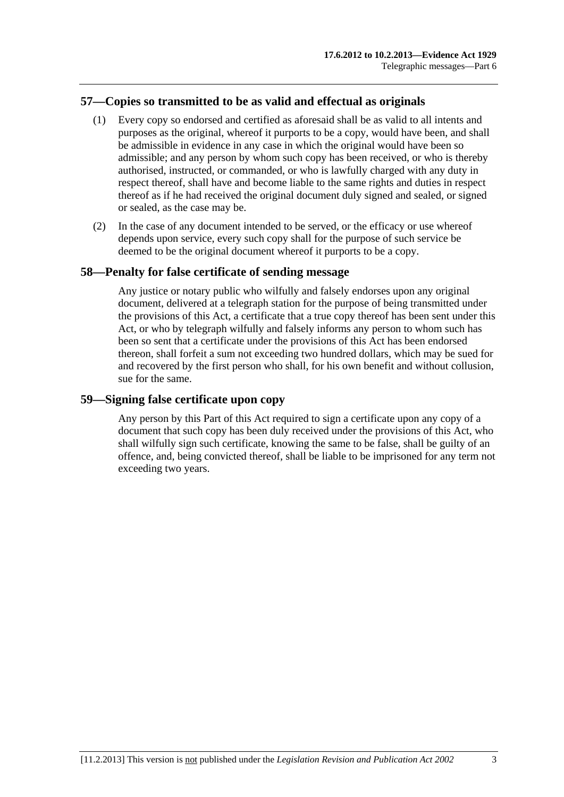### **57—Copies so transmitted to be as valid and effectual as originals**

- (1) Every copy so endorsed and certified as aforesaid shall be as valid to all intents and purposes as the original, whereof it purports to be a copy, would have been, and shall be admissible in evidence in any case in which the original would have been so admissible; and any person by whom such copy has been received, or who is thereby authorised, instructed, or commanded, or who is lawfully charged with any duty in respect thereof, shall have and become liable to the same rights and duties in respect thereof as if he had received the original document duly signed and sealed, or signed or sealed, as the case may be.
- (2) In the case of any document intended to be served, or the efficacy or use whereof depends upon service, every such copy shall for the purpose of such service be deemed to be the original document whereof it purports to be a copy.

#### **58—Penalty for false certificate of sending message**

Any justice or notary public who wilfully and falsely endorses upon any original document, delivered at a telegraph station for the purpose of being transmitted under the provisions of this Act, a certificate that a true copy thereof has been sent under this Act, or who by telegraph wilfully and falsely informs any person to whom such has been so sent that a certificate under the provisions of this Act has been endorsed thereon, shall forfeit a sum not exceeding two hundred dollars, which may be sued for and recovered by the first person who shall, for his own benefit and without collusion, sue for the same.

#### **59—Signing false certificate upon copy**

Any person by this Part of this Act required to sign a certificate upon any copy of a document that such copy has been duly received under the provisions of this Act, who shall wilfully sign such certificate, knowing the same to be false, shall be guilty of an offence, and, being convicted thereof, shall be liable to be imprisoned for any term not exceeding two years.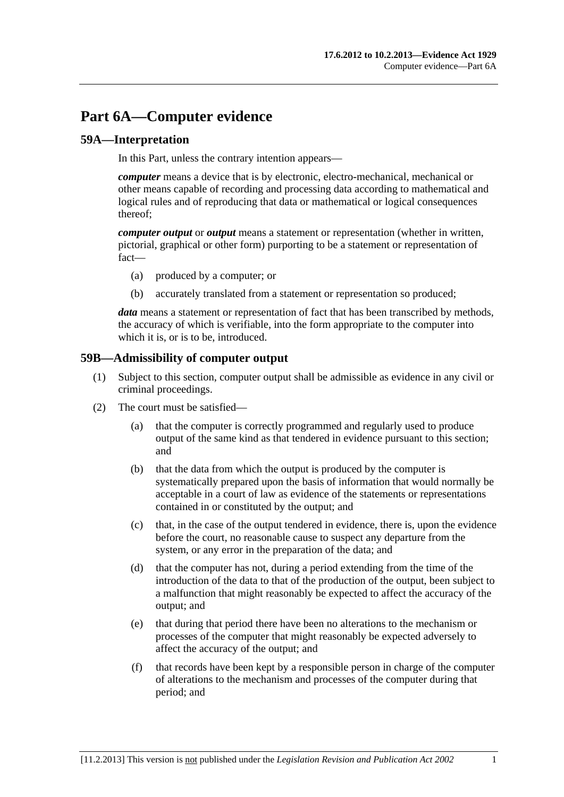# <span id="page-52-0"></span>**Part 6A—Computer evidence**

### **59A—Interpretation**

In this Part, unless the contrary intention appears—

*computer* means a device that is by electronic, electro-mechanical, mechanical or other means capable of recording and processing data according to mathematical and logical rules and of reproducing that data or mathematical or logical consequences thereof;

*computer output* or *output* means a statement or representation (whether in written, pictorial, graphical or other form) purporting to be a statement or representation of fact—

- (a) produced by a computer; or
- (b) accurately translated from a statement or representation so produced;

*data* means a statement or representation of fact that has been transcribed by methods, the accuracy of which is verifiable, into the form appropriate to the computer into which it is, or is to be, introduced.

#### **59B—Admissibility of computer output**

- (1) Subject to this section, computer output shall be admissible as evidence in any civil or criminal proceedings.
- (2) The court must be satisfied—
	- (a) that the computer is correctly programmed and regularly used to produce output of the same kind as that tendered in evidence pursuant to this section; and
	- (b) that the data from which the output is produced by the computer is systematically prepared upon the basis of information that would normally be acceptable in a court of law as evidence of the statements or representations contained in or constituted by the output; and
	- (c) that, in the case of the output tendered in evidence, there is, upon the evidence before the court, no reasonable cause to suspect any departure from the system, or any error in the preparation of the data; and
	- (d) that the computer has not, during a period extending from the time of the introduction of the data to that of the production of the output, been subject to a malfunction that might reasonably be expected to affect the accuracy of the output; and
	- (e) that during that period there have been no alterations to the mechanism or processes of the computer that might reasonably be expected adversely to affect the accuracy of the output; and
	- (f) that records have been kept by a responsible person in charge of the computer of alterations to the mechanism and processes of the computer during that period; and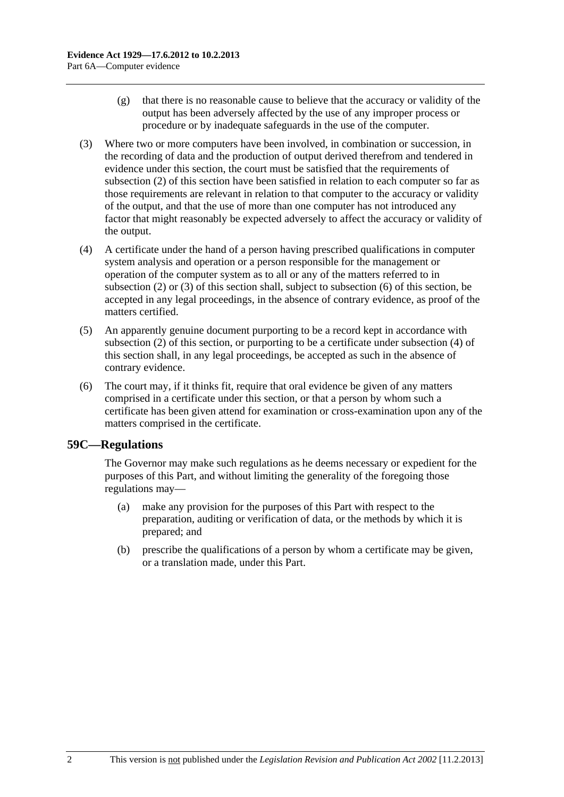- <span id="page-53-0"></span> (g) that there is no reasonable cause to believe that the accuracy or validity of the output has been adversely affected by the use of any improper process or procedure or by inadequate safeguards in the use of the computer.
- (3) Where two or more computers have been involved, in combination or succession, in the recording of data and the production of output derived therefrom and tendered in evidence under this section, the court must be satisfied that the requirements of [subsection \(2\)](#page-52-0) of this section have been satisfied in relation to each computer so far as those requirements are relevant in relation to that computer to the accuracy or validity of the output, and that the use of more than one computer has not introduced any factor that might reasonably be expected adversely to affect the accuracy or validity of the output.
- (4) A certificate under the hand of a person having prescribed qualifications in computer system analysis and operation or a person responsible for the management or operation of the computer system as to all or any of the matters referred to in [subsection \(2\)](#page-52-0) or [\(3\)](#page-53-0) of this section shall, subject to [subsection \(6\)](#page-53-0) of this section, be accepted in any legal proceedings, in the absence of contrary evidence, as proof of the matters certified.
- (5) An apparently genuine document purporting to be a record kept in accordance with [subsection \(2\)](#page-52-0) of this section, or purporting to be a certificate under [subsection \(4\)](#page-53-0) of this section shall, in any legal proceedings, be accepted as such in the absence of contrary evidence.
- (6) The court may, if it thinks fit, require that oral evidence be given of any matters comprised in a certificate under this section, or that a person by whom such a certificate has been given attend for examination or cross-examination upon any of the matters comprised in the certificate.

### **59C—Regulations**

The Governor may make such regulations as he deems necessary or expedient for the purposes of this Part, and without limiting the generality of the foregoing those regulations may—

- (a) make any provision for the purposes of this Part with respect to the preparation, auditing or verification of data, or the methods by which it is prepared; and
- (b) prescribe the qualifications of a person by whom a certificate may be given, or a translation made, under this Part.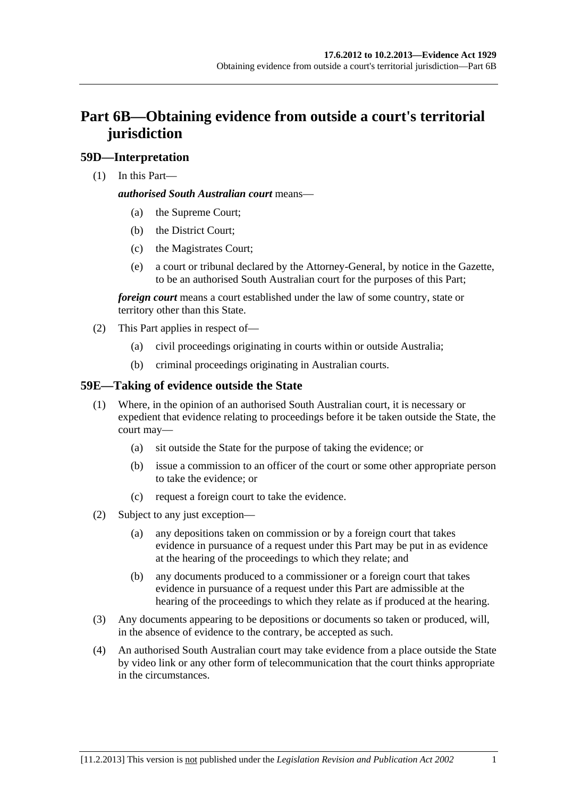# **Part 6B—Obtaining evidence from outside a court's territorial jurisdiction**

### **59D—Interpretation**

(1) In this Part—

#### *authorised South Australian court* means—

- (a) the Supreme Court;
- (b) the District Court;
- (c) the Magistrates Court;
- (e) a court or tribunal declared by the Attorney-General, by notice in the Gazette, to be an authorised South Australian court for the purposes of this Part;

*foreign court* means a court established under the law of some country, state or territory other than this State.

- (2) This Part applies in respect of—
	- (a) civil proceedings originating in courts within or outside Australia;
	- (b) criminal proceedings originating in Australian courts.

### **59E—Taking of evidence outside the State**

- (1) Where, in the opinion of an authorised South Australian court, it is necessary or expedient that evidence relating to proceedings before it be taken outside the State, the court may—
	- (a) sit outside the State for the purpose of taking the evidence; or
	- (b) issue a commission to an officer of the court or some other appropriate person to take the evidence; or
	- (c) request a foreign court to take the evidence.
- (2) Subject to any just exception—
	- (a) any depositions taken on commission or by a foreign court that takes evidence in pursuance of a request under this Part may be put in as evidence at the hearing of the proceedings to which they relate; and
	- (b) any documents produced to a commissioner or a foreign court that takes evidence in pursuance of a request under this Part are admissible at the hearing of the proceedings to which they relate as if produced at the hearing.
- (3) Any documents appearing to be depositions or documents so taken or produced, will, in the absence of evidence to the contrary, be accepted as such.
- (4) An authorised South Australian court may take evidence from a place outside the State by video link or any other form of telecommunication that the court thinks appropriate in the circumstances.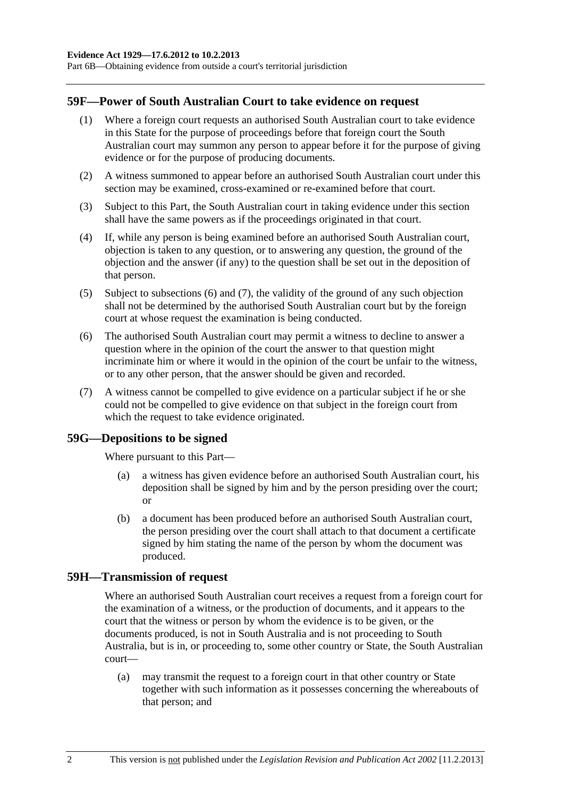<span id="page-55-0"></span>Part 6B—Obtaining evidence from outside a court's territorial jurisdiction

#### **59F—Power of South Australian Court to take evidence on request**

- (1) Where a foreign court requests an authorised South Australian court to take evidence in this State for the purpose of proceedings before that foreign court the South Australian court may summon any person to appear before it for the purpose of giving evidence or for the purpose of producing documents.
- (2) A witness summoned to appear before an authorised South Australian court under this section may be examined, cross-examined or re-examined before that court.
- (3) Subject to this Part, the South Australian court in taking evidence under this section shall have the same powers as if the proceedings originated in that court.
- (4) If, while any person is being examined before an authorised South Australian court, objection is taken to any question, or to answering any question, the ground of the objection and the answer (if any) to the question shall be set out in the deposition of that person.
- (5) Subject to [subsections \(6\)](#page-55-0) and [\(7\),](#page-55-0) the validity of the ground of any such objection shall not be determined by the authorised South Australian court but by the foreign court at whose request the examination is being conducted.
- (6) The authorised South Australian court may permit a witness to decline to answer a question where in the opinion of the court the answer to that question might incriminate him or where it would in the opinion of the court be unfair to the witness, or to any other person, that the answer should be given and recorded.
- (7) A witness cannot be compelled to give evidence on a particular subject if he or she could not be compelled to give evidence on that subject in the foreign court from which the request to take evidence originated.

#### **59G—Depositions to be signed**

Where pursuant to this Part—

- (a) a witness has given evidence before an authorised South Australian court, his deposition shall be signed by him and by the person presiding over the court; or
- (b) a document has been produced before an authorised South Australian court, the person presiding over the court shall attach to that document a certificate signed by him stating the name of the person by whom the document was produced.

#### **59H—Transmission of request**

Where an authorised South Australian court receives a request from a foreign court for the examination of a witness, or the production of documents, and it appears to the court that the witness or person by whom the evidence is to be given, or the documents produced, is not in South Australia and is not proceeding to South Australia, but is in, or proceeding to, some other country or State, the South Australian court—

 (a) may transmit the request to a foreign court in that other country or State together with such information as it possesses concerning the whereabouts of that person; and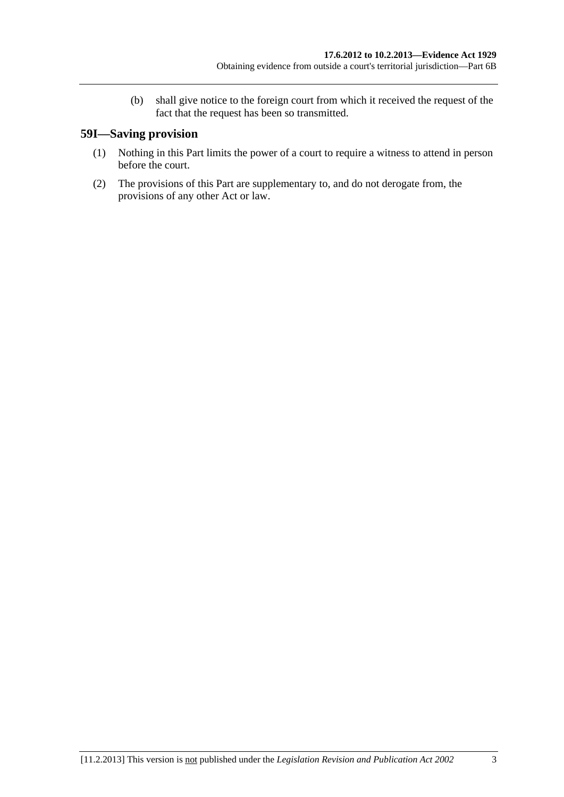(b) shall give notice to the foreign court from which it received the request of the fact that the request has been so transmitted.

## **59I—Saving provision**

- (1) Nothing in this Part limits the power of a court to require a witness to attend in person before the court.
- (2) The provisions of this Part are supplementary to, and do not derogate from, the provisions of any other Act or law.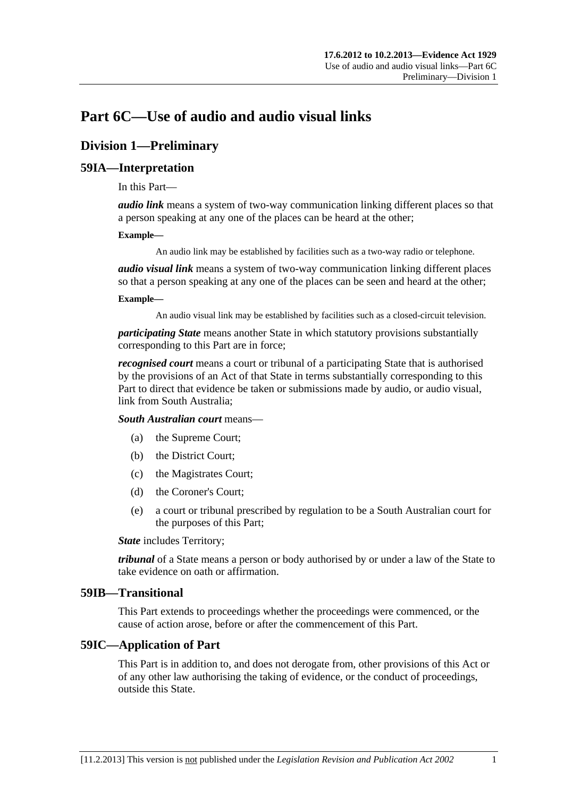# **Part 6C—Use of audio and audio visual links**

# **Division 1—Preliminary**

### **59IA—Interpretation**

In this Part—

*audio link* means a system of two-way communication linking different places so that a person speaking at any one of the places can be heard at the other;

#### **Example—**

An audio link may be established by facilities such as a two-way radio or telephone.

*audio visual link* means a system of two-way communication linking different places so that a person speaking at any one of the places can be seen and heard at the other;

#### **Example—**

An audio visual link may be established by facilities such as a closed-circuit television.

*participating State* means another State in which statutory provisions substantially corresponding to this Part are in force;

*recognised court* means a court or tribunal of a participating State that is authorised by the provisions of an Act of that State in terms substantially corresponding to this Part to direct that evidence be taken or submissions made by audio, or audio visual, link from South Australia;

*South Australian court* means—

- (a) the Supreme Court;
- (b) the District Court;
- (c) the Magistrates Court;
- (d) the Coroner's Court;
- (e) a court or tribunal prescribed by regulation to be a South Australian court for the purposes of this Part;

*State* includes Territory;

*tribunal* of a State means a person or body authorised by or under a law of the State to take evidence on oath or affirmation.

#### **59IB—Transitional**

This Part extends to proceedings whether the proceedings were commenced, or the cause of action arose, before or after the commencement of this Part.

### **59IC—Application of Part**

This Part is in addition to, and does not derogate from, other provisions of this Act or of any other law authorising the taking of evidence, or the conduct of proceedings, outside this State.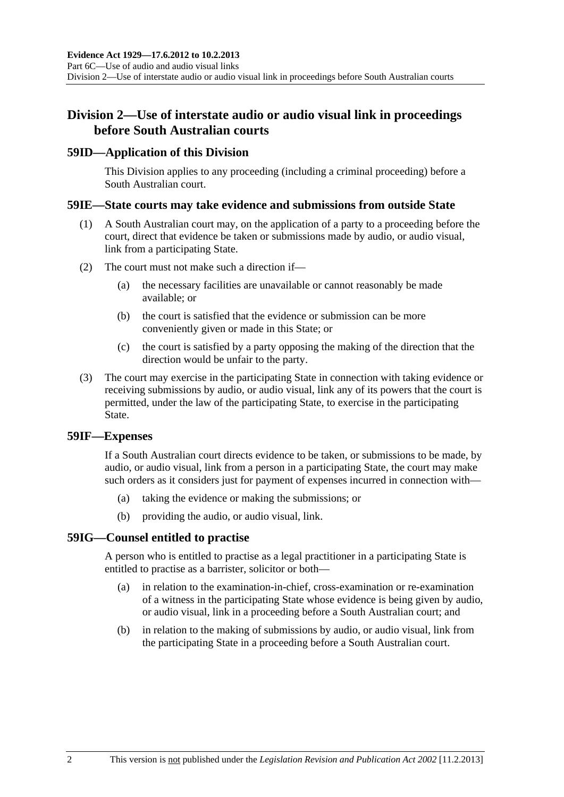# **Division 2—Use of interstate audio or audio visual link in proceedings before South Australian courts**

### **59ID—Application of this Division**

This Division applies to any proceeding (including a criminal proceeding) before a South Australian court.

#### **59IE—State courts may take evidence and submissions from outside State**

- (1) A South Australian court may, on the application of a party to a proceeding before the court, direct that evidence be taken or submissions made by audio, or audio visual, link from a participating State.
- (2) The court must not make such a direction if—
	- (a) the necessary facilities are unavailable or cannot reasonably be made available; or
	- (b) the court is satisfied that the evidence or submission can be more conveniently given or made in this State; or
	- (c) the court is satisfied by a party opposing the making of the direction that the direction would be unfair to the party.
- (3) The court may exercise in the participating State in connection with taking evidence or receiving submissions by audio, or audio visual, link any of its powers that the court is permitted, under the law of the participating State, to exercise in the participating State.

#### **59IF—Expenses**

If a South Australian court directs evidence to be taken, or submissions to be made, by audio, or audio visual, link from a person in a participating State, the court may make such orders as it considers just for payment of expenses incurred in connection with—

- (a) taking the evidence or making the submissions; or
- (b) providing the audio, or audio visual, link.

### **59IG—Counsel entitled to practise**

A person who is entitled to practise as a legal practitioner in a participating State is entitled to practise as a barrister, solicitor or both—

- (a) in relation to the examination-in-chief, cross-examination or re-examination of a witness in the participating State whose evidence is being given by audio, or audio visual, link in a proceeding before a South Australian court; and
- (b) in relation to the making of submissions by audio, or audio visual, link from the participating State in a proceeding before a South Australian court.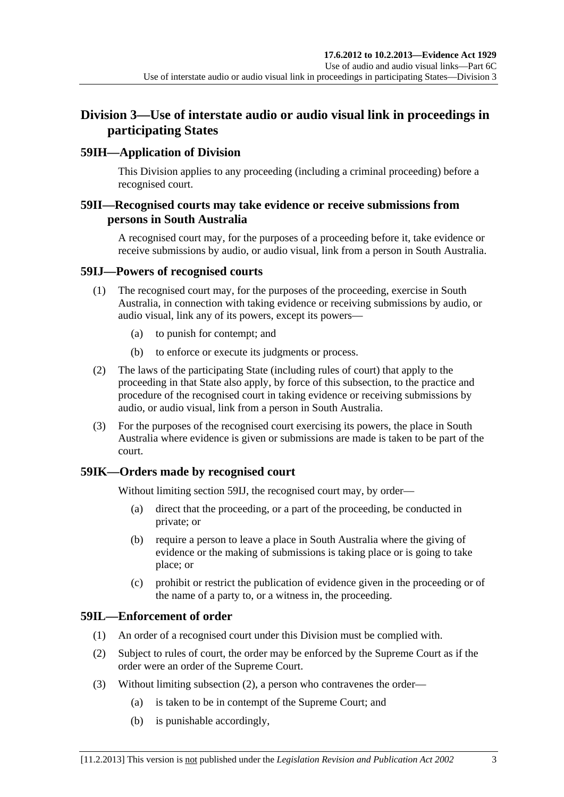## <span id="page-60-0"></span>**Division 3—Use of interstate audio or audio visual link in proceedings in participating States**

### **59IH—Application of Division**

This Division applies to any proceeding (including a criminal proceeding) before a recognised court.

### **59II—Recognised courts may take evidence or receive submissions from persons in South Australia**

A recognised court may, for the purposes of a proceeding before it, take evidence or receive submissions by audio, or audio visual, link from a person in South Australia.

#### **59IJ—Powers of recognised courts**

- (1) The recognised court may, for the purposes of the proceeding, exercise in South Australia, in connection with taking evidence or receiving submissions by audio, or audio visual, link any of its powers, except its powers—
	- (a) to punish for contempt; and
	- (b) to enforce or execute its judgments or process.
- (2) The laws of the participating State (including rules of court) that apply to the proceeding in that State also apply, by force of this subsection, to the practice and procedure of the recognised court in taking evidence or receiving submissions by audio, or audio visual, link from a person in South Australia.
- (3) For the purposes of the recognised court exercising its powers, the place in South Australia where evidence is given or submissions are made is taken to be part of the court.

### **59IK—Orders made by recognised court**

Without limiting [section 59IJ,](#page-60-0) the recognised court may, by order—

- (a) direct that the proceeding, or a part of the proceeding, be conducted in private; or
- (b) require a person to leave a place in South Australia where the giving of evidence or the making of submissions is taking place or is going to take place; or
- (c) prohibit or restrict the publication of evidence given in the proceeding or of the name of a party to, or a witness in, the proceeding.

### **59IL—Enforcement of order**

- (1) An order of a recognised court under this Division must be complied with.
- (2) Subject to rules of court, the order may be enforced by the Supreme Court as if the order were an order of the Supreme Court.
- (3) Without limiting [subsection \(2\),](#page-60-0) a person who contravenes the order—
	- (a) is taken to be in contempt of the Supreme Court; and
	- (b) is punishable accordingly,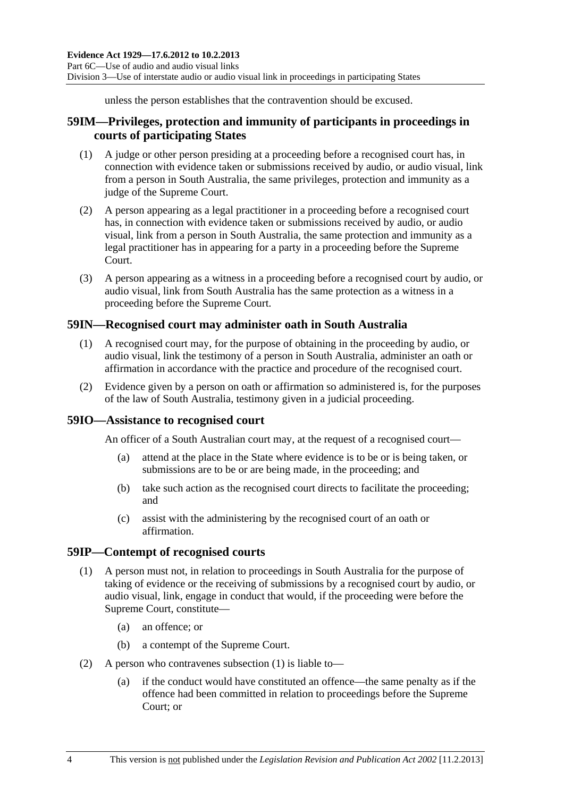unless the person establishes that the contravention should be excused.

### <span id="page-61-0"></span>**59IM—Privileges, protection and immunity of participants in proceedings in courts of participating States**

- (1) A judge or other person presiding at a proceeding before a recognised court has, in connection with evidence taken or submissions received by audio, or audio visual, link from a person in South Australia, the same privileges, protection and immunity as a judge of the Supreme Court.
- (2) A person appearing as a legal practitioner in a proceeding before a recognised court has, in connection with evidence taken or submissions received by audio, or audio visual, link from a person in South Australia, the same protection and immunity as a legal practitioner has in appearing for a party in a proceeding before the Supreme Court.
- (3) A person appearing as a witness in a proceeding before a recognised court by audio, or audio visual, link from South Australia has the same protection as a witness in a proceeding before the Supreme Court.

### **59IN—Recognised court may administer oath in South Australia**

- (1) A recognised court may, for the purpose of obtaining in the proceeding by audio, or audio visual, link the testimony of a person in South Australia, administer an oath or affirmation in accordance with the practice and procedure of the recognised court.
- (2) Evidence given by a person on oath or affirmation so administered is, for the purposes of the law of South Australia, testimony given in a judicial proceeding.

### **59IO—Assistance to recognised court**

An officer of a South Australian court may, at the request of a recognised court—

- (a) attend at the place in the State where evidence is to be or is being taken, or submissions are to be or are being made, in the proceeding; and
- (b) take such action as the recognised court directs to facilitate the proceeding; and
- (c) assist with the administering by the recognised court of an oath or affirmation.

#### **59IP—Contempt of recognised courts**

- (1) A person must not, in relation to proceedings in South Australia for the purpose of taking of evidence or the receiving of submissions by a recognised court by audio, or audio visual, link, engage in conduct that would, if the proceeding were before the Supreme Court, constitute—
	- (a) an offence; or
	- (b) a contempt of the Supreme Court.
- (2) A person who contravenes [subsection \(1\)](#page-61-0) is liable to—
	- (a) if the conduct would have constituted an offence—the same penalty as if the offence had been committed in relation to proceedings before the Supreme Court; or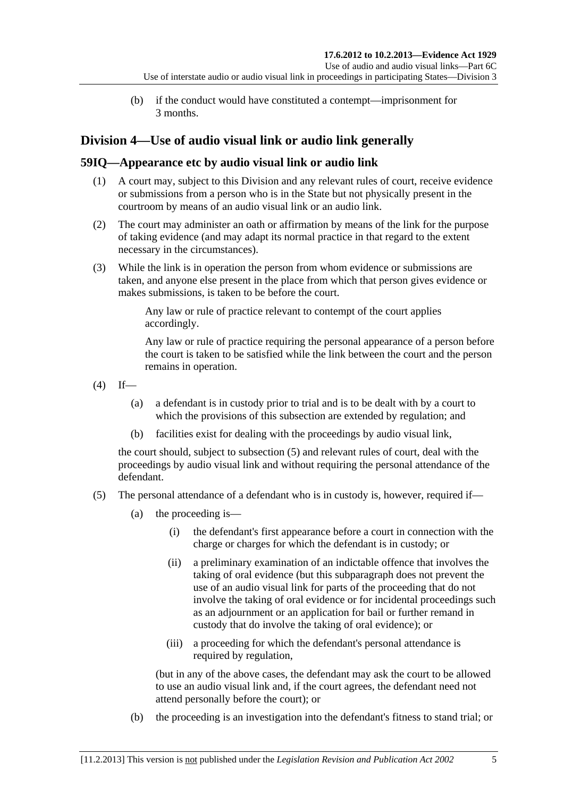(b) if the conduct would have constituted a contempt—imprisonment for 3 months.

# <span id="page-62-0"></span>**Division 4—Use of audio visual link or audio link generally**

### **59IQ—Appearance etc by audio visual link or audio link**

- (1) A court may, subject to this Division and any relevant rules of court, receive evidence or submissions from a person who is in the State but not physically present in the courtroom by means of an audio visual link or an audio link.
- (2) The court may administer an oath or affirmation by means of the link for the purpose of taking evidence (and may adapt its normal practice in that regard to the extent necessary in the circumstances).
- (3) While the link is in operation the person from whom evidence or submissions are taken, and anyone else present in the place from which that person gives evidence or makes submissions, is taken to be before the court.

Any law or rule of practice relevant to contempt of the court applies accordingly.

Any law or rule of practice requiring the personal appearance of a person before the court is taken to be satisfied while the link between the court and the person remains in operation.

 $(4)$  If—

- (a) a defendant is in custody prior to trial and is to be dealt with by a court to which the provisions of this subsection are extended by regulation; and
- (b) facilities exist for dealing with the proceedings by audio visual link,

the court should, subject to [subsection \(5\)](#page-62-0) and relevant rules of court, deal with the proceedings by audio visual link and without requiring the personal attendance of the defendant.

- (5) The personal attendance of a defendant who is in custody is, however, required if—
	- (a) the proceeding is—
		- (i) the defendant's first appearance before a court in connection with the charge or charges for which the defendant is in custody; or
		- (ii) a preliminary examination of an indictable offence that involves the taking of oral evidence (but this subparagraph does not prevent the use of an audio visual link for parts of the proceeding that do not involve the taking of oral evidence or for incidental proceedings such as an adjournment or an application for bail or further remand in custody that do involve the taking of oral evidence); or
		- (iii) a proceeding for which the defendant's personal attendance is required by regulation,

(but in any of the above cases, the defendant may ask the court to be allowed to use an audio visual link and, if the court agrees, the defendant need not attend personally before the court); or

(b) the proceeding is an investigation into the defendant's fitness to stand trial; or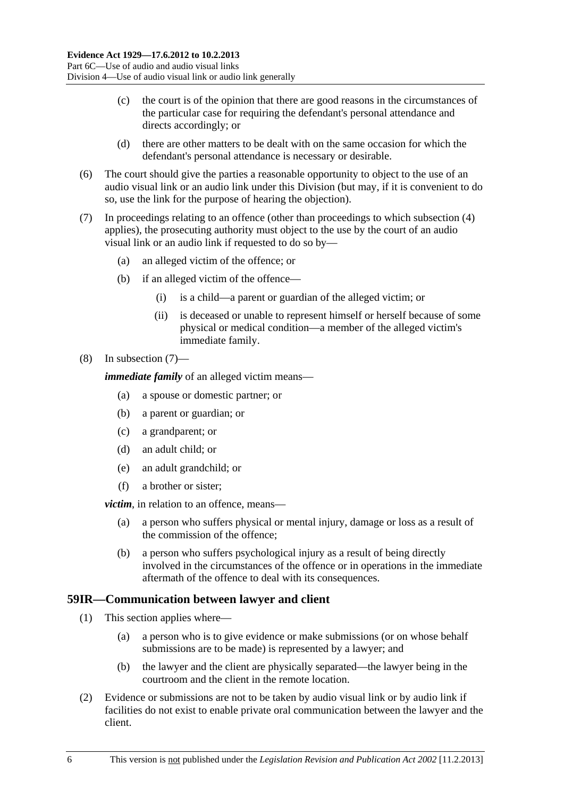- <span id="page-63-0"></span> (c) the court is of the opinion that there are good reasons in the circumstances of the particular case for requiring the defendant's personal attendance and directs accordingly; or
- (d) there are other matters to be dealt with on the same occasion for which the defendant's personal attendance is necessary or desirable.
- (6) The court should give the parties a reasonable opportunity to object to the use of an audio visual link or an audio link under this Division (but may, if it is convenient to do so, use the link for the purpose of hearing the objection).
- (7) In proceedings relating to an offence (other than proceedings to which [subsection \(4\)](#page-62-0) applies), the prosecuting authority must object to the use by the court of an audio visual link or an audio link if requested to do so by—
	- (a) an alleged victim of the offence; or
	- (b) if an alleged victim of the offence—
		- (i) is a child—a parent or guardian of the alleged victim; or
		- (ii) is deceased or unable to represent himself or herself because of some physical or medical condition—a member of the alleged victim's immediate family.

#### (8) In [subsection \(7\)—](#page-63-0)

*immediate family* of an alleged victim means—

- (a) a spouse or domestic partner; or
- (b) a parent or guardian; or
- (c) a grandparent; or
- (d) an adult child; or
- (e) an adult grandchild; or
- (f) a brother or sister;

*victim*, in relation to an offence, means—

- (a) a person who suffers physical or mental injury, damage or loss as a result of the commission of the offence;
- (b) a person who suffers psychological injury as a result of being directly involved in the circumstances of the offence or in operations in the immediate aftermath of the offence to deal with its consequences.

### **59IR—Communication between lawyer and client**

- (1) This section applies where—
	- (a) a person who is to give evidence or make submissions (or on whose behalf submissions are to be made) is represented by a lawyer; and
	- (b) the lawyer and the client are physically separated—the lawyer being in the courtroom and the client in the remote location.
- (2) Evidence or submissions are not to be taken by audio visual link or by audio link if facilities do not exist to enable private oral communication between the lawyer and the client.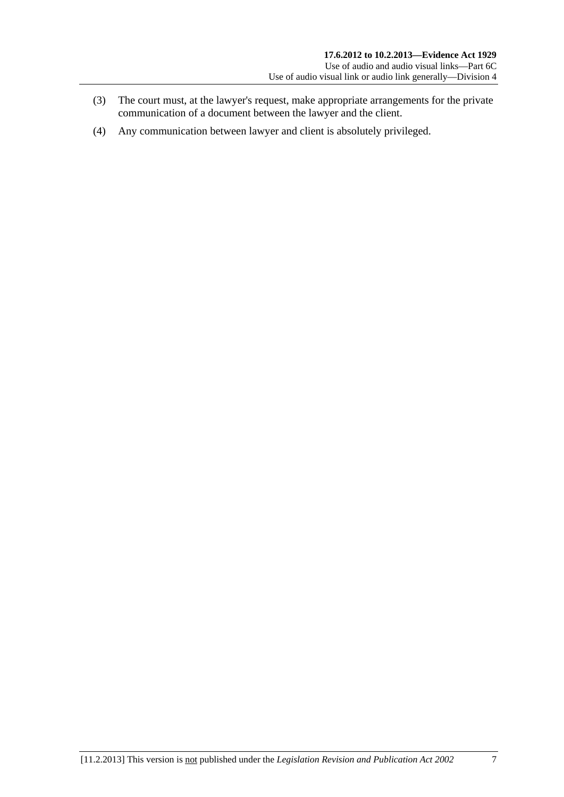- (3) The court must, at the lawyer's request, make appropriate arrangements for the private communication of a document between the lawyer and the client.
- (4) Any communication between lawyer and client is absolutely privileged.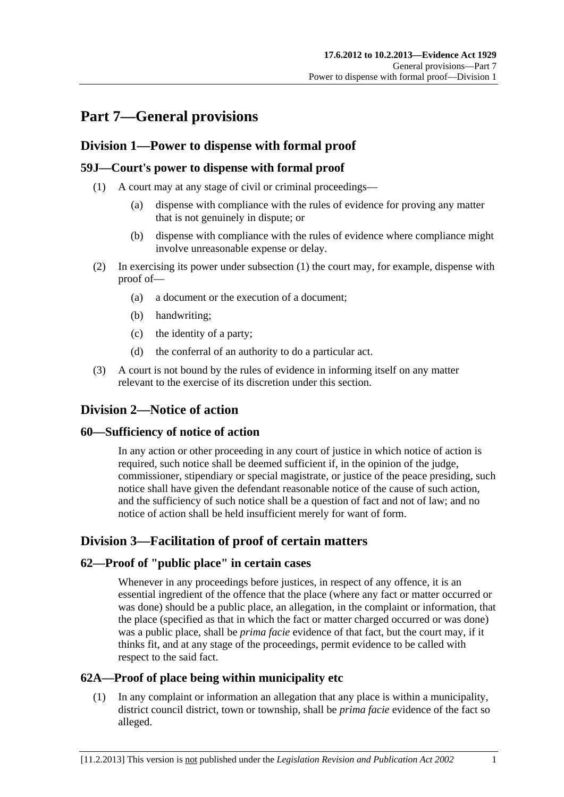# <span id="page-66-0"></span>**Part 7—General provisions**

## **Division 1—Power to dispense with formal proof**

### **59J—Court's power to dispense with formal proof**

- (1) A court may at any stage of civil or criminal proceedings—
	- (a) dispense with compliance with the rules of evidence for proving any matter that is not genuinely in dispute; or
	- (b) dispense with compliance with the rules of evidence where compliance might involve unreasonable expense or delay.
- (2) In exercising its power under [subsection \(1\)](#page-66-0) the court may, for example, dispense with proof of—
	- (a) a document or the execution of a document;
	- (b) handwriting;
	- (c) the identity of a party;
	- (d) the conferral of an authority to do a particular act.
- (3) A court is not bound by the rules of evidence in informing itself on any matter relevant to the exercise of its discretion under this section.

## **Division 2—Notice of action**

### **60—Sufficiency of notice of action**

In any action or other proceeding in any court of justice in which notice of action is required, such notice shall be deemed sufficient if, in the opinion of the judge, commissioner, stipendiary or special magistrate, or justice of the peace presiding, such notice shall have given the defendant reasonable notice of the cause of such action, and the sufficiency of such notice shall be a question of fact and not of law; and no notice of action shall be held insufficient merely for want of form.

## **Division 3—Facilitation of proof of certain matters**

### **62—Proof of "public place" in certain cases**

Whenever in any proceedings before justices, in respect of any offence, it is an essential ingredient of the offence that the place (where any fact or matter occurred or was done) should be a public place, an allegation, in the complaint or information, that the place (specified as that in which the fact or matter charged occurred or was done) was a public place, shall be *prima facie* evidence of that fact, but the court may, if it thinks fit, and at any stage of the proceedings, permit evidence to be called with respect to the said fact.

### **62A—Proof of place being within municipality etc**

 (1) In any complaint or information an allegation that any place is within a municipality, district council district, town or township, shall be *prima facie* evidence of the fact so alleged.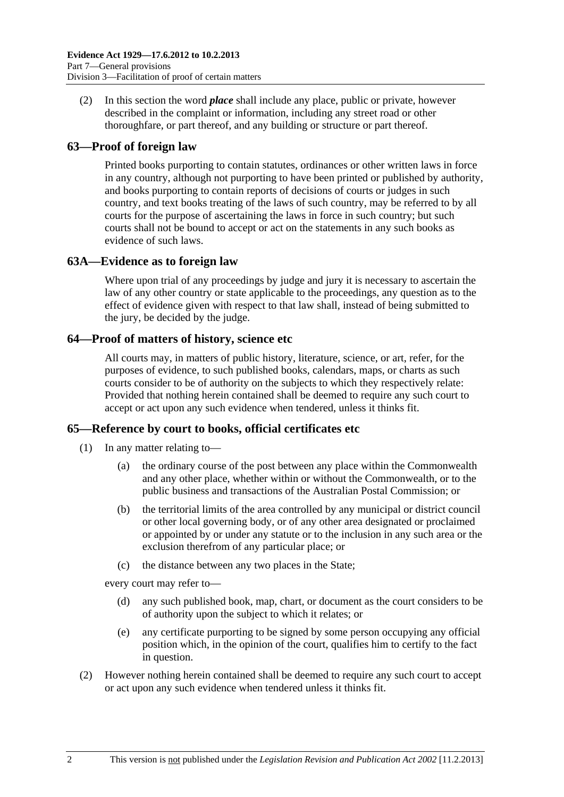(2) In this section the word *place* shall include any place, public or private, however described in the complaint or information, including any street road or other thoroughfare, or part thereof, and any building or structure or part thereof.

### **63—Proof of foreign law**

Printed books purporting to contain statutes, ordinances or other written laws in force in any country, although not purporting to have been printed or published by authority, and books purporting to contain reports of decisions of courts or judges in such country, and text books treating of the laws of such country, may be referred to by all courts for the purpose of ascertaining the laws in force in such country; but such courts shall not be bound to accept or act on the statements in any such books as evidence of such laws.

### **63A—Evidence as to foreign law**

Where upon trial of any proceedings by judge and jury it is necessary to ascertain the law of any other country or state applicable to the proceedings, any question as to the effect of evidence given with respect to that law shall, instead of being submitted to the jury, be decided by the judge.

### **64—Proof of matters of history, science etc**

All courts may, in matters of public history, literature, science, or art, refer, for the purposes of evidence, to such published books, calendars, maps, or charts as such courts consider to be of authority on the subjects to which they respectively relate: Provided that nothing herein contained shall be deemed to require any such court to accept or act upon any such evidence when tendered, unless it thinks fit.

### **65—Reference by court to books, official certificates etc**

- (1) In any matter relating to—
	- (a) the ordinary course of the post between any place within the Commonwealth and any other place, whether within or without the Commonwealth, or to the public business and transactions of the Australian Postal Commission; or
	- (b) the territorial limits of the area controlled by any municipal or district council or other local governing body, or of any other area designated or proclaimed or appointed by or under any statute or to the inclusion in any such area or the exclusion therefrom of any particular place; or
	- (c) the distance between any two places in the State;

every court may refer to—

- (d) any such published book, map, chart, or document as the court considers to be of authority upon the subject to which it relates; or
- (e) any certificate purporting to be signed by some person occupying any official position which, in the opinion of the court, qualifies him to certify to the fact in question.
- (2) However nothing herein contained shall be deemed to require any such court to accept or act upon any such evidence when tendered unless it thinks fit.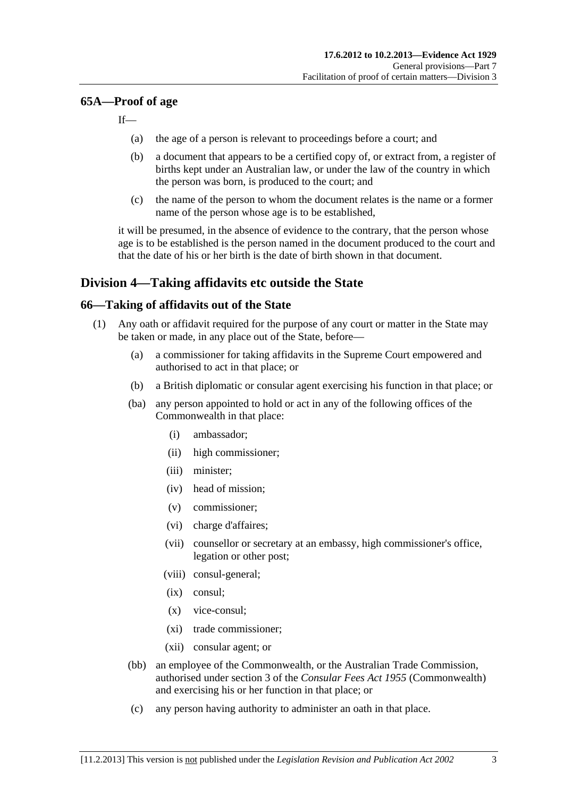### <span id="page-68-0"></span>**65A—Proof of age**

If—

- (a) the age of a person is relevant to proceedings before a court; and
- (b) a document that appears to be a certified copy of, or extract from, a register of births kept under an Australian law, or under the law of the country in which the person was born, is produced to the court; and
- (c) the name of the person to whom the document relates is the name or a former name of the person whose age is to be established,

it will be presumed, in the absence of evidence to the contrary, that the person whose age is to be established is the person named in the document produced to the court and that the date of his or her birth is the date of birth shown in that document.

## **Division 4—Taking affidavits etc outside the State**

### **66—Taking of affidavits out of the State**

- (1) Any oath or affidavit required for the purpose of any court or matter in the State may be taken or made, in any place out of the State, before—
	- (a) a commissioner for taking affidavits in the Supreme Court empowered and authorised to act in that place; or
	- (b) a British diplomatic or consular agent exercising his function in that place; or
	- (ba) any person appointed to hold or act in any of the following offices of the Commonwealth in that place:
		- (i) ambassador;
		- (ii) high commissioner;
		- (iii) minister;
		- (iv) head of mission;
		- (v) commissioner;
		- (vi) charge d'affaires;
		- (vii) counsellor or secretary at an embassy, high commissioner's office, legation or other post;
		- (viii) consul-general;
		- (ix) consul;
		- (x) vice-consul;
		- (xi) trade commissioner;
		- (xii) consular agent; or
	- (bb) an employee of the Commonwealth, or the Australian Trade Commission, authorised under section 3 of the *Consular Fees Act 1955* (Commonwealth) and exercising his or her function in that place; or
	- (c) any person having authority to administer an oath in that place.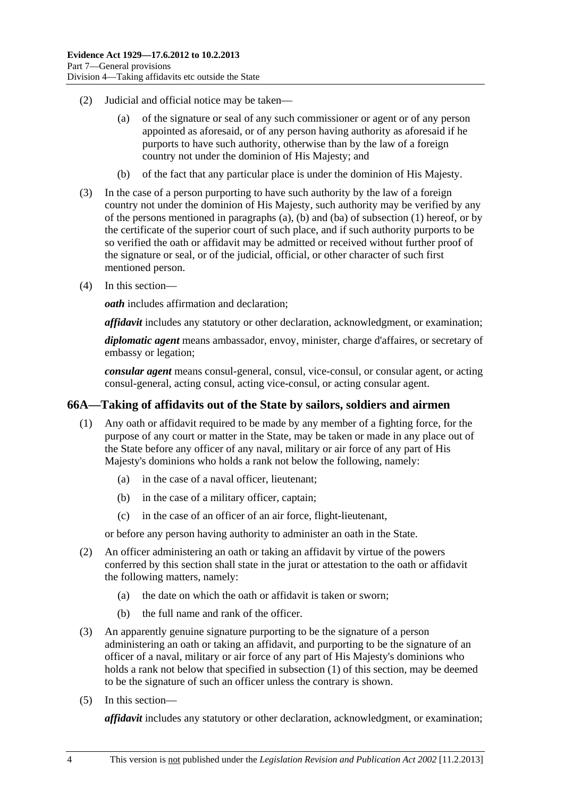- <span id="page-69-0"></span> (2) Judicial and official notice may be taken—
	- (a) of the signature or seal of any such commissioner or agent or of any person appointed as aforesaid, or of any person having authority as aforesaid if he purports to have such authority, otherwise than by the law of a foreign country not under the dominion of His Majesty; and
	- (b) of the fact that any particular place is under the dominion of His Majesty.
- (3) In the case of a person purporting to have such authority by the law of a foreign country not under the dominion of His Majesty, such authority may be verified by any of the persons mentioned in [paragraphs \(a\)](#page-68-0), [\(b\)](#page-68-0) and [\(ba\)](#page-68-0) of [subsection \(1\)](#page-68-0) hereof, or by the certificate of the superior court of such place, and if such authority purports to be so verified the oath or affidavit may be admitted or received without further proof of the signature or seal, or of the judicial, official, or other character of such first mentioned person.
- (4) In this section—

*oath* includes affirmation and declaration;

*affidavit* includes any statutory or other declaration, acknowledgment, or examination;

*diplomatic agent* means ambassador, envoy, minister, charge d'affaires, or secretary of embassy or legation;

*consular agent* means consul-general, consul, vice-consul, or consular agent, or acting consul-general, acting consul, acting vice-consul, or acting consular agent.

### **66A—Taking of affidavits out of the State by sailors, soldiers and airmen**

- (1) Any oath or affidavit required to be made by any member of a fighting force, for the purpose of any court or matter in the State, may be taken or made in any place out of the State before any officer of any naval, military or air force of any part of His Majesty's dominions who holds a rank not below the following, namely:
	- (a) in the case of a naval officer, lieutenant;
	- (b) in the case of a military officer, captain;
	- (c) in the case of an officer of an air force, flight-lieutenant,

or before any person having authority to administer an oath in the State.

- (2) An officer administering an oath or taking an affidavit by virtue of the powers conferred by this section shall state in the jurat or attestation to the oath or affidavit the following matters, namely:
	- (a) the date on which the oath or affidavit is taken or sworn;
	- (b) the full name and rank of the officer.
- (3) An apparently genuine signature purporting to be the signature of a person administering an oath or taking an affidavit, and purporting to be the signature of an officer of a naval, military or air force of any part of His Majesty's dominions who holds a rank not below that specified in [subsection \(1\)](#page-69-0) of this section, may be deemed to be the signature of such an officer unless the contrary is shown.
- (5) In this section—

*affidavit* includes any statutory or other declaration, acknowledgment, or examination;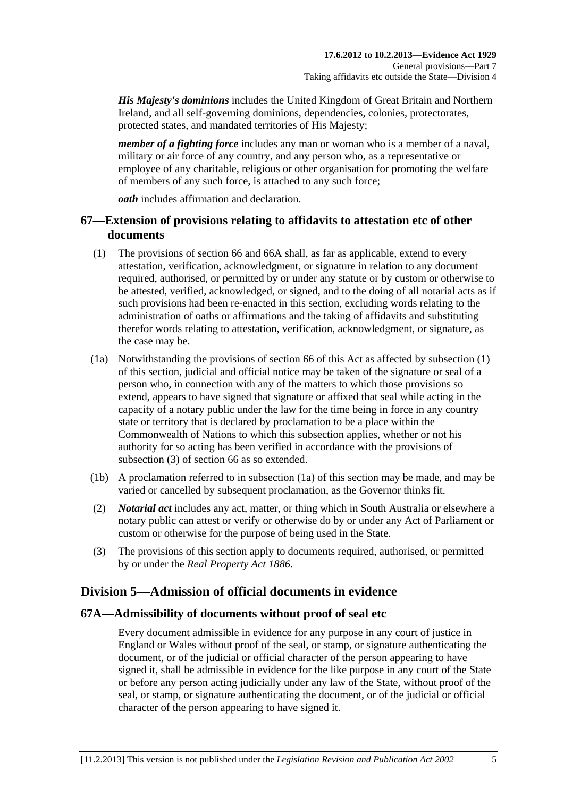<span id="page-70-0"></span>*His Majesty's dominions* includes the United Kingdom of Great Britain and Northern Ireland, and all self-governing dominions, dependencies, colonies, protectorates, protected states, and mandated territories of His Majesty;

*member of a fighting force* includes any man or woman who is a member of a naval, military or air force of any country, and any person who, as a representative or employee of any charitable, religious or other organisation for promoting the welfare of members of any such force, is attached to any such force;

*oath* includes affirmation and declaration.

### **67—Extension of provisions relating to affidavits to attestation etc of other documents**

- (1) The provisions of [section 66](#page-68-0) and [66A](#page-69-0) shall, as far as applicable, extend to every attestation, verification, acknowledgment, or signature in relation to any document required, authorised, or permitted by or under any statute or by custom or otherwise to be attested, verified, acknowledged, or signed, and to the doing of all notarial acts as if such provisions had been re-enacted in this section, excluding words relating to the administration of oaths or affirmations and the taking of affidavits and substituting therefor words relating to attestation, verification, acknowledgment, or signature, as the case may be.
- (1a) Notwithstanding the provisions of [section 66](#page-68-0) of this Act as affected by [subsection \(1\)](#page-70-0) of this section, judicial and official notice may be taken of the signature or seal of a person who, in connection with any of the matters to which those provisions so extend, appears to have signed that signature or affixed that seal while acting in the capacity of a notary public under the law for the time being in force in any country state or territory that is declared by proclamation to be a place within the Commonwealth of Nations to which this subsection applies, whether or not his authority for so acting has been verified in accordance with the provisions of [subsection \(3\)](#page-70-0) of [section 66](#page-68-0) as so extended.
- (1b) A proclamation referred to in [subsection \(1a\)](#page-70-0) of this section may be made, and may be varied or cancelled by subsequent proclamation, as the Governor thinks fit.
- (2) *Notarial act* includes any act, matter, or thing which in South Australia or elsewhere a notary public can attest or verify or otherwise do by or under any Act of Parliament or custom or otherwise for the purpose of being used in the State.
- (3) The provisions of this section apply to documents required, authorised, or permitted by or under the *[Real Property Act 1886](http://www.legislation.sa.gov.au/index.aspx?action=legref&type=act&legtitle=Real%20Property%20Act%201886)*.

# **Division 5—Admission of official documents in evidence**

### **67A—Admissibility of documents without proof of seal etc**

Every document admissible in evidence for any purpose in any court of justice in England or Wales without proof of the seal, or stamp, or signature authenticating the document, or of the judicial or official character of the person appearing to have signed it, shall be admissible in evidence for the like purpose in any court of the State or before any person acting judicially under any law of the State, without proof of the seal, or stamp, or signature authenticating the document, or of the judicial or official character of the person appearing to have signed it.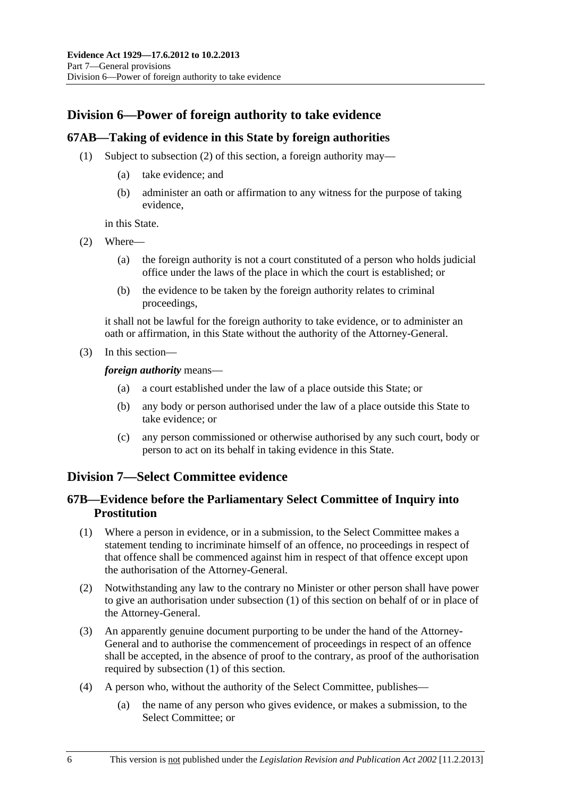## <span id="page-71-0"></span>**Division 6—Power of foreign authority to take evidence**

### **67AB—Taking of evidence in this State by foreign authorities**

- (1) Subject to [subsection \(2\)](#page-71-0) of this section, a foreign authority may—
	- (a) take evidence; and
	- (b) administer an oath or affirmation to any witness for the purpose of taking evidence,

in this State.

- (2) Where—
	- (a) the foreign authority is not a court constituted of a person who holds judicial office under the laws of the place in which the court is established; or
	- (b) the evidence to be taken by the foreign authority relates to criminal proceedings,

it shall not be lawful for the foreign authority to take evidence, or to administer an oath or affirmation, in this State without the authority of the Attorney-General.

(3) In this section—

*foreign authority* means—

- (a) a court established under the law of a place outside this State; or
- (b) any body or person authorised under the law of a place outside this State to take evidence; or
- (c) any person commissioned or otherwise authorised by any such court, body or person to act on its behalf in taking evidence in this State.

### **Division 7—Select Committee evidence**

### **67B—Evidence before the Parliamentary Select Committee of Inquiry into Prostitution**

- (1) Where a person in evidence, or in a submission, to the Select Committee makes a statement tending to incriminate himself of an offence, no proceedings in respect of that offence shall be commenced against him in respect of that offence except upon the authorisation of the Attorney-General.
- (2) Notwithstanding any law to the contrary no Minister or other person shall have power to give an authorisation under [subsection \(1\)](#page-71-0) of this section on behalf of or in place of the Attorney-General.
- (3) An apparently genuine document purporting to be under the hand of the Attorney-General and to authorise the commencement of proceedings in respect of an offence shall be accepted, in the absence of proof to the contrary, as proof of the authorisation required by [subsection \(1\)](#page-71-0) of this section.
- (4) A person who, without the authority of the Select Committee, publishes—
	- (a) the name of any person who gives evidence, or makes a submission, to the Select Committee; or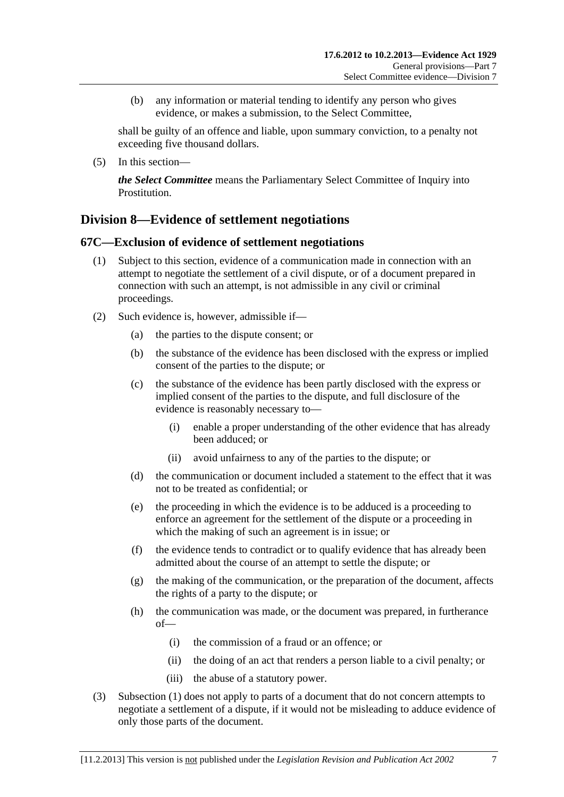<span id="page-72-0"></span> (b) any information or material tending to identify any person who gives evidence, or makes a submission, to the Select Committee,

shall be guilty of an offence and liable, upon summary conviction, to a penalty not exceeding five thousand dollars.

(5) In this section—

*the Select Committee* means the Parliamentary Select Committee of Inquiry into Prostitution.

# **Division 8—Evidence of settlement negotiations**

# **67C—Exclusion of evidence of settlement negotiations**

- (1) Subject to this section, evidence of a communication made in connection with an attempt to negotiate the settlement of a civil dispute, or of a document prepared in connection with such an attempt, is not admissible in any civil or criminal proceedings.
- (2) Such evidence is, however, admissible if—
	- (a) the parties to the dispute consent; or
	- (b) the substance of the evidence has been disclosed with the express or implied consent of the parties to the dispute; or
	- (c) the substance of the evidence has been partly disclosed with the express or implied consent of the parties to the dispute, and full disclosure of the evidence is reasonably necessary to—
		- (i) enable a proper understanding of the other evidence that has already been adduced; or
		- (ii) avoid unfairness to any of the parties to the dispute; or
	- (d) the communication or document included a statement to the effect that it was not to be treated as confidential; or
	- (e) the proceeding in which the evidence is to be adduced is a proceeding to enforce an agreement for the settlement of the dispute or a proceeding in which the making of such an agreement is in issue; or
	- (f) the evidence tends to contradict or to qualify evidence that has already been admitted about the course of an attempt to settle the dispute; or
	- (g) the making of the communication, or the preparation of the document, affects the rights of a party to the dispute; or
	- (h) the communication was made, or the document was prepared, in furtherance of—
		- (i) the commission of a fraud or an offence; or
		- (ii) the doing of an act that renders a person liable to a civil penalty; or
		- (iii) the abuse of a statutory power.
- (3) [Subsection \(1\)](#page-72-0) does not apply to parts of a document that do not concern attempts to negotiate a settlement of a dispute, if it would not be misleading to adduce evidence of only those parts of the document.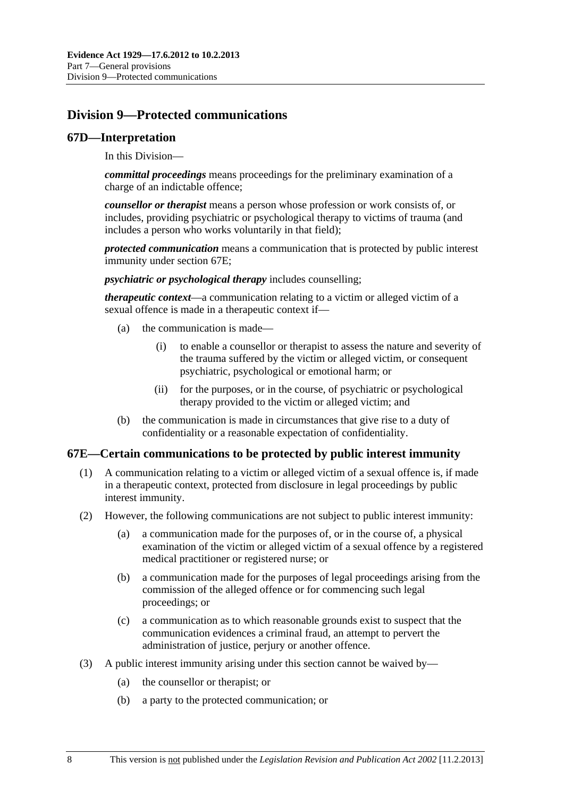# <span id="page-73-0"></span>**Division 9—Protected communications**

## **67D—Interpretation**

In this Division—

*committal proceedings* means proceedings for the preliminary examination of a charge of an indictable offence;

*counsellor or therapist* means a person whose profession or work consists of, or includes, providing psychiatric or psychological therapy to victims of trauma (and includes a person who works voluntarily in that field);

*protected communication* means a communication that is protected by public interest immunity under [section 67E](#page-73-0);

*psychiatric or psychological therapy* includes counselling;

*therapeutic context*—a communication relating to a victim or alleged victim of a sexual offence is made in a therapeutic context if—

- (a) the communication is made—
	- (i) to enable a counsellor or therapist to assess the nature and severity of the trauma suffered by the victim or alleged victim, or consequent psychiatric, psychological or emotional harm; or
	- (ii) for the purposes, or in the course, of psychiatric or psychological therapy provided to the victim or alleged victim; and
- (b) the communication is made in circumstances that give rise to a duty of confidentiality or a reasonable expectation of confidentiality.

# **67E—Certain communications to be protected by public interest immunity**

- (1) A communication relating to a victim or alleged victim of a sexual offence is, if made in a therapeutic context, protected from disclosure in legal proceedings by public interest immunity.
- (2) However, the following communications are not subject to public interest immunity:
	- (a) a communication made for the purposes of, or in the course of, a physical examination of the victim or alleged victim of a sexual offence by a registered medical practitioner or registered nurse; or
	- (b) a communication made for the purposes of legal proceedings arising from the commission of the alleged offence or for commencing such legal proceedings; or
	- (c) a communication as to which reasonable grounds exist to suspect that the communication evidences a criminal fraud, an attempt to pervert the administration of justice, perjury or another offence.
- (3) A public interest immunity arising under this section cannot be waived by—
	- (a) the counsellor or therapist; or
	- (b) a party to the protected communication; or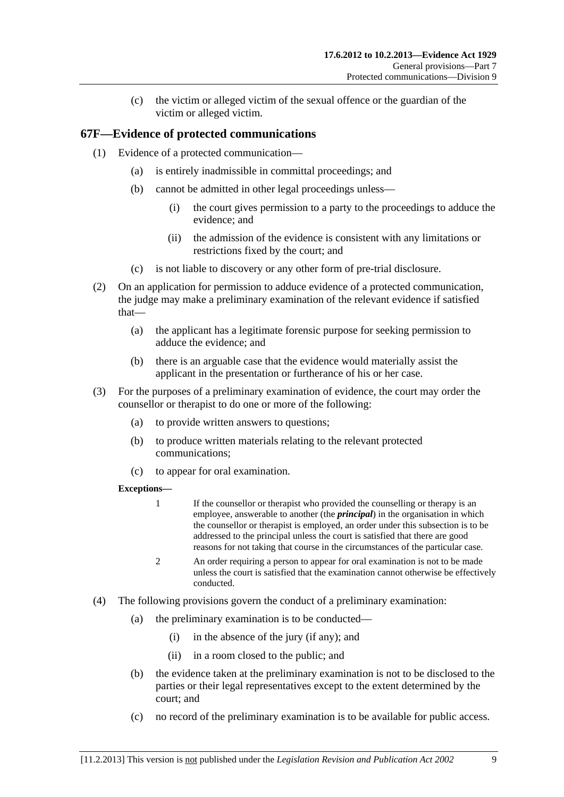(c) the victim or alleged victim of the sexual offence or the guardian of the victim or alleged victim.

# **67F—Evidence of protected communications**

- (1) Evidence of a protected communication—
	- (a) is entirely inadmissible in committal proceedings; and
	- (b) cannot be admitted in other legal proceedings unless—
		- (i) the court gives permission to a party to the proceedings to adduce the evidence; and
		- (ii) the admission of the evidence is consistent with any limitations or restrictions fixed by the court; and
	- (c) is not liable to discovery or any other form of pre-trial disclosure.
- (2) On an application for permission to adduce evidence of a protected communication, the judge may make a preliminary examination of the relevant evidence if satisfied that—
	- (a) the applicant has a legitimate forensic purpose for seeking permission to adduce the evidence; and
	- (b) there is an arguable case that the evidence would materially assist the applicant in the presentation or furtherance of his or her case.
- (3) For the purposes of a preliminary examination of evidence, the court may order the counsellor or therapist to do one or more of the following:
	- (a) to provide written answers to questions;
	- (b) to produce written materials relating to the relevant protected communications;
	- (c) to appear for oral examination.

### **Exceptions—**

- 1 If the counsellor or therapist who provided the counselling or therapy is an employee, answerable to another (the *principal*) in the organisation in which the counsellor or therapist is employed, an order under this subsection is to be addressed to the principal unless the court is satisfied that there are good reasons for not taking that course in the circumstances of the particular case.
- 2 An order requiring a person to appear for oral examination is not to be made unless the court is satisfied that the examination cannot otherwise be effectively conducted.
- (4) The following provisions govern the conduct of a preliminary examination:
	- (a) the preliminary examination is to be conducted—
		- (i) in the absence of the jury (if any); and
		- (ii) in a room closed to the public; and
	- (b) the evidence taken at the preliminary examination is not to be disclosed to the parties or their legal representatives except to the extent determined by the court; and
	- (c) no record of the preliminary examination is to be available for public access.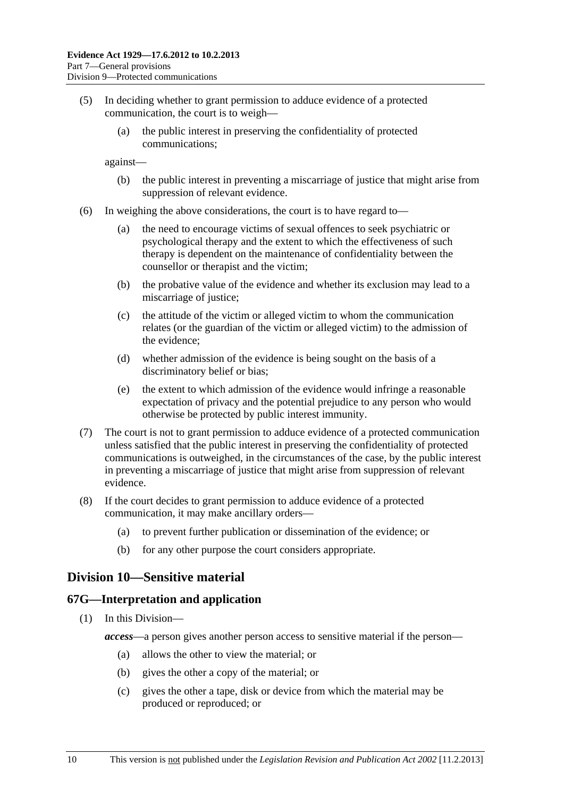- (5) In deciding whether to grant permission to adduce evidence of a protected communication, the court is to weigh—
	- (a) the public interest in preserving the confidentiality of protected communications;

against—

- (b) the public interest in preventing a miscarriage of justice that might arise from suppression of relevant evidence.
- (6) In weighing the above considerations, the court is to have regard to—
	- (a) the need to encourage victims of sexual offences to seek psychiatric or psychological therapy and the extent to which the effectiveness of such therapy is dependent on the maintenance of confidentiality between the counsellor or therapist and the victim;
	- (b) the probative value of the evidence and whether its exclusion may lead to a miscarriage of justice;
	- (c) the attitude of the victim or alleged victim to whom the communication relates (or the guardian of the victim or alleged victim) to the admission of the evidence;
	- (d) whether admission of the evidence is being sought on the basis of a discriminatory belief or bias;
	- (e) the extent to which admission of the evidence would infringe a reasonable expectation of privacy and the potential prejudice to any person who would otherwise be protected by public interest immunity.
- (7) The court is not to grant permission to adduce evidence of a protected communication unless satisfied that the public interest in preserving the confidentiality of protected communications is outweighed, in the circumstances of the case, by the public interest in preventing a miscarriage of justice that might arise from suppression of relevant evidence.
- (8) If the court decides to grant permission to adduce evidence of a protected communication, it may make ancillary orders—
	- (a) to prevent further publication or dissemination of the evidence; or
	- (b) for any other purpose the court considers appropriate.

# **Division 10—Sensitive material**

## **67G—Interpretation and application**

- (1) In this Division
	- *access*—a person gives another person access to sensitive material if the person—
		- (a) allows the other to view the material; or
		- (b) gives the other a copy of the material; or
		- (c) gives the other a tape, disk or device from which the material may be produced or reproduced; or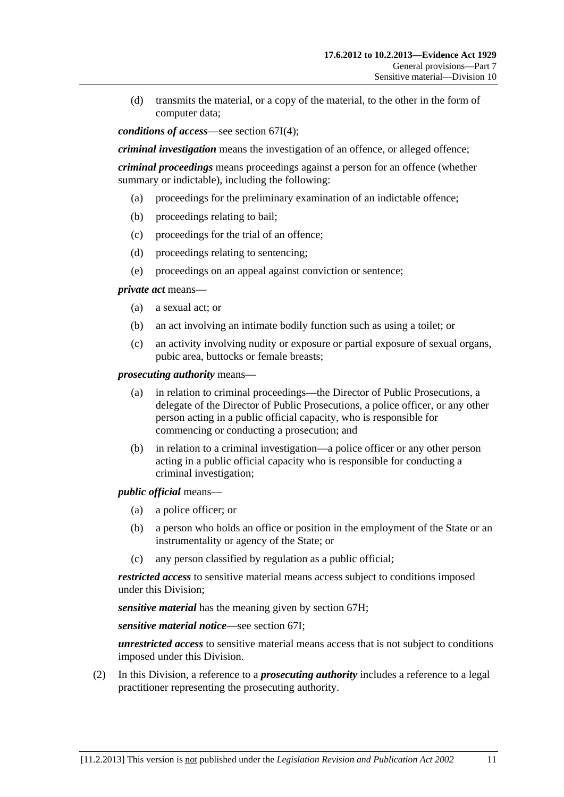(d) transmits the material, or a copy of the material, to the other in the form of computer data;

*conditions of access*—see [section 67I\(4\);](#page-77-0)

*criminal investigation* means the investigation of an offence, or alleged offence;

*criminal proceedings* means proceedings against a person for an offence (whether summary or indictable), including the following:

- (a) proceedings for the preliminary examination of an indictable offence;
- (b) proceedings relating to bail;
- (c) proceedings for the trial of an offence;
- (d) proceedings relating to sentencing;
- (e) proceedings on an appeal against conviction or sentence;

*private act* means—

- (a) a sexual act; or
- (b) an act involving an intimate bodily function such as using a toilet; or
- (c) an activity involving nudity or exposure or partial exposure of sexual organs, pubic area, buttocks or female breasts;

*prosecuting authority* means—

- (a) in relation to criminal proceedings—the Director of Public Prosecutions, a delegate of the Director of Public Prosecutions, a police officer, or any other person acting in a public official capacity, who is responsible for commencing or conducting a prosecution; and
- (b) in relation to a criminal investigation—a police officer or any other person acting in a public official capacity who is responsible for conducting a criminal investigation;

*public official* means—

- (a) a police officer; or
- (b) a person who holds an office or position in the employment of the State or an instrumentality or agency of the State; or
- (c) any person classified by regulation as a public official;

*restricted access* to sensitive material means access subject to conditions imposed under this Division;

*sensitive material* has the meaning given by [section 67H](#page-77-0);

*sensitive material notice*—see [section 67I](#page-77-0);

*unrestricted access* to sensitive material means access that is not subject to conditions imposed under this Division.

 (2) In this Division, a reference to a *prosecuting authority* includes a reference to a legal practitioner representing the prosecuting authority.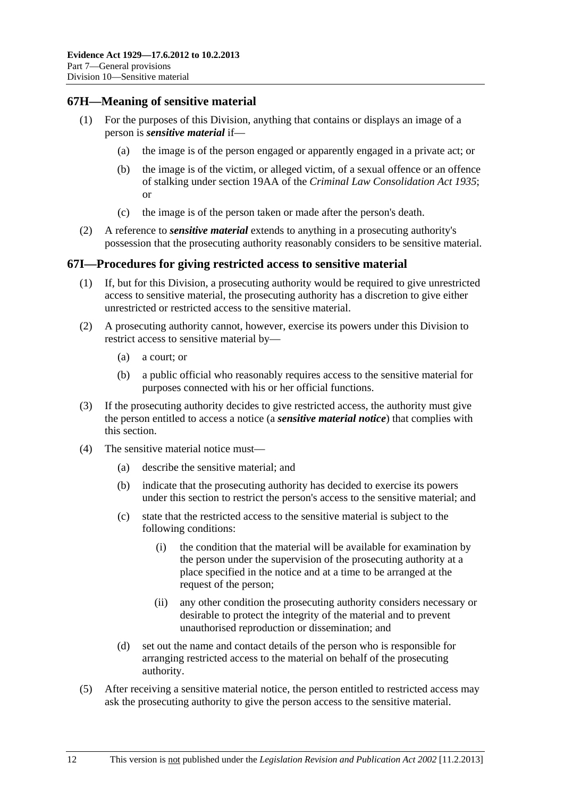# <span id="page-77-0"></span>**67H—Meaning of sensitive material**

- (1) For the purposes of this Division, anything that contains or displays an image of a person is *sensitive material* if—
	- (a) the image is of the person engaged or apparently engaged in a private act; or
	- (b) the image is of the victim, or alleged victim, of a sexual offence or an offence of stalking under section 19AA of the *[Criminal Law Consolidation Act 1935](http://www.legislation.sa.gov.au/index.aspx?action=legref&type=act&legtitle=Criminal%20Law%20Consolidation%20Act%201935)*; or
	- (c) the image is of the person taken or made after the person's death.
- (2) A reference to *sensitive material* extends to anything in a prosecuting authority's possession that the prosecuting authority reasonably considers to be sensitive material.

### **67I—Procedures for giving restricted access to sensitive material**

- (1) If, but for this Division, a prosecuting authority would be required to give unrestricted access to sensitive material, the prosecuting authority has a discretion to give either unrestricted or restricted access to the sensitive material.
- (2) A prosecuting authority cannot, however, exercise its powers under this Division to restrict access to sensitive material by—
	- (a) a court; or
	- (b) a public official who reasonably requires access to the sensitive material for purposes connected with his or her official functions.
- (3) If the prosecuting authority decides to give restricted access, the authority must give the person entitled to access a notice (a *sensitive material notice*) that complies with this section.
- (4) The sensitive material notice must—
	- (a) describe the sensitive material; and
	- (b) indicate that the prosecuting authority has decided to exercise its powers under this section to restrict the person's access to the sensitive material; and
	- (c) state that the restricted access to the sensitive material is subject to the following conditions:
		- (i) the condition that the material will be available for examination by the person under the supervision of the prosecuting authority at a place specified in the notice and at a time to be arranged at the request of the person;
		- (ii) any other condition the prosecuting authority considers necessary or desirable to protect the integrity of the material and to prevent unauthorised reproduction or dissemination; and
	- (d) set out the name and contact details of the person who is responsible for arranging restricted access to the material on behalf of the prosecuting authority.
- (5) After receiving a sensitive material notice, the person entitled to restricted access may ask the prosecuting authority to give the person access to the sensitive material.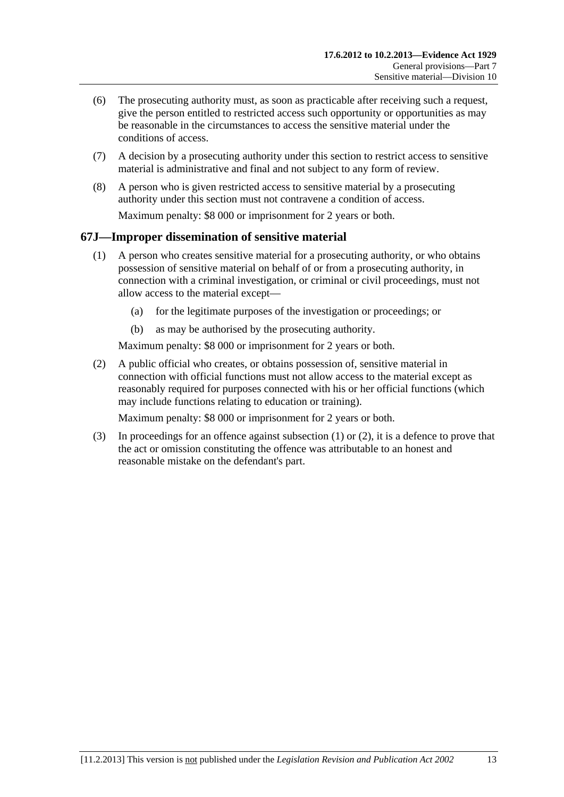- <span id="page-78-0"></span> (6) The prosecuting authority must, as soon as practicable after receiving such a request, give the person entitled to restricted access such opportunity or opportunities as may be reasonable in the circumstances to access the sensitive material under the conditions of access.
- (7) A decision by a prosecuting authority under this section to restrict access to sensitive material is administrative and final and not subject to any form of review.
- (8) A person who is given restricted access to sensitive material by a prosecuting authority under this section must not contravene a condition of access. Maximum penalty: \$8 000 or imprisonment for 2 years or both.

# **67J—Improper dissemination of sensitive material**

- (1) A person who creates sensitive material for a prosecuting authority, or who obtains possession of sensitive material on behalf of or from a prosecuting authority, in connection with a criminal investigation, or criminal or civil proceedings, must not allow access to the material except—
	- (a) for the legitimate purposes of the investigation or proceedings; or
	- (b) as may be authorised by the prosecuting authority.

Maximum penalty: \$8 000 or imprisonment for 2 years or both.

 (2) A public official who creates, or obtains possession of, sensitive material in connection with official functions must not allow access to the material except as reasonably required for purposes connected with his or her official functions (which may include functions relating to education or training).

Maximum penalty: \$8 000 or imprisonment for 2 years or both.

 (3) In proceedings for an offence against [subsection \(1\)](#page-78-0) or [\(2\)](#page-78-0), it is a defence to prove that the act or omission constituting the offence was attributable to an honest and reasonable mistake on the defendant's part.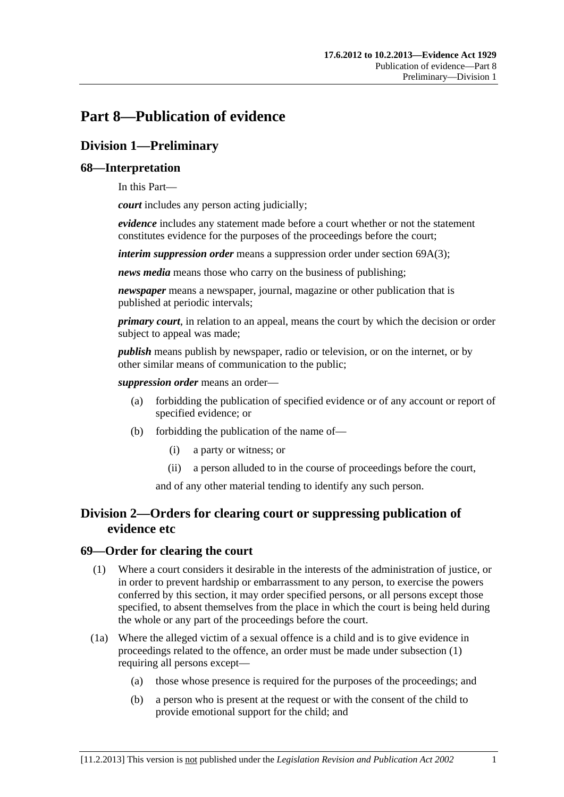# <span id="page-80-0"></span>**Part 8—Publication of evidence**

# **Division 1—Preliminary**

# **68—Interpretation**

In this Part—

*court* includes any person acting judicially;

*evidence* includes any statement made before a court whether or not the statement constitutes evidence for the purposes of the proceedings before the court;

*interim suppression order* means a suppression order under [section 69A\(3\)](#page-81-0);

*news media* means those who carry on the business of publishing;

*newspaper* means a newspaper, journal, magazine or other publication that is published at periodic intervals;

*primary court*, in relation to an appeal, means the court by which the decision or order subject to appeal was made;

*publish* means publish by newspaper, radio or television, or on the internet, or by other similar means of communication to the public;

*suppression order* means an order—

- (a) forbidding the publication of specified evidence or of any account or report of specified evidence; or
- (b) forbidding the publication of the name of—
	- (i) a party or witness; or
	- (ii) a person alluded to in the course of proceedings before the court,

and of any other material tending to identify any such person.

# **Division 2—Orders for clearing court or suppressing publication of evidence etc**

# **69—Order for clearing the court**

- (1) Where a court considers it desirable in the interests of the administration of justice, or in order to prevent hardship or embarrassment to any person, to exercise the powers conferred by this section, it may order specified persons, or all persons except those specified, to absent themselves from the place in which the court is being held during the whole or any part of the proceedings before the court.
- (1a) Where the alleged victim of a sexual offence is a child and is to give evidence in proceedings related to the offence, an order must be made under [subsection \(1\)](#page-80-0)  requiring all persons except—
	- (a) those whose presence is required for the purposes of the proceedings; and
	- (b) a person who is present at the request or with the consent of the child to provide emotional support for the child; and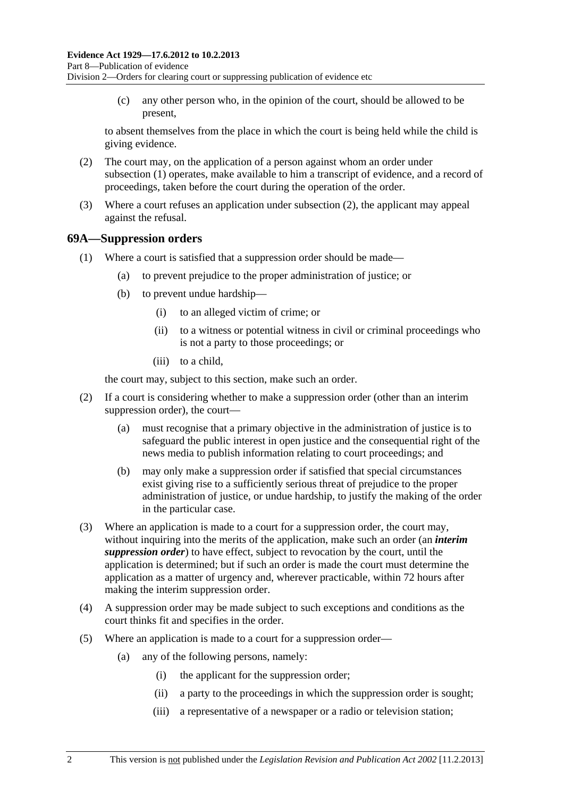<span id="page-81-0"></span> (c) any other person who, in the opinion of the court, should be allowed to be present,

to absent themselves from the place in which the court is being held while the child is giving evidence.

- (2) The court may, on the application of a person against whom an order under [subsection \(1\)](#page-80-0) operates, make available to him a transcript of evidence, and a record of proceedings, taken before the court during the operation of the order.
- (3) Where a court refuses an application under [subsection \(2\),](#page-81-0) the applicant may appeal against the refusal.

### **69A—Suppression orders**

- (1) Where a court is satisfied that a suppression order should be made—
	- (a) to prevent prejudice to the proper administration of justice; or
	- (b) to prevent undue hardship—
		- (i) to an alleged victim of crime; or
		- (ii) to a witness or potential witness in civil or criminal proceedings who is not a party to those proceedings; or
		- (iii) to a child,

the court may, subject to this section, make such an order.

- (2) If a court is considering whether to make a suppression order (other than an interim suppression order), the court—
	- (a) must recognise that a primary objective in the administration of justice is to safeguard the public interest in open justice and the consequential right of the news media to publish information relating to court proceedings; and
	- (b) may only make a suppression order if satisfied that special circumstances exist giving rise to a sufficiently serious threat of prejudice to the proper administration of justice, or undue hardship, to justify the making of the order in the particular case.
- (3) Where an application is made to a court for a suppression order, the court may, without inquiring into the merits of the application, make such an order (an *interim suppression order*) to have effect, subject to revocation by the court, until the application is determined; but if such an order is made the court must determine the application as a matter of urgency and, wherever practicable, within 72 hours after making the interim suppression order.
- (4) A suppression order may be made subject to such exceptions and conditions as the court thinks fit and specifies in the order.
- (5) Where an application is made to a court for a suppression order—
	- (a) any of the following persons, namely:
		- (i) the applicant for the suppression order;
		- (ii) a party to the proceedings in which the suppression order is sought;
		- (iii) a representative of a newspaper or a radio or television station;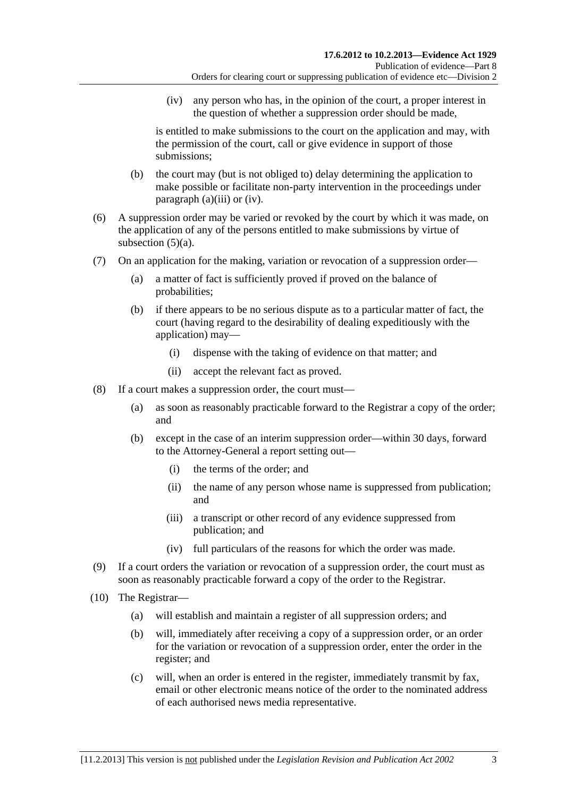<span id="page-82-0"></span> (iv) any person who has, in the opinion of the court, a proper interest in the question of whether a suppression order should be made,

is entitled to make submissions to the court on the application and may, with the permission of the court, call or give evidence in support of those submissions;

- (b) the court may (but is not obliged to) delay determining the application to make possible or facilitate non-party intervention in the proceedings under [paragraph \(a\)\(iii\)](#page-81-0) or [\(iv\)](#page-82-0).
- (6) A suppression order may be varied or revoked by the court by which it was made, on the application of any of the persons entitled to make submissions by virtue of subsection  $(5)(a)$ .
- (7) On an application for the making, variation or revocation of a suppression order—
	- (a) a matter of fact is sufficiently proved if proved on the balance of probabilities;
	- (b) if there appears to be no serious dispute as to a particular matter of fact, the court (having regard to the desirability of dealing expeditiously with the application) may—
		- (i) dispense with the taking of evidence on that matter; and
		- (ii) accept the relevant fact as proved.
- (8) If a court makes a suppression order, the court must—
	- (a) as soon as reasonably practicable forward to the Registrar a copy of the order; and
	- (b) except in the case of an interim suppression order—within 30 days, forward to the Attorney-General a report setting out—
		- (i) the terms of the order; and
		- (ii) the name of any person whose name is suppressed from publication; and
		- (iii) a transcript or other record of any evidence suppressed from publication; and
		- (iv) full particulars of the reasons for which the order was made.
- (9) If a court orders the variation or revocation of a suppression order, the court must as soon as reasonably practicable forward a copy of the order to the Registrar.
- (10) The Registrar—
	- (a) will establish and maintain a register of all suppression orders; and
	- (b) will, immediately after receiving a copy of a suppression order, or an order for the variation or revocation of a suppression order, enter the order in the register; and
	- (c) will, when an order is entered in the register, immediately transmit by fax, email or other electronic means notice of the order to the nominated address of each authorised news media representative.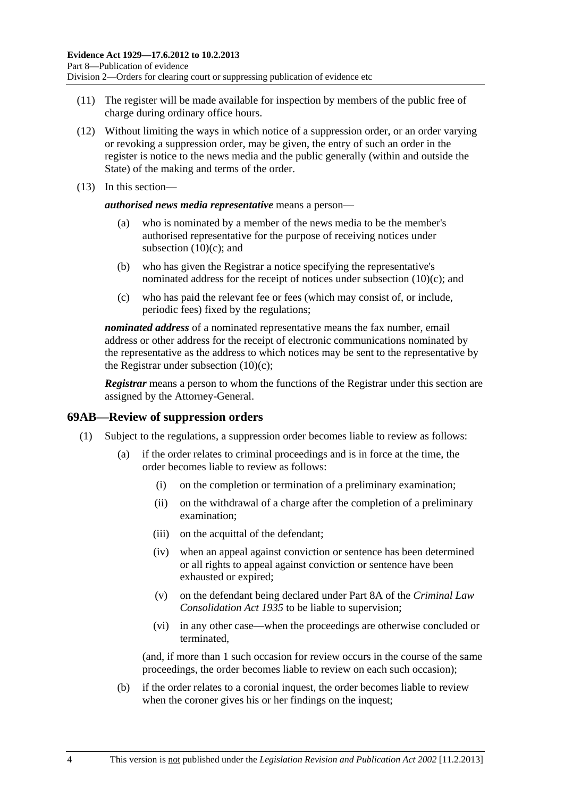- (11) The register will be made available for inspection by members of the public free of charge during ordinary office hours.
- (12) Without limiting the ways in which notice of a suppression order, or an order varying or revoking a suppression order, may be given, the entry of such an order in the register is notice to the news media and the public generally (within and outside the State) of the making and terms of the order.
- (13) In this section—

*authorised news media representative* means a person—

- (a) who is nominated by a member of the news media to be the member's authorised representative for the purpose of receiving notices under subsection  $(10)(c)$ ; and
- (b) who has given the Registrar a notice specifying the representative's nominated address for the receipt of notices under [subsection \(10\)\(c\);](#page-82-0) and
- (c) who has paid the relevant fee or fees (which may consist of, or include, periodic fees) fixed by the regulations;

*nominated address* of a nominated representative means the fax number, email address or other address for the receipt of electronic communications nominated by the representative as the address to which notices may be sent to the representative by the Registrar under subsection  $(10)(c)$ ;

*Registrar* means a person to whom the functions of the Registrar under this section are assigned by the Attorney-General.

### **69AB—Review of suppression orders**

- (1) Subject to the regulations, a suppression order becomes liable to review as follows:
	- (a) if the order relates to criminal proceedings and is in force at the time, the order becomes liable to review as follows:
		- (i) on the completion or termination of a preliminary examination;
		- (ii) on the withdrawal of a charge after the completion of a preliminary examination;
		- (iii) on the acquittal of the defendant;
		- (iv) when an appeal against conviction or sentence has been determined or all rights to appeal against conviction or sentence have been exhausted or expired;
		- (v) on the defendant being declared under Part 8A of the *[Criminal Law](http://www.legislation.sa.gov.au/index.aspx?action=legref&type=act&legtitle=Criminal%20Law%20Consolidation%20Act%201935)  [Consolidation Act 1935](http://www.legislation.sa.gov.au/index.aspx?action=legref&type=act&legtitle=Criminal%20Law%20Consolidation%20Act%201935)* to be liable to supervision;
		- (vi) in any other case—when the proceedings are otherwise concluded or terminated,

(and, if more than 1 such occasion for review occurs in the course of the same proceedings, the order becomes liable to review on each such occasion);

 (b) if the order relates to a coronial inquest, the order becomes liable to review when the coroner gives his or her findings on the inquest;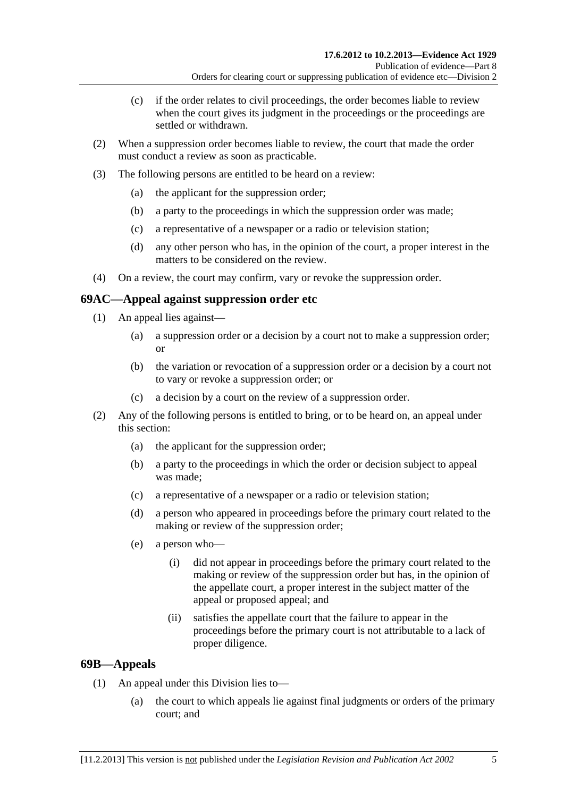- (c) if the order relates to civil proceedings, the order becomes liable to review when the court gives its judgment in the proceedings or the proceedings are settled or withdrawn.
- (2) When a suppression order becomes liable to review, the court that made the order must conduct a review as soon as practicable.
- (3) The following persons are entitled to be heard on a review:
	- (a) the applicant for the suppression order;
	- (b) a party to the proceedings in which the suppression order was made;
	- (c) a representative of a newspaper or a radio or television station;
	- (d) any other person who has, in the opinion of the court, a proper interest in the matters to be considered on the review.
- (4) On a review, the court may confirm, vary or revoke the suppression order.

# **69AC—Appeal against suppression order etc**

- (1) An appeal lies against—
	- (a) a suppression order or a decision by a court not to make a suppression order; or
	- (b) the variation or revocation of a suppression order or a decision by a court not to vary or revoke a suppression order; or
	- (c) a decision by a court on the review of a suppression order.
- (2) Any of the following persons is entitled to bring, or to be heard on, an appeal under this section:
	- (a) the applicant for the suppression order;
	- (b) a party to the proceedings in which the order or decision subject to appeal was made;
	- (c) a representative of a newspaper or a radio or television station;
	- (d) a person who appeared in proceedings before the primary court related to the making or review of the suppression order;
	- (e) a person who—
		- (i) did not appear in proceedings before the primary court related to the making or review of the suppression order but has, in the opinion of the appellate court, a proper interest in the subject matter of the appeal or proposed appeal; and
		- (ii) satisfies the appellate court that the failure to appear in the proceedings before the primary court is not attributable to a lack of proper diligence.

# **69B—Appeals**

- (1) An appeal under this Division lies to—
	- (a) the court to which appeals lie against final judgments or orders of the primary court; and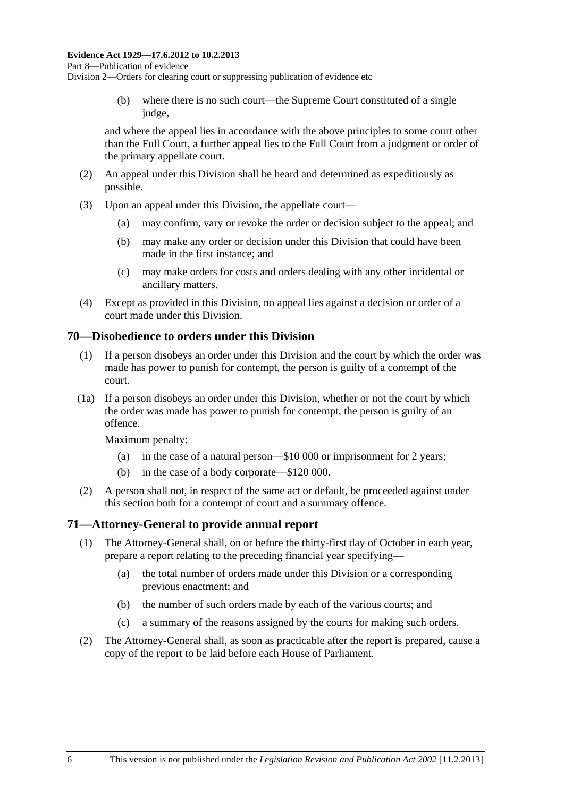(b) where there is no such court—the Supreme Court constituted of a single judge,

and where the appeal lies in accordance with the above principles to some court other than the Full Court, a further appeal lies to the Full Court from a judgment or order of the primary appellate court.

- (2) An appeal under this Division shall be heard and determined as expeditiously as possible.
- (3) Upon an appeal under this Division, the appellate court—
	- (a) may confirm, vary or revoke the order or decision subject to the appeal; and
	- (b) may make any order or decision under this Division that could have been made in the first instance; and
	- (c) may make orders for costs and orders dealing with any other incidental or ancillary matters.
- (4) Except as provided in this Division, no appeal lies against a decision or order of a court made under this Division.

## **70—Disobedience to orders under this Division**

- (1) If a person disobeys an order under this Division and the court by which the order was made has power to punish for contempt, the person is guilty of a contempt of the court.
- (1a) If a person disobeys an order under this Division, whether or not the court by which the order was made has power to punish for contempt, the person is guilty of an offence.

Maximum penalty:

- (a) in the case of a natural person—\$10 000 or imprisonment for 2 years;
- (b) in the case of a body corporate—\$120 000.
- (2) A person shall not, in respect of the same act or default, be proceeded against under this section both for a contempt of court and a summary offence.

# **71—Attorney-General to provide annual report**

- (1) The Attorney-General shall, on or before the thirty-first day of October in each year, prepare a report relating to the preceding financial year specifying—
	- (a) the total number of orders made under this Division or a corresponding previous enactment; and
	- (b) the number of such orders made by each of the various courts; and
	- (c) a summary of the reasons assigned by the courts for making such orders.
- (2) The Attorney-General shall, as soon as practicable after the report is prepared, cause a copy of the report to be laid before each House of Parliament.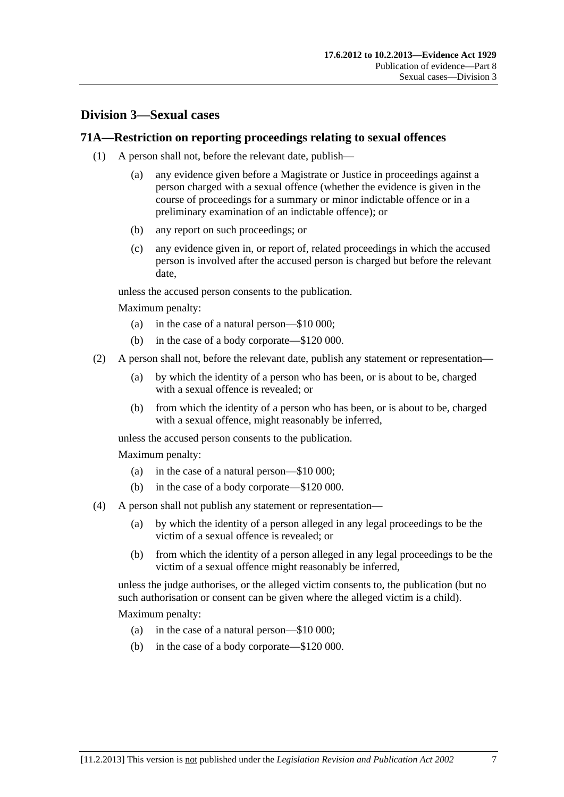# **Division 3—Sexual cases**

# **71A—Restriction on reporting proceedings relating to sexual offences**

- (1) A person shall not, before the relevant date, publish—
	- (a) any evidence given before a Magistrate or Justice in proceedings against a person charged with a sexual offence (whether the evidence is given in the course of proceedings for a summary or minor indictable offence or in a preliminary examination of an indictable offence); or
	- (b) any report on such proceedings; or
	- (c) any evidence given in, or report of, related proceedings in which the accused person is involved after the accused person is charged but before the relevant date,

unless the accused person consents to the publication.

Maximum penalty:

- (a) in the case of a natural person—\$10 000;
- (b) in the case of a body corporate—\$120 000.
- (2) A person shall not, before the relevant date, publish any statement or representation—
	- (a) by which the identity of a person who has been, or is about to be, charged with a sexual offence is revealed; or
	- (b) from which the identity of a person who has been, or is about to be, charged with a sexual offence, might reasonably be inferred,

unless the accused person consents to the publication.

Maximum penalty:

- (a) in the case of a natural person—\$10 000;
- (b) in the case of a body corporate—\$120 000.
- (4) A person shall not publish any statement or representation—
	- (a) by which the identity of a person alleged in any legal proceedings to be the victim of a sexual offence is revealed; or
	- (b) from which the identity of a person alleged in any legal proceedings to be the victim of a sexual offence might reasonably be inferred,

unless the judge authorises, or the alleged victim consents to, the publication (but no such authorisation or consent can be given where the alleged victim is a child).

Maximum penalty:

- (a) in the case of a natural person—\$10 000;
- (b) in the case of a body corporate—\$120 000.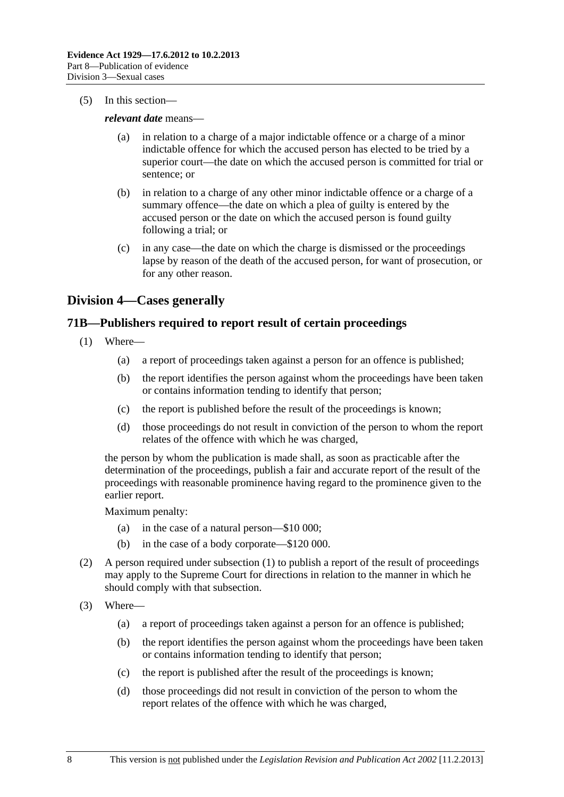<span id="page-87-0"></span>(5) In this section—

#### *relevant date* means—

- (a) in relation to a charge of a major indictable offence or a charge of a minor indictable offence for which the accused person has elected to be tried by a superior court—the date on which the accused person is committed for trial or sentence; or
- (b) in relation to a charge of any other minor indictable offence or a charge of a summary offence—the date on which a plea of guilty is entered by the accused person or the date on which the accused person is found guilty following a trial; or
- (c) in any case—the date on which the charge is dismissed or the proceedings lapse by reason of the death of the accused person, for want of prosecution, or for any other reason.

# **Division 4—Cases generally**

### **71B—Publishers required to report result of certain proceedings**

- (1) Where—
	- (a) a report of proceedings taken against a person for an offence is published;
	- (b) the report identifies the person against whom the proceedings have been taken or contains information tending to identify that person;
	- (c) the report is published before the result of the proceedings is known;
	- (d) those proceedings do not result in conviction of the person to whom the report relates of the offence with which he was charged,

the person by whom the publication is made shall, as soon as practicable after the determination of the proceedings, publish a fair and accurate report of the result of the proceedings with reasonable prominence having regard to the prominence given to the earlier report.

Maximum penalty:

- (a) in the case of a natural person—\$10 000;
- (b) in the case of a body corporate—\$120 000.
- (2) A person required under [subsection \(1\)](#page-87-0) to publish a report of the result of proceedings may apply to the Supreme Court for directions in relation to the manner in which he should comply with that subsection.
- (3) Where—
	- (a) a report of proceedings taken against a person for an offence is published;
	- (b) the report identifies the person against whom the proceedings have been taken or contains information tending to identify that person;
	- (c) the report is published after the result of the proceedings is known;
	- (d) those proceedings did not result in conviction of the person to whom the report relates of the offence with which he was charged,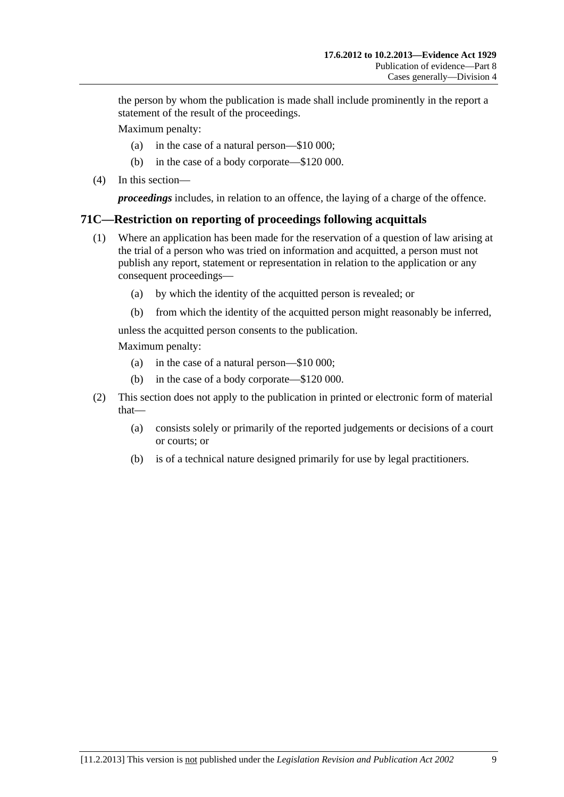the person by whom the publication is made shall include prominently in the report a statement of the result of the proceedings.

Maximum penalty:

- (a) in the case of a natural person—\$10 000;
- (b) in the case of a body corporate—\$120 000.
- (4) In this section—

*proceedings* includes, in relation to an offence, the laying of a charge of the offence.

### **71C—Restriction on reporting of proceedings following acquittals**

- (1) Where an application has been made for the reservation of a question of law arising at the trial of a person who was tried on information and acquitted, a person must not publish any report, statement or representation in relation to the application or any consequent proceedings—
	- (a) by which the identity of the acquitted person is revealed; or
	- (b) from which the identity of the acquitted person might reasonably be inferred,

unless the acquitted person consents to the publication.

Maximum penalty:

- (a) in the case of a natural person—\$10 000;
- (b) in the case of a body corporate—\$120 000.
- (2) This section does not apply to the publication in printed or electronic form of material that—
	- (a) consists solely or primarily of the reported judgements or decisions of a court or courts; or
	- (b) is of a technical nature designed primarily for use by legal practitioners.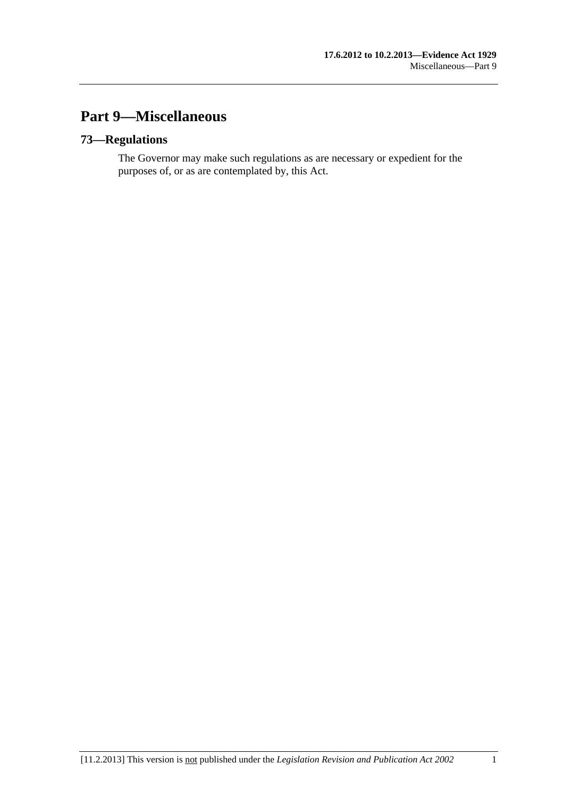# **Part 9—Miscellaneous**

# **73—Regulations**

The Governor may make such regulations as are necessary or expedient for the purposes of, or as are contemplated by, this Act.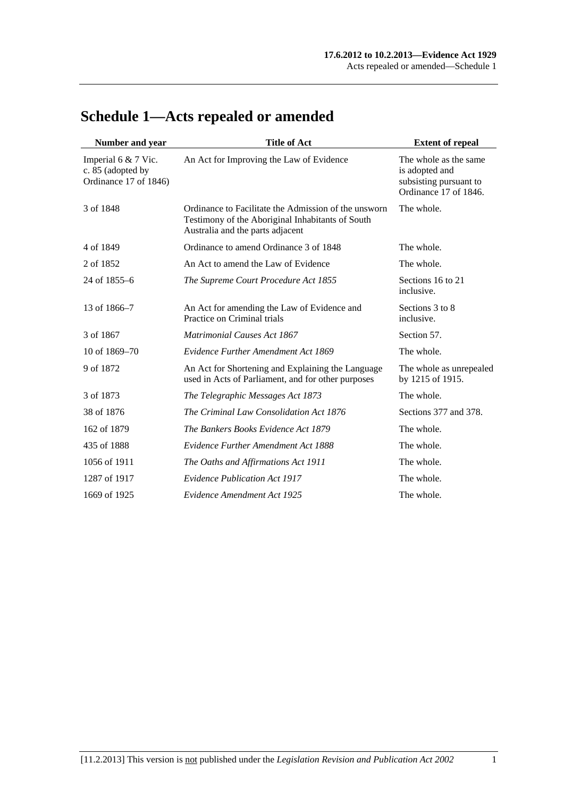| Number and year                                                   | <b>Title of Act</b>                                                                                                                          | <b>Extent of repeal</b>                                                                    |
|-------------------------------------------------------------------|----------------------------------------------------------------------------------------------------------------------------------------------|--------------------------------------------------------------------------------------------|
| Imperial 6 & 7 Vic.<br>c. 85 (adopted by<br>Ordinance 17 of 1846) | An Act for Improving the Law of Evidence                                                                                                     | The whole as the same<br>is adopted and<br>subsisting pursuant to<br>Ordinance 17 of 1846. |
| 3 of 1848                                                         | Ordinance to Facilitate the Admission of the unsworn<br>Testimony of the Aboriginal Inhabitants of South<br>Australia and the parts adjacent | The whole.                                                                                 |
| 4 of 1849                                                         | Ordinance to amend Ordinance 3 of 1848                                                                                                       | The whole.                                                                                 |
| 2 of 1852                                                         | An Act to amend the Law of Evidence                                                                                                          | The whole.                                                                                 |
| 24 of 1855–6                                                      | The Supreme Court Procedure Act 1855                                                                                                         | Sections 16 to 21<br>inclusive.                                                            |
| 13 of 1866–7                                                      | An Act for amending the Law of Evidence and<br>Practice on Criminal trials                                                                   | Sections 3 to 8<br>inclusive.                                                              |
| 3 of 1867                                                         | <b>Matrimonial Causes Act 1867</b>                                                                                                           | Section 57.                                                                                |
| 10 of 1869-70                                                     | Evidence Further Amendment Act 1869                                                                                                          | The whole.                                                                                 |
| 9 of 1872                                                         | An Act for Shortening and Explaining the Language<br>used in Acts of Parliament, and for other purposes                                      | The whole as unrepealed<br>by 1215 of 1915.                                                |
| 3 of 1873                                                         | The Telegraphic Messages Act 1873                                                                                                            | The whole.                                                                                 |
| 38 of 1876                                                        | The Criminal Law Consolidation Act 1876                                                                                                      | Sections 377 and 378.                                                                      |
| 162 of 1879                                                       | The Bankers Books Evidence Act 1879                                                                                                          | The whole.                                                                                 |
| 435 of 1888                                                       | <b>Evidence Further Amendment Act 1888</b>                                                                                                   | The whole.                                                                                 |
| 1056 of 1911                                                      | The Oaths and Affirmations Act 1911                                                                                                          | The whole.                                                                                 |
| 1287 of 1917                                                      | <b>Evidence Publication Act 1917</b>                                                                                                         | The whole.                                                                                 |
| 1669 of 1925                                                      | Evidence Amendment Act 1925                                                                                                                  | The whole.                                                                                 |

# **Schedule 1—Acts repealed or amended**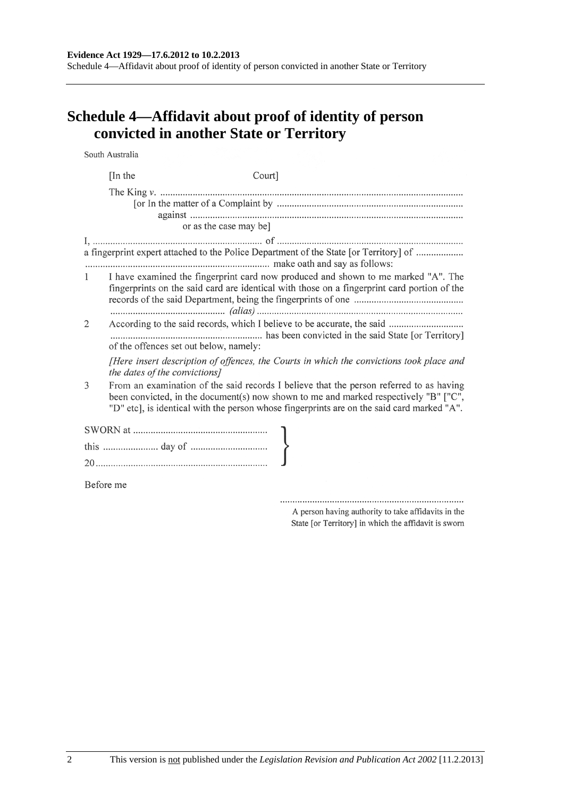#### **Evidence Act 1929—17.6.2012 to 10.2.2013**

Schedule 4—Affidavit about proof of identity of person convicted in another State or Territory

# **Schedule 4—Affidavit about proof of identity of person convicted in another State or Territory**

South Australia

|                | [In the]<br>Court]                     |                                                                                                                                                                                                                                                                               |
|----------------|----------------------------------------|-------------------------------------------------------------------------------------------------------------------------------------------------------------------------------------------------------------------------------------------------------------------------------|
|                | or as the case may be]                 |                                                                                                                                                                                                                                                                               |
|                |                                        | a fingerprint expert attached to the Police Department of the State [or Territory] of                                                                                                                                                                                         |
| $\mathbf{1}$   |                                        | I have examined the fingerprint card now produced and shown to me marked "A". The<br>fingerprints on the said card are identical with those on a fingerprint card portion of the                                                                                              |
| $\overline{2}$ | of the offences set out below, namely: |                                                                                                                                                                                                                                                                               |
|                | the dates of the convictions]          | [Here insert description of offences, the Courts in which the convictions took place and                                                                                                                                                                                      |
| 3              |                                        | From an examination of the said records I believe that the person referred to as having<br>been convicted, in the document(s) now shown to me and marked respectively "B" ["C",<br>"D" etc], is identical with the person whose fingerprints are on the said card marked "A". |
|                |                                        |                                                                                                                                                                                                                                                                               |
|                |                                        |                                                                                                                                                                                                                                                                               |
|                |                                        |                                                                                                                                                                                                                                                                               |
| Before me      |                                        |                                                                                                                                                                                                                                                                               |

A person having authority to take affidavits in the State [or Territory] in which the affidavit is sworn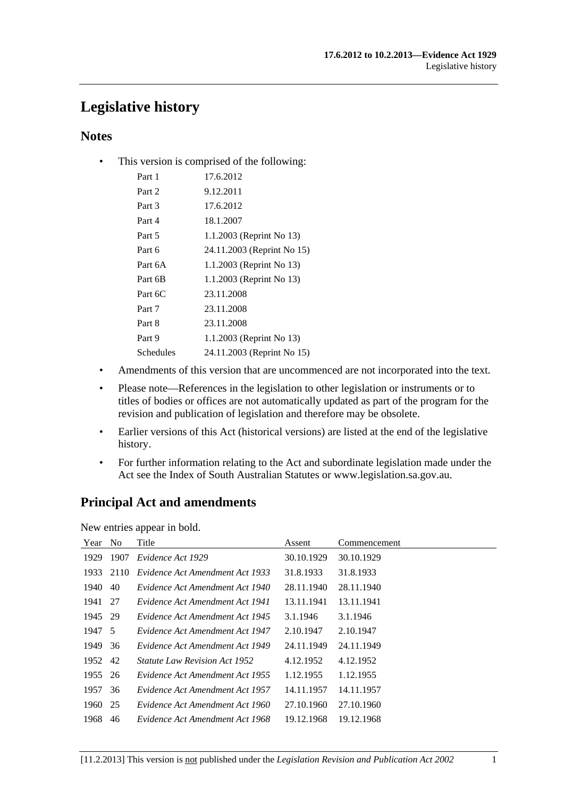# **Legislative history**

# **Notes**

• This version is comprised of the following:

| Part 1    | 17.6.2012                  |
|-----------|----------------------------|
| Part 2    | 9.12.2011                  |
| Part 3    | 17.6.2012                  |
| Part 4    | 18.1.2007                  |
| Part 5    | 1.1.2003 (Reprint No 13)   |
| Part 6    | 24.11.2003 (Reprint No 15) |
| Part 6A   | 1.1.2003 (Reprint No 13)   |
| Part 6B   | 1.1.2003 (Reprint No 13)   |
| Part 6C   | 23.11.2008                 |
| Part 7    | 23.11.2008                 |
| Part 8    | 23.11.2008                 |
| Part 9    | 1.1.2003 (Reprint No 13)   |
| Schedules | 24.11.2003 (Reprint No 15) |
|           |                            |

- Amendments of this version that are uncommenced are not incorporated into the text.
- Please note—References in the legislation to other legislation or instruments or to titles of bodies or offices are not automatically updated as part of the program for the revision and publication of legislation and therefore may be obsolete.
- Earlier versions of this Act (historical versions) are listed at the end of the legislative history.
- For further information relating to the Act and subordinate legislation made under the Act see the Index of South Australian Statutes or www.legislation.sa.gov.au.

# **Principal Act and amendments**

New entries appear in bold.

| Year    | N <sub>0</sub> | Title                                | Assent     | Commencement |
|---------|----------------|--------------------------------------|------------|--------------|
| 1929    | 1907           | Evidence Act 1929                    | 30.10.1929 | 30.10.1929   |
| 1933    | 2110           | Evidence Act Amendment Act 1933      | 31.8.1933  | 31.8.1933    |
| 1940    | 40             | Evidence Act Amendment Act 1940      | 28.11.1940 | 28.11.1940   |
| 1941 27 |                | Evidence Act Amendment Act 1941      | 13.11.1941 | 13.11.1941   |
| 1945 29 |                | Evidence Act Amendment Act 1945      | 3.1.1946   | 3.1.1946     |
| 1947 5  |                | Evidence Act Amendment Act 1947      | 2.10.1947  | 2.10.1947    |
| 1949    | 36             | Evidence Act Amendment Act 1949      | 24.11.1949 | 24.11.1949   |
| 1952 42 |                | <i>Statute Law Revision Act 1952</i> | 4.12.1952  | 4.12.1952    |
| 1955    | 26             | Evidence Act Amendment Act 1955      | 1.12.1955  | 1.12.1955    |
| 1957    | 36             | Evidence Act Amendment Act 1957      | 14.11.1957 | 14.11.1957   |
| 1960    | 25             | Evidence Act Amendment Act 1960      | 27.10.1960 | 27.10.1960   |
| 1968    | 46             | Evidence Act Amendment Act 1968      | 19.12.1968 | 19.12.1968   |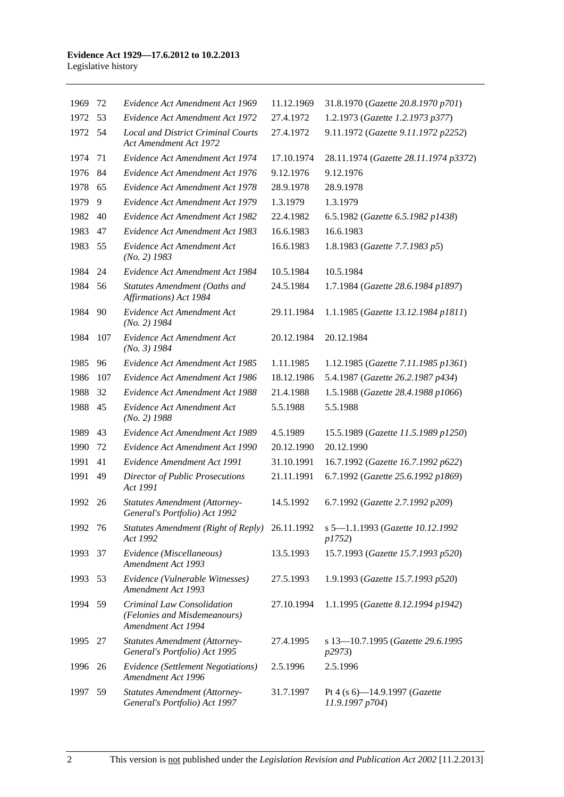| 1969    | 72  | Evidence Act Amendment Act 1969                                                  | 11.12.1969 | 31.8.1970 (Gazette 20.8.1970 p701)                  |
|---------|-----|----------------------------------------------------------------------------------|------------|-----------------------------------------------------|
| 1972    | 53  | Evidence Act Amendment Act 1972                                                  | 27.4.1972  | 1.2.1973 (Gazette 1.2.1973 p377)                    |
| 1972    | 54  | <b>Local and District Criminal Courts</b><br><b>Act Amendment Act 1972</b>       | 27.4.1972  | 9.11.1972 (Gazette 9.11.1972 p2252)                 |
| 1974    | 71  | Evidence Act Amendment Act 1974                                                  | 17.10.1974 | 28.11.1974 (Gazette 28.11.1974 p3372)               |
| 1976    | 84  | Evidence Act Amendment Act 1976                                                  | 9.12.1976  | 9.12.1976                                           |
| 1978    | 65  | Evidence Act Amendment Act 1978                                                  | 28.9.1978  | 28.9.1978                                           |
| 1979    | 9   | Evidence Act Amendment Act 1979                                                  | 1.3.1979   | 1.3.1979                                            |
| 1982    | 40  | Evidence Act Amendment Act 1982                                                  | 22.4.1982  | 6.5.1982 (Gazette 6.5.1982 p1438)                   |
| 1983    | 47  | Evidence Act Amendment Act 1983                                                  | 16.6.1983  | 16.6.1983                                           |
| 1983    | 55  | Evidence Act Amendment Act<br>$(No. 2)$ 1983                                     | 16.6.1983  | 1.8.1983 (Gazette 7.7.1983 p5)                      |
| 1984    | 24  | Evidence Act Amendment Act 1984                                                  | 10.5.1984  | 10.5.1984                                           |
| 1984    | 56  | Statutes Amendment (Oaths and<br>Affirmations) Act 1984                          | 24.5.1984  | 1.7.1984 (Gazette 28.6.1984 p1897)                  |
| 1984    | 90  | Evidence Act Amendment Act<br>$(No. 2)$ 1984                                     | 29.11.1984 | 1.1.1985 (Gazette 13.12.1984 p1811)                 |
| 1984    | 107 | Evidence Act Amendment Act<br>$(No. 3)$ 1984                                     | 20.12.1984 | 20.12.1984                                          |
| 1985    | 96  | Evidence Act Amendment Act 1985                                                  | 1.11.1985  | 1.12.1985 (Gazette 7.11.1985 p1361)                 |
| 1986    | 107 | Evidence Act Amendment Act 1986                                                  | 18.12.1986 | 5.4.1987 (Gazette 26.2.1987 p434)                   |
| 1988    | 32  | Evidence Act Amendment Act 1988                                                  | 21.4.1988  | 1.5.1988 (Gazette 28.4.1988 p1066)                  |
| 1988    | 45  | Evidence Act Amendment Act<br>$(No. 2)$ 1988                                     | 5.5.1988   | 5.5.1988                                            |
| 1989    | 43  | Evidence Act Amendment Act 1989                                                  | 4.5.1989   | 15.5.1989 (Gazette 11.5.1989 p1250)                 |
| 1990    | 72  | Evidence Act Amendment Act 1990                                                  | 20.12.1990 | 20.12.1990                                          |
| 1991    | 41  | Evidence Amendment Act 1991                                                      | 31.10.1991 | 16.7.1992 (Gazette 16.7.1992 p622)                  |
| 1991    | 49  | <b>Director of Public Prosecutions</b><br>Act 1991                               | 21.11.1991 | 6.7.1992 (Gazette 25.6.1992 p1869)                  |
| 1992    | 26  | <b>Statutes Amendment (Attorney-</b><br>General's Portfolio) Act 1992            | 14.5.1992  | 6.7.1992 (Gazette 2.7.1992 p209)                    |
| 1992 76 |     | <b>Statutes Amendment (Right of Reply)</b><br>Act 1992                           | 26.11.1992 | s 5-1.1.1993 (Gazette 10.12.1992<br><i>p1752</i> )  |
| 1993    | 37  | Evidence (Miscellaneous)<br>Amendment Act 1993                                   | 13.5.1993  | 15.7.1993 (Gazette 15.7.1993 p520)                  |
| 1993    | 53  | Evidence (Vulnerable Witnesses)<br>Amendment Act 1993                            | 27.5.1993  | 1.9.1993 (Gazette 15.7.1993 p520)                   |
| 1994    | 59  | Criminal Law Consolidation<br>(Felonies and Misdemeanours)<br>Amendment Act 1994 | 27.10.1994 | 1.1.1995 (Gazette 8.12.1994 p1942)                  |
| 1995    | 27  | <b>Statutes Amendment (Attorney-</b><br>General's Portfolio) Act 1995            | 27.4.1995  | s 13-10.7.1995 (Gazette 29.6.1995<br><i>p</i> 2973) |
| 1996    | 26  | Evidence (Settlement Negotiations)<br>Amendment Act 1996                         | 2.5.1996   | 2.5.1996                                            |
| 1997    | 59  | <b>Statutes Amendment (Attorney-</b><br>General's Portfolio) Act 1997            | 31.7.1997  | Pt 4 (s 6)-14.9.1997 (Gazette<br>11.9.1997 p704)    |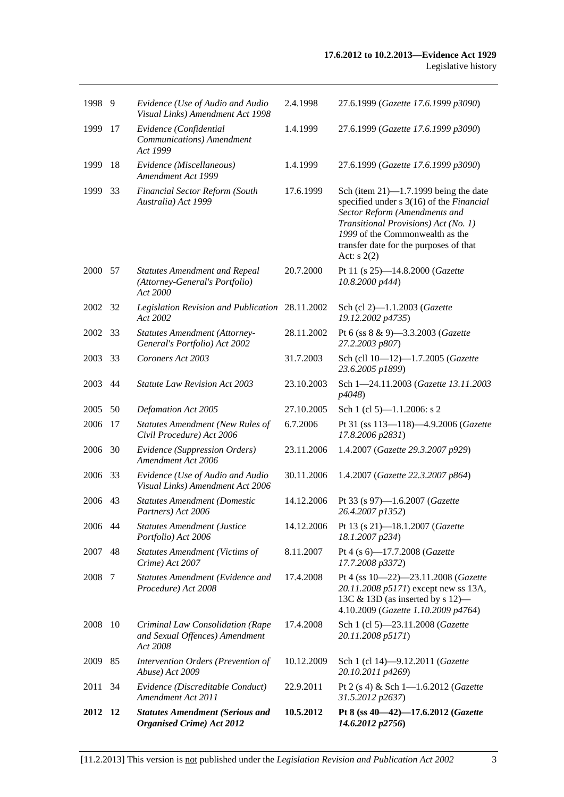| 1998    | - 9 | Evidence (Use of Audio and Audio<br>Visual Links) Amendment Act 1998               | 2.4.1998   | 27.6.1999 (Gazette 17.6.1999 p3090)                                                                                                                                                                                                                       |
|---------|-----|------------------------------------------------------------------------------------|------------|-----------------------------------------------------------------------------------------------------------------------------------------------------------------------------------------------------------------------------------------------------------|
| 1999    | 17  | Evidence (Confidential<br>Communications) Amendment<br>Act 1999                    | 1.4.1999   | 27.6.1999 (Gazette 17.6.1999 p3090)                                                                                                                                                                                                                       |
| 1999    | 18  | Evidence (Miscellaneous)<br>Amendment Act 1999                                     | 1.4.1999   | 27.6.1999 (Gazette 17.6.1999 p3090)                                                                                                                                                                                                                       |
| 1999    | 33  | <b>Financial Sector Reform (South</b><br>Australia) Act 1999                       | 17.6.1999  | Sch (item $21$ )—1.7.1999 being the date<br>specified under s 3(16) of the Financial<br>Sector Reform (Amendments and<br>Transitional Provisions) Act (No. 1)<br>1999 of the Commonwealth as the<br>transfer date for the purposes of that<br>Act: $s(2)$ |
| 2000 57 |     | <b>Statutes Amendment and Repeal</b><br>(Attorney-General's Portfolio)<br>Act 2000 | 20.7.2000  | Pt 11 (s 25)-14.8.2000 (Gazette<br>10.8.2000 p444)                                                                                                                                                                                                        |
| 2002    | 32  | Legislation Revision and Publication 28.11.2002<br>Act 2002                        |            | Sch (cl 2)-1.1.2003 (Gazette<br>19.12.2002 p4735)                                                                                                                                                                                                         |
| 2002    | 33  | <b>Statutes Amendment (Attorney-</b><br>General's Portfolio) Act 2002              | 28.11.2002 | Pt 6 (ss 8 & 9)-3.3.2003 (Gazette<br>27.2.2003 p807)                                                                                                                                                                                                      |
| 2003    | 33  | Coroners Act 2003                                                                  | 31.7.2003  | Sch (cll 10-12)-1.7.2005 (Gazette<br>23.6.2005 p1899)                                                                                                                                                                                                     |
| 2003    | 44  | <b>Statute Law Revision Act 2003</b>                                               | 23.10.2003 | Sch 1-24.11.2003 (Gazette 13.11.2003)<br>p4048)                                                                                                                                                                                                           |
| 2005    | 50  | Defamation Act 2005                                                                | 27.10.2005 | Sch 1 (cl 5)-1.1.2006: s 2                                                                                                                                                                                                                                |
| 2006    | 17  | <b>Statutes Amendment (New Rules of</b><br>Civil Procedure) Act 2006               | 6.7.2006   | Pt 31 (ss 113-118)-4.9.2006 (Gazette<br>17.8.2006 p2831)                                                                                                                                                                                                  |
| 2006    | 30  | Evidence (Suppression Orders)<br>Amendment Act 2006                                | 23.11.2006 | 1.4.2007 (Gazette 29.3.2007 p929)                                                                                                                                                                                                                         |
| 2006    | 33  | Evidence (Use of Audio and Audio<br>Visual Links) Amendment Act 2006               | 30.11.2006 | 1.4.2007 (Gazette 22.3.2007 p864)                                                                                                                                                                                                                         |
| 2006    | 43  | <b>Statutes Amendment (Domestic</b><br>Partners) Act 2006                          | 14.12.2006 | Pt 33 (s 97)-1.6.2007 (Gazette<br>26.4.2007 p1352)                                                                                                                                                                                                        |
| 2006    | 44  | <b>Statutes Amendment (Justice</b><br>Portfolio) Act 2006                          | 14.12.2006 | Pt 13 (s 21)-18.1.2007 (Gazette<br>18.1.2007 p234)                                                                                                                                                                                                        |
| 2007    | 48  | <b>Statutes Amendment (Victims of</b><br>Crime) Act 2007                           | 8.11.2007  | Pt 4 (s 6)-17.7.2008 (Gazette<br>17.7.2008 p3372)                                                                                                                                                                                                         |
| 2008    | 7   | Statutes Amendment (Evidence and<br>Procedure) Act 2008                            | 17.4.2008  | Pt 4 (ss 10-22)-23.11.2008 (Gazette<br>20.11.2008 p5171) except new ss 13A,<br>13C & 13D (as inserted by s 12)—<br>4.10.2009 (Gazette 1.10.2009 p4764)                                                                                                    |
| 2008    | 10  | Criminal Law Consolidation (Rape<br>and Sexual Offences) Amendment<br>Act 2008     | 17.4.2008  | Sch 1 (cl 5)-23.11.2008 (Gazette<br>20.11.2008 p5171)                                                                                                                                                                                                     |
| 2009    | 85  | Intervention Orders (Prevention of<br>Abuse) Act 2009                              | 10.12.2009 | Sch 1 (cl 14)-9.12.2011 (Gazette<br>20.10.2011 p4269)                                                                                                                                                                                                     |
| 2011    | 34  | Evidence (Discreditable Conduct)<br>Amendment Act 2011                             | 22.9.2011  | Pt 2 (s 4) & Sch 1-1.6.2012 (Gazette<br>31.5.2012 p2637)                                                                                                                                                                                                  |
| 2012 12 |     | <b>Statutes Amendment (Serious and</b><br><b>Organised Crime) Act 2012</b>         | 10.5.2012  | Pt 8 (ss 40-42)-17.6.2012 (Gazette<br>14.6.2012 p2756)                                                                                                                                                                                                    |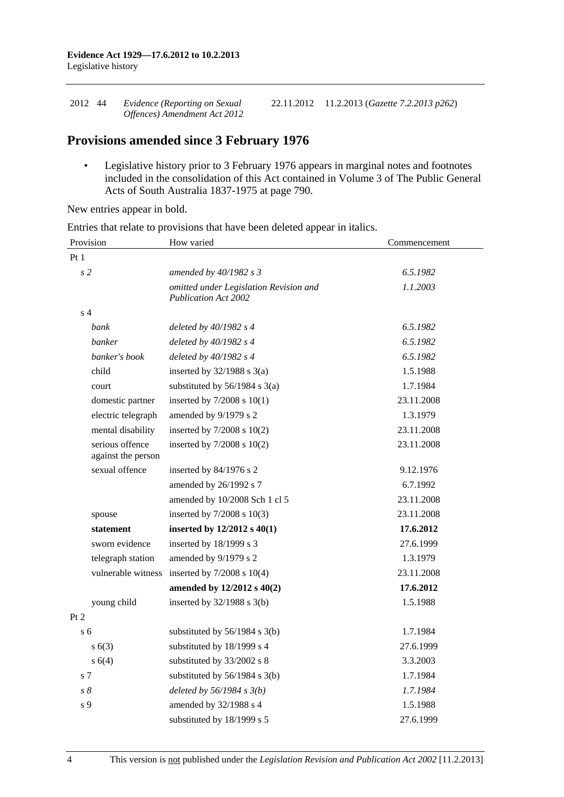| 2012 44 | Evidence (Reporting on Sexual | 22.11.2012 11.2.2013 ( <i>Gazette 7.2.2013 p262</i> ) |
|---------|-------------------------------|-------------------------------------------------------|
|         | Offences) Amendment Act 2012  |                                                       |

# **Provisions amended since 3 February 1976**

 • Legislative history prior to 3 February 1976 appears in marginal notes and footnotes included in the consolidation of this Act contained in Volume 3 of The Public General Acts of South Australia 1837-1975 at page 790.

New entries appear in bold.

Entries that relate to provisions that have been deleted appear in italics.

| Provision                             | How varied                                                            | Commencement |
|---------------------------------------|-----------------------------------------------------------------------|--------------|
| Pt1                                   |                                                                       |              |
| s <sub>2</sub>                        | amended by $40/1982 s3$                                               | 6.5.1982     |
|                                       | omitted under Legislation Revision and<br><b>Publication Act 2002</b> | 1.1.2003     |
| s <sub>4</sub>                        |                                                                       |              |
| bank                                  | deleted by $40/1982$ s 4                                              | 6.5.1982     |
| banker                                | deleted by $40/1982$ s 4                                              | 6.5.1982     |
| banker's book                         | deleted by $40/1982 s 4$                                              | 6.5.1982     |
| child                                 | inserted by $32/1988$ s $3(a)$                                        | 1.5.1988     |
| court                                 | substituted by $56/1984$ s $3(a)$                                     | 1.7.1984     |
| domestic partner                      | inserted by $7/2008$ s $10(1)$                                        | 23.11.2008   |
| electric telegraph                    | amended by 9/1979 s 2                                                 | 1.3.1979     |
| mental disability                     | inserted by $7/2008$ s $10(2)$                                        | 23.11.2008   |
| serious offence<br>against the person | inserted by $7/2008$ s $10(2)$                                        | 23.11.2008   |
| sexual offence                        | inserted by 84/1976 s 2                                               | 9.12.1976    |
|                                       | amended by 26/1992 s 7                                                | 6.7.1992     |
|                                       | amended by 10/2008 Sch 1 cl 5                                         | 23.11.2008   |
| spouse                                | inserted by $7/2008$ s $10(3)$                                        | 23.11.2008   |
| statement                             | inserted by $12/2012$ s $40(1)$                                       | 17.6.2012    |
| sworn evidence                        | inserted by 18/1999 s 3                                               | 27.6.1999    |
| telegraph station                     | amended by 9/1979 s 2                                                 | 1.3.1979     |
| vulnerable witness                    | inserted by $7/2008$ s $10(4)$                                        | 23.11.2008   |
|                                       | amended by 12/2012 s 40(2)                                            | 17.6.2012    |
| young child                           | inserted by $32/1988$ s $3(b)$                                        | 1.5.1988     |
| Pt 2                                  |                                                                       |              |
| s <sub>6</sub>                        | substituted by $56/1984$ s $3(b)$                                     | 1.7.1984     |
| s(6(3))                               | substituted by 18/1999 s 4                                            | 27.6.1999    |
| s 6(4)                                | substituted by 33/2002 s 8                                            | 3.3.2003     |
| s 7                                   | substituted by $56/1984$ s 3(b)                                       | 1.7.1984     |
| $s\,\delta$                           | deleted by $56/1984 s 3(b)$                                           | 1.7.1984     |
| s 9                                   | amended by 32/1988 s 4                                                | 1.5.1988     |
|                                       | substituted by 18/1999 s 5                                            | 27.6.1999    |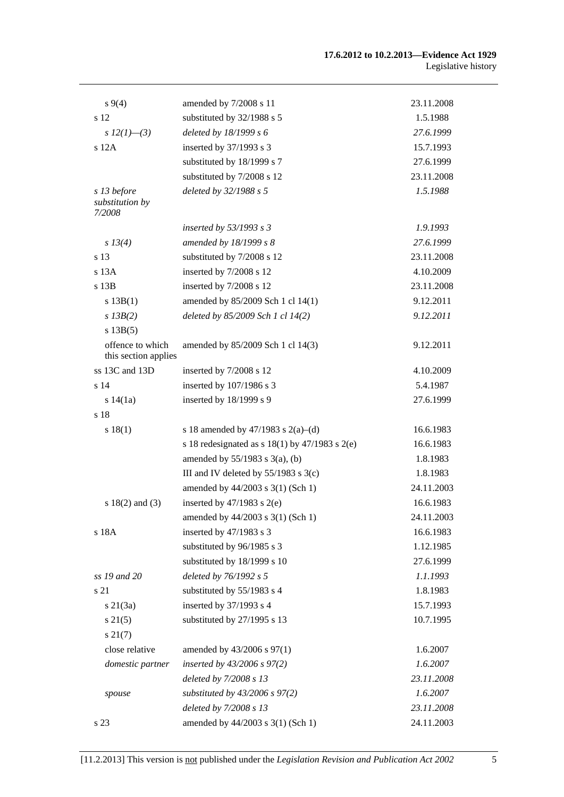| $s\,9(4)$                                | amended by 7/2008 s 11                               | 23.11.2008 |
|------------------------------------------|------------------------------------------------------|------------|
| s 12                                     | substituted by 32/1988 s 5                           | 1.5.1988   |
| s $12(1)$ —(3)                           | deleted by 18/1999 s 6                               | 27.6.1999  |
| s 12A                                    | inserted by 37/1993 s 3                              | 15.7.1993  |
|                                          | substituted by 18/1999 s 7                           | 27.6.1999  |
|                                          | substituted by 7/2008 s 12                           | 23.11.2008 |
| s 13 before<br>substitution by<br>7/2008 | deleted by 32/1988 s 5                               | 1.5.1988   |
|                                          | inserted by $53/1993$ s 3                            | 1.9.1993   |
| s 13(4)                                  | amended by 18/1999 s 8                               | 27.6.1999  |
| s 13                                     | substituted by 7/2008 s 12                           | 23.11.2008 |
| s 13A                                    | inserted by 7/2008 s 12                              | 4.10.2009  |
| s 13B                                    | inserted by 7/2008 s 12                              | 23.11.2008 |
| s 13B(1)                                 | amended by 85/2009 Sch 1 cl 14(1)                    | 9.12.2011  |
| $s$ 13B(2)                               | deleted by 85/2009 Sch 1 cl 14(2)                    | 9.12.2011  |
| s 13B(5)                                 |                                                      |            |
| offence to which<br>this section applies | amended by 85/2009 Sch 1 cl 14(3)                    | 9.12.2011  |
| ss 13C and 13D                           | inserted by 7/2008 s 12                              | 4.10.2009  |
| s 14                                     | inserted by 107/1986 s 3                             | 5.4.1987   |
| s 14(1a)                                 | inserted by 18/1999 s 9                              | 27.6.1999  |
| s 18                                     |                                                      |            |
| s 18(1)                                  | s 18 amended by 47/1983 s 2(a)–(d)                   | 16.6.1983  |
|                                          | s 18 redesignated as s $18(1)$ by $47/1983$ s $2(e)$ | 16.6.1983  |
|                                          | amended by $55/1983$ s $3(a)$ , (b)                  | 1.8.1983   |
|                                          | III and IV deleted by $55/1983$ s $3(c)$             | 1.8.1983   |
|                                          | amended by 44/2003 s 3(1) (Sch 1)                    | 24.11.2003 |
| s $18(2)$ and $(3)$                      | inserted by $47/1983$ s $2(e)$                       | 16.6.1983  |
|                                          | amended by 44/2003 s 3(1) (Sch 1)                    | 24.11.2003 |
| s 18A                                    | inserted by 47/1983 s 3                              | 16.6.1983  |
|                                          | substituted by 96/1985 s 3                           | 1.12.1985  |
|                                          | substituted by 18/1999 s 10                          | 27.6.1999  |
| ss 19 and 20                             | deleted by 76/1992 s 5                               | 1.1.1993   |
| s 21                                     | substituted by 55/1983 s 4                           | 1.8.1983   |
| $s\ 21(3a)$                              | inserted by 37/1993 s 4                              | 15.7.1993  |
| $s \, 21(5)$                             | substituted by 27/1995 s 13                          | 10.7.1995  |
| $s\,21(7)$                               |                                                      |            |
| close relative                           | amended by 43/2006 s 97(1)                           | 1.6.2007   |
| domestic partner                         | inserted by $43/2006$ s $97(2)$                      | 1.6.2007   |
|                                          | deleted by 7/2008 s 13                               | 23.11.2008 |
| spouse                                   | substituted by $43/2006$ s $97(2)$                   | 1.6.2007   |
|                                          | deleted by 7/2008 s 13                               | 23.11.2008 |
| s 23                                     | amended by 44/2003 s 3(1) (Sch 1)                    | 24.11.2003 |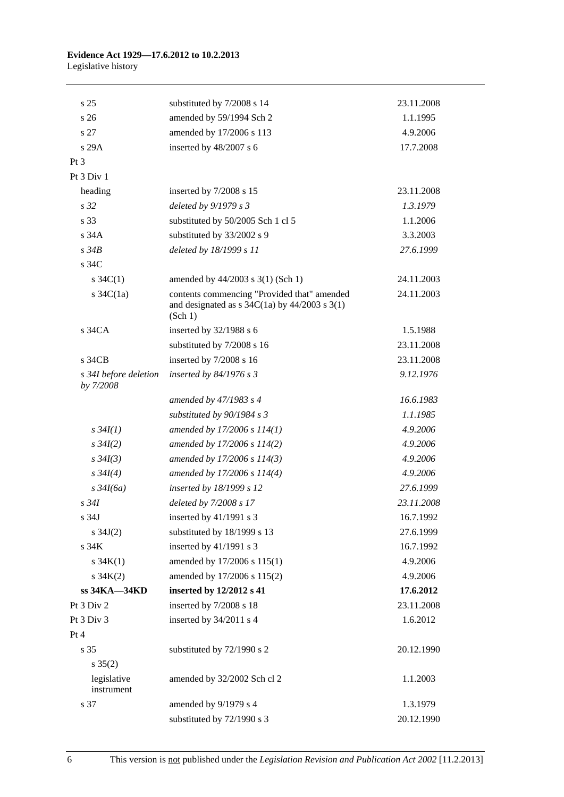#### **Evidence Act 1929—17.6.2012 to 10.2.2013**  Legislative history

| 23.11.2008 |
|------------|
|            |
| 1.1.1995   |
| 4.9.2006   |
| 17.7.2008  |
|            |
|            |
| 23.11.2008 |
| 1.3.1979   |
| 1.1.2006   |
| 3.3.2003   |
| 27.6.1999  |
|            |
| 24.11.2003 |
| 24.11.2003 |
| 1.5.1988   |
| 23.11.2008 |
| 23.11.2008 |
| 9.12.1976  |
| 16.6.1983  |
| 1.1.1985   |
| 4.9.2006   |
| 4.9.2006   |
| 4.9.2006   |
| 4.9.2006   |
| 27.6.1999  |
| 23.11.2008 |
| 16.7.1992  |
| 27.6.1999  |
| 16.7.1992  |
| 4.9.2006   |
| 4.9.2006   |
| 17.6.2012  |
| 23.11.2008 |
| 1.6.2012   |
|            |
| 20.12.1990 |
|            |
| 1.1.2003   |
| 1.3.1979   |
| 20.12.1990 |
|            |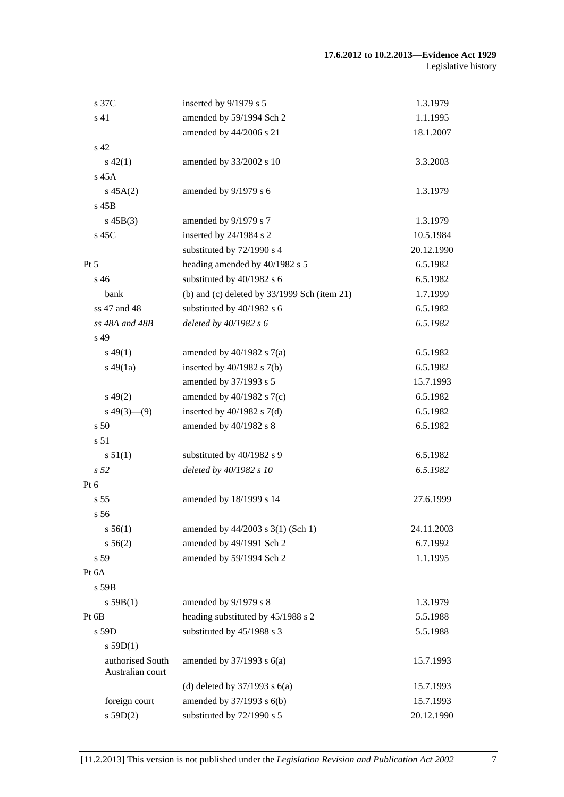#### **17.6.2012 to 10.2.2013—Evidence Act 1929**  Legislative history

| s 37C                                | inserted by 9/1979 s 5                         | 1.3.1979   |
|--------------------------------------|------------------------------------------------|------------|
| s 41                                 | amended by 59/1994 Sch 2                       | 1.1.1995   |
|                                      | amended by 44/2006 s 21                        | 18.1.2007  |
| s 42                                 |                                                |            |
| $s\ 42(1)$                           | amended by 33/2002 s 10                        | 3.3.2003   |
| s 45A                                |                                                |            |
| $s\,45A(2)$                          | amended by 9/1979 s 6                          | 1.3.1979   |
| s 45B                                |                                                |            |
| $s\,45B(3)$                          | amended by 9/1979 s 7                          | 1.3.1979   |
| s 45C                                | inserted by 24/1984 s 2                        | 10.5.1984  |
|                                      | substituted by 72/1990 s 4                     | 20.12.1990 |
| $Pt\,5$                              | heading amended by 40/1982 s 5                 | 6.5.1982   |
| s 46                                 | substituted by 40/1982 s 6                     | 6.5.1982   |
| bank                                 | (b) and (c) deleted by $33/1999$ Sch (item 21) | 1.7.1999   |
| ss 47 and 48                         | substituted by 40/1982 s 6                     | 6.5.1982   |
| ss 48A and 48B                       | deleted by 40/1982 s 6                         | 6.5.1982   |
| s 49                                 |                                                |            |
| $s\,49(1)$                           | amended by $40/1982$ s $7(a)$                  | 6.5.1982   |
| $s\,49(1a)$                          | inserted by $40/1982$ s $7(b)$                 | 6.5.1982   |
|                                      | amended by 37/1993 s 5                         | 15.7.1993  |
| $s\,49(2)$                           | amended by $40/1982$ s $7(c)$                  | 6.5.1982   |
| $s\,49(3)$ —(9)                      | inserted by $40/1982$ s $7(d)$                 | 6.5.1982   |
| s 50                                 | amended by 40/1982 s 8                         | 6.5.1982   |
| s 51                                 |                                                |            |
| s 51(1)                              | substituted by 40/1982 s 9                     | 6.5.1982   |
| s <sub>52</sub>                      | deleted by 40/1982 s 10                        | 6.5.1982   |
| Pt $6$                               |                                                |            |
| s 55                                 | amended by 18/1999 s 14                        | 27.6.1999  |
| s <sub>56</sub>                      |                                                |            |
| s 56(1)                              | amended by 44/2003 s 3(1) (Sch 1)              | 24.11.2003 |
| s 56(2)                              | amended by 49/1991 Sch 2                       | 6.7.1992   |
| s 59                                 | amended by 59/1994 Sch 2                       | 1.1.1995   |
| Pt <sub>6</sub> A                    |                                                |            |
| s 59B                                |                                                |            |
| s 59B(1)                             | amended by 9/1979 s 8                          | 1.3.1979   |
| Pt 6B                                | heading substituted by 45/1988 s 2             | 5.5.1988   |
| s 59D                                | substituted by 45/1988 s 3                     | 5.5.1988   |
| $s$ 59D(1)                           |                                                |            |
| authorised South<br>Australian court | amended by $37/1993$ s $6(a)$                  | 15.7.1993  |
|                                      | (d) deleted by $37/1993$ s $6(a)$              | 15.7.1993  |
| foreign court                        | amended by 37/1993 s 6(b)                      | 15.7.1993  |
| s 59D(2)                             | substituted by 72/1990 s 5                     | 20.12.1990 |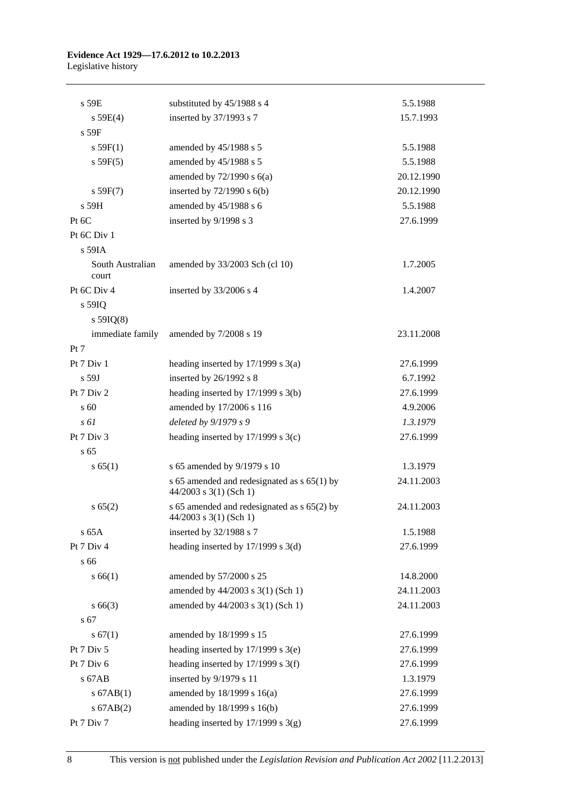#### **Evidence Act 1929—17.6.2012 to 10.2.2013**  Legislative history

| s 59E                     | substituted by 45/1988 s 4                                                | 5.5.1988   |
|---------------------------|---------------------------------------------------------------------------|------------|
| s 59E(4)                  | inserted by 37/1993 s 7                                                   | 15.7.1993  |
| $s$ 59 $F$                |                                                                           |            |
| s 59F(1)                  | amended by 45/1988 s 5                                                    | 5.5.1988   |
| s 59F(5)                  | amended by 45/1988 s 5                                                    | 5.5.1988   |
|                           | amended by $72/1990$ s $6(a)$                                             | 20.12.1990 |
| s 59F(7)                  | inserted by $72/1990$ s $6(b)$                                            | 20.12.1990 |
| s 59H                     | amended by 45/1988 s 6                                                    | 5.5.1988   |
| Pt 6C                     | inserted by 9/1998 s 3                                                    | 27.6.1999  |
| Pt 6C Div 1               |                                                                           |            |
| $s$ 59IA                  |                                                                           |            |
| South Australian<br>court | amended by 33/2003 Sch (cl 10)                                            | 1.7.2005   |
| Pt 6C Div 4               | inserted by 33/2006 s 4                                                   | 1.4.2007   |
| s 59IQ                    |                                                                           |            |
| s $59IQ(8)$               |                                                                           |            |
| immediate family          | amended by 7/2008 s 19                                                    | 23.11.2008 |
| Pt 7                      |                                                                           |            |
| Pt 7 Div 1                | heading inserted by $17/1999$ s $3(a)$                                    | 27.6.1999  |
| $s$ 59J                   | inserted by 26/1992 s 8                                                   | 6.7.1992   |
| Pt 7 Div 2                | heading inserted by 17/1999 s 3(b)                                        | 27.6.1999  |
| s 60                      | amended by 17/2006 s 116                                                  | 4.9.2006   |
| s 61                      | deleted by 9/1979 s 9                                                     | 1.3.1979   |
| Pt 7 Div 3                | heading inserted by $17/1999$ s $3(c)$                                    | 27.6.1999  |
| s <sub>65</sub>           |                                                                           |            |
| s 65(1)                   | s 65 amended by 9/1979 s 10                                               | 1.3.1979   |
|                           | s 65 amended and redesignated as $s$ 65(1) by<br>$44/2003$ s 3(1) (Sch 1) | 24.11.2003 |
| s 65(2)                   | s 65 amended and redesignated as s 65(2) by<br>$44/2003$ s 3(1) (Sch 1)   | 24.11.2003 |
| $s$ 65A                   | inserted by 32/1988 s 7                                                   | 1.5.1988   |
| Pt 7 Div 4                | heading inserted by $17/1999$ s $3(d)$                                    | 27.6.1999  |
| s 66                      |                                                                           |            |
| s 66(1)                   | amended by 57/2000 s 25                                                   | 14.8.2000  |
|                           | amended by 44/2003 s 3(1) (Sch 1)                                         | 24.11.2003 |
| $s\,66(3)$                | amended by 44/2003 s 3(1) (Sch 1)                                         | 24.11.2003 |
| s 67                      |                                                                           |            |
| s 67(1)                   | amended by 18/1999 s 15                                                   | 27.6.1999  |
| Pt 7 Div 5                | heading inserted by $17/1999$ s $3(e)$                                    | 27.6.1999  |
| Pt 7 Div 6                | heading inserted by 17/1999 s 3(f)                                        | 27.6.1999  |
| s 67AB                    | inserted by 9/1979 s 11                                                   | 1.3.1979   |
| $s$ 67AB $(1)$            | amended by 18/1999 s 16(a)                                                | 27.6.1999  |
| $s$ 67AB $(2)$            | amended by 18/1999 s 16(b)                                                | 27.6.1999  |
| Pt 7 Div 7                | heading inserted by $17/1999$ s $3(g)$                                    | 27.6.1999  |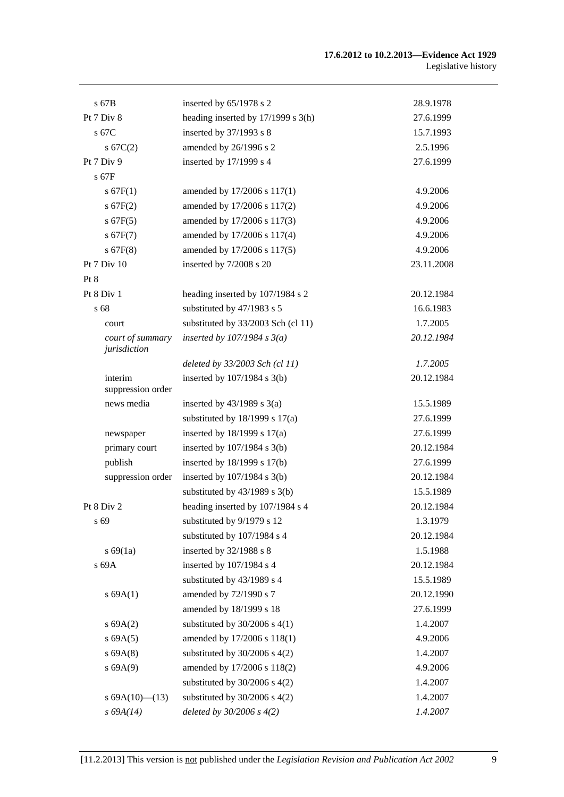| s 67B                            | inserted by $65/1978$ s 2              | 28.9.1978  |
|----------------------------------|----------------------------------------|------------|
| Pt 7 Div 8                       | heading inserted by $17/1999$ s $3(h)$ | 27.6.1999  |
| s 67C                            | inserted by 37/1993 s 8                | 15.7.1993  |
| s 67C(2)                         | amended by 26/1996 s 2                 | 2.5.1996   |
| Pt 7 Div 9                       | inserted by 17/1999 s 4                | 27.6.1999  |
| $s$ 67 $F$                       |                                        |            |
| s 67F(1)                         | amended by 17/2006 s 117(1)            | 4.9.2006   |
| s 67F(2)                         | amended by 17/2006 s 117(2)            | 4.9.2006   |
| $s$ 67F(5)                       | amended by 17/2006 s 117(3)            | 4.9.2006   |
| s 67F(7)                         | amended by 17/2006 s 117(4)            | 4.9.2006   |
| $s$ 67F(8)                       | amended by 17/2006 s 117(5)            | 4.9.2006   |
| Pt 7 Div 10                      | inserted by 7/2008 s 20                | 23.11.2008 |
| Pt 8                             |                                        |            |
| Pt 8 Div 1                       | heading inserted by 107/1984 s 2       | 20.12.1984 |
| s 68                             | substituted by 47/1983 s 5             | 16.6.1983  |
| court                            | substituted by 33/2003 Sch (cl 11)     | 1.7.2005   |
| court of summary<br>jurisdiction | inserted by $107/1984$ s $3(a)$        | 20.12.1984 |
|                                  | deleted by 33/2003 Sch (cl 11)         | 1.7.2005   |
| interim<br>suppression order     | inserted by $107/1984$ s $3(b)$        | 20.12.1984 |
| news media                       | inserted by $43/1989$ s $3(a)$         | 15.5.1989  |
|                                  | substituted by $18/1999$ s $17(a)$     | 27.6.1999  |
| newspaper                        | inserted by $18/1999$ s $17(a)$        | 27.6.1999  |
| primary court                    | inserted by $107/1984$ s $3(b)$        | 20.12.1984 |
| publish                          | inserted by 18/1999 s 17(b)            | 27.6.1999  |
| suppression order                | inserted by $107/1984$ s $3(b)$        | 20.12.1984 |
|                                  | substituted by $43/1989$ s $3(b)$      | 15.5.1989  |
| Pt 8 Div 2                       | heading inserted by 107/1984 s 4       | 20.12.1984 |
| s 69                             | substituted by 9/1979 s 12             | 1.3.1979   |
|                                  | substituted by 107/1984 s 4            | 20.12.1984 |
| s 69(1a)                         | inserted by 32/1988 s 8                | 1.5.1988   |
| s 69A                            | inserted by 107/1984 s 4               | 20.12.1984 |
|                                  | substituted by 43/1989 s 4             | 15.5.1989  |
| s 69A(1)                         | amended by 72/1990 s 7                 | 20.12.1990 |
|                                  | amended by 18/1999 s 18                | 27.6.1999  |
| s 69A(2)                         | substituted by $30/2006$ s 4(1)        | 1.4.2007   |
| s 69A(5)                         | amended by 17/2006 s 118(1)            | 4.9.2006   |
| s 69A(8)                         | substituted by $30/2006$ s $4(2)$      | 1.4.2007   |
| s 69A(9)                         | amended by 17/2006 s 118(2)            | 4.9.2006   |
|                                  | substituted by $30/2006$ s $4(2)$      | 1.4.2007   |
| s $69A(10)$ (13)                 | substituted by $30/2006$ s $4(2)$      | 1.4.2007   |
| $s\,69A(14)$                     | deleted by $30/2006 s 4(2)$            | 1.4.2007   |
|                                  |                                        |            |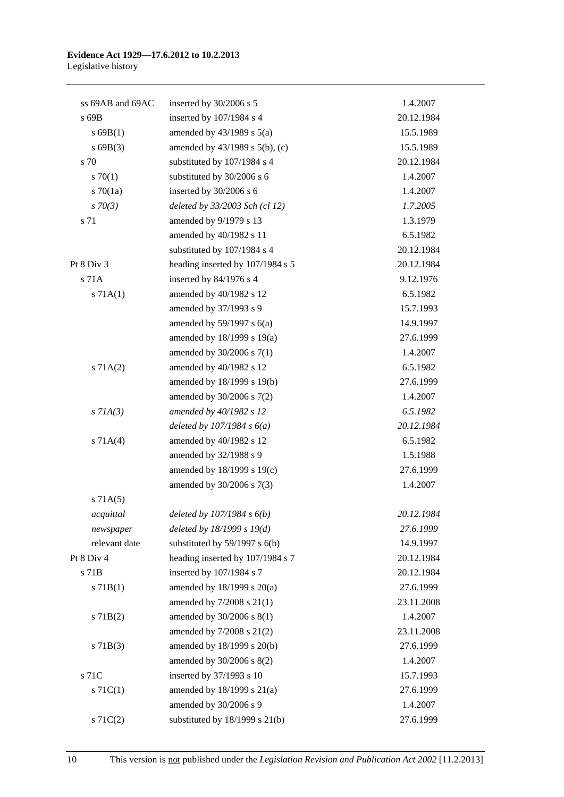#### **Evidence Act 1929—17.6.2012 to 10.2.2013**  Legislative history

| ss 69AB and 69AC | inserted by 30/2006 s 5            | 1.4.2007   |
|------------------|------------------------------------|------------|
| s 69B            | inserted by 107/1984 s 4           | 20.12.1984 |
| $s$ 69B(1)       | amended by $43/1989$ s $5(a)$      | 15.5.1989  |
| $s$ 69B(3)       | amended by 43/1989 s 5(b), (c)     | 15.5.1989  |
| s 70             | substituted by 107/1984 s 4        | 20.12.1984 |
| 570(1)           | substituted by 30/2006 s 6         | 1.4.2007   |
| 570(1a)          | inserted by 30/2006 s 6            | 1.4.2007   |
| $s \, 70(3)$     | deleted by 33/2003 Sch (cl 12)     | 1.7.2005   |
| s 71             | amended by 9/1979 s 13             | 1.3.1979   |
|                  | amended by 40/1982 s 11            | 6.5.1982   |
|                  | substituted by 107/1984 s 4        | 20.12.1984 |
| Pt 8 Div 3       | heading inserted by 107/1984 s 5   | 20.12.1984 |
| s 71A            | inserted by 84/1976 s 4            | 9.12.1976  |
| s 71A(1)         | amended by 40/1982 s 12            | 6.5.1982   |
|                  | amended by 37/1993 s 9             | 15.7.1993  |
|                  | amended by $59/1997$ s $6(a)$      | 14.9.1997  |
|                  | amended by 18/1999 s 19(a)         | 27.6.1999  |
|                  | amended by $30/2006$ s $7(1)$      | 1.4.2007   |
| s 71A(2)         | amended by 40/1982 s 12            | 6.5.1982   |
|                  | amended by 18/1999 s 19(b)         | 27.6.1999  |
|                  | amended by 30/2006 s 7(2)          | 1.4.2007   |
| $s$ 71A(3)       | amended by 40/1982 s 12            | 6.5.1982   |
|                  | deleted by $107/1984 s 6(a)$       | 20.12.1984 |
| s 71A(4)         | amended by 40/1982 s 12            | 6.5.1982   |
|                  | amended by 32/1988 s 9             | 1.5.1988   |
|                  | amended by 18/1999 s 19(c)         | 27.6.1999  |
|                  | amended by 30/2006 s 7(3)          | 1.4.2007   |
| s 71A(5)         |                                    |            |
| acquittal        | deleted by $107/1984 s 6(b)$       | 20.12.1984 |
| newspaper        | deleted by $18/1999 s 19(d)$       | 27.6.1999  |
| relevant date    | substituted by $59/1997$ s $6(b)$  | 14.9.1997  |
| Pt 8 Div 4       | heading inserted by 107/1984 s 7   | 20.12.1984 |
| s 71B            | inserted by 107/1984 s 7           | 20.12.1984 |
| s 71B(1)         | amended by $18/1999$ s $20(a)$     | 27.6.1999  |
|                  | amended by $7/2008$ s $21(1)$      | 23.11.2008 |
| $s$ 71B(2)       | amended by 30/2006 s 8(1)          | 1.4.2007   |
|                  | amended by $7/2008$ s $21(2)$      | 23.11.2008 |
| $s$ 71B(3)       | amended by 18/1999 s 20(b)         | 27.6.1999  |
|                  | amended by $30/2006$ s $8(2)$      | 1.4.2007   |
| s 71C            | inserted by 37/1993 s 10           | 15.7.1993  |
| $s \, 71C(1)$    | amended by 18/1999 s 21(a)         | 27.6.1999  |
|                  | amended by 30/2006 s 9             | 1.4.2007   |
| $s \, 71C(2)$    | substituted by $18/1999$ s $21(b)$ | 27.6.1999  |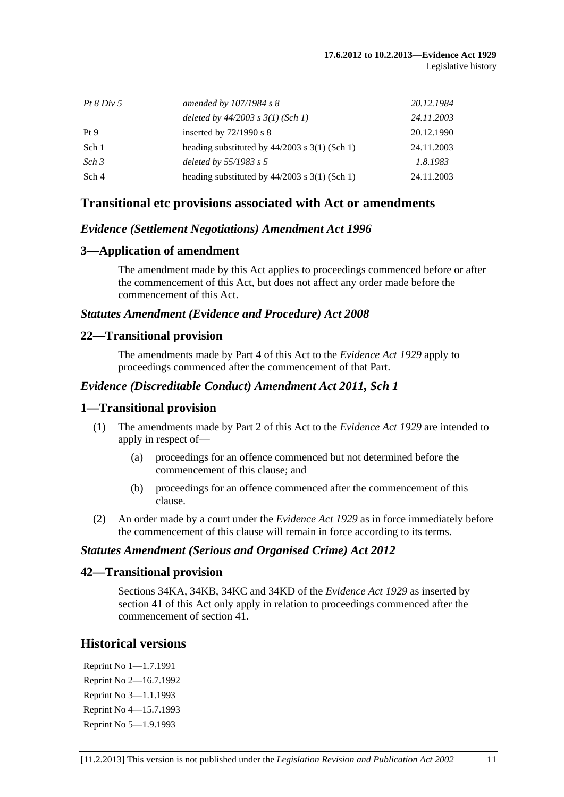| Pt 8 Div 5       | amended by $107/1984 s 8$                       | 20.12.1984 |
|------------------|-------------------------------------------------|------------|
|                  | deleted by $44/2003$ s $3(1)$ (Sch 1)           | 24.11.2003 |
| Pt <sub>9</sub>  | inserted by $72/1990$ s 8                       | 20.12.1990 |
| Sch 1            | heading substituted by $44/2003$ s 3(1) (Sch 1) | 24.11.2003 |
| Sch <sub>3</sub> | deleted by $55/1983$ s 5                        | 1.8.1983   |
| Sch 4            | heading substituted by $44/2003$ s 3(1) (Sch 1) | 24.11.2003 |

# **Transitional etc provisions associated with Act or amendments**

### *Evidence (Settlement Negotiations) Amendment Act 1996*

### **3—Application of amendment**

The amendment made by this Act applies to proceedings commenced before or after the commencement of this Act, but does not affect any order made before the commencement of this Act.

### *Statutes Amendment (Evidence and Procedure) Act 2008*

### **22—Transitional provision**

The amendments made by [Part 4](#page-0-0) of this Act to the *[Evidence Act 1929](http://www.legislation.sa.gov.au/index.aspx?action=legref&type=act&legtitle=Evidence%20Act%201929)* apply to proceedings commenced after the commencement of that Part.

### *Evidence (Discreditable Conduct) Amendment Act 2011, Sch 1*

### **1—Transitional provision**

- (1) The amendments made by [Part 2](#page-0-0) of this Act to the *[Evidence Act 1929](http://www.legislation.sa.gov.au/index.aspx?action=legref&type=act&legtitle=Evidence%20Act%201929)* are intended to apply in respect of—
	- (a) proceedings for an offence commenced but not determined before the commencement of this clause; and
	- (b) proceedings for an offence commenced after the commencement of this clause.
- (2) An order made by a court under the *[Evidence Act 1929](http://www.legislation.sa.gov.au/index.aspx?action=legref&type=act&legtitle=Evidence%20Act%201929)* as in force immediately before the commencement of this clause will remain in force according to its terms.

### *Statutes Amendment (Serious and Organised Crime) Act 2012*

### **42—Transitional provision**

Sections 34KA, 34KB, 34KC and 34KD of the *[Evidence Act 1929](http://www.legislation.sa.gov.au/index.aspx?action=legref&type=act&legtitle=Evidence%20Act%201929)* as inserted by [section 41](#page-0-0) of this Act only apply in relation to proceedings commenced after the commencement of [section 41.](#page-0-0)

# **Historical versions**

Reprint No 1—1.7.1991 Reprint No 2—16.7.1992 Reprint No 3—1.1.1993 Reprint No 4—15.7.1993 Reprint No 5—1.9.1993